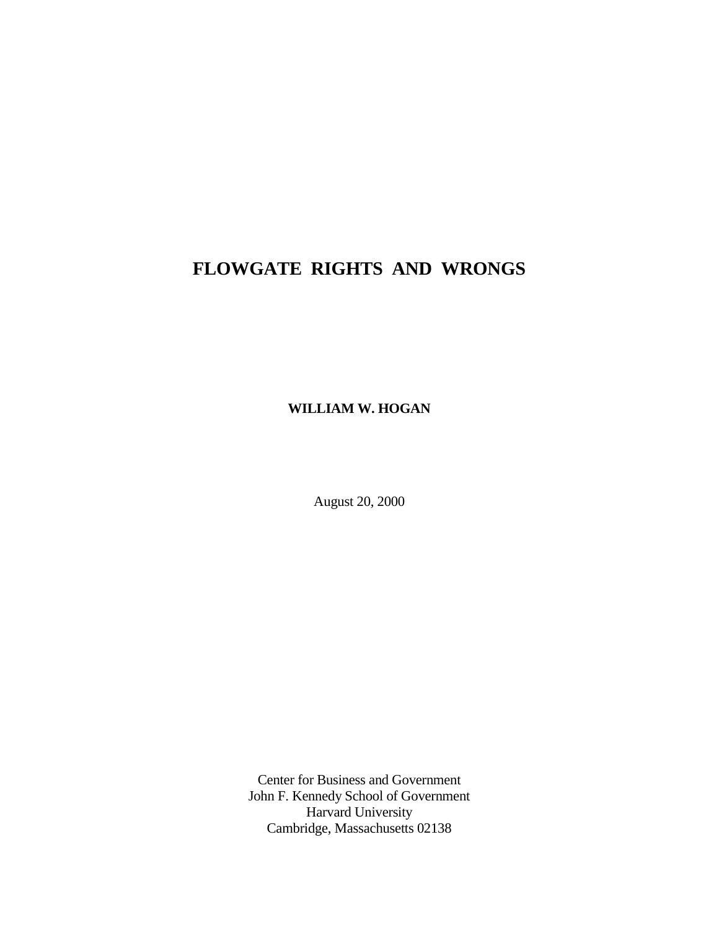# **FLOWGATE RIGHTS AND WRONGS**

**WILLIAM W. HOGAN**

August 20, 2000

Center for Business and Government John F. Kennedy School of Government Harvard University Cambridge, Massachusetts 02138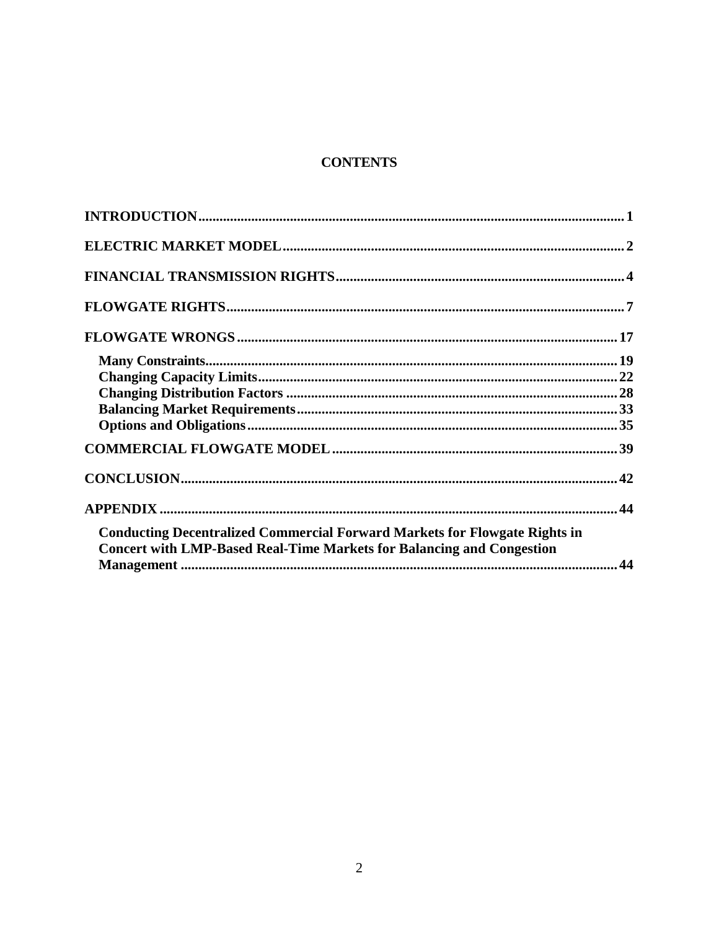# **CONTENTS**

| <b>Conducting Decentralized Commercial Forward Markets for Flowgate Rights in</b> |  |
|-----------------------------------------------------------------------------------|--|
| <b>Concert with LMP-Based Real-Time Markets for Balancing and Congestion</b>      |  |
|                                                                                   |  |
|                                                                                   |  |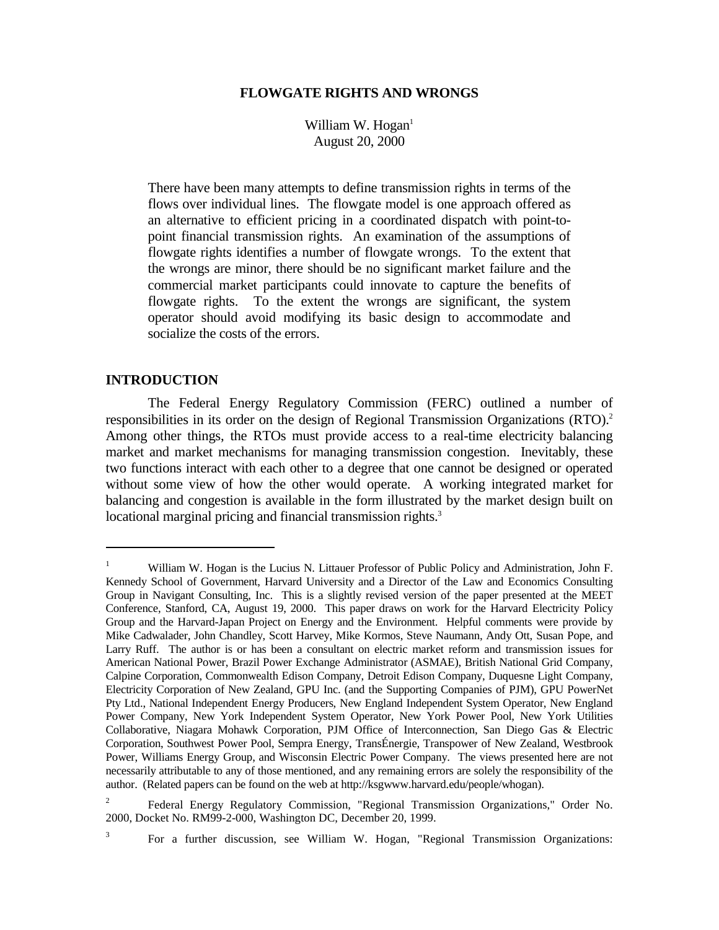#### **FLOWGATE RIGHTS AND WRONGS**

William W. Hogan $<sup>1</sup>$ </sup> August 20, 2000

There have been many attempts to define transmission rights in terms of the flows over individual lines. The flowgate model is one approach offered as an alternative to efficient pricing in a coordinated dispatch with point-topoint financial transmission rights. An examination of the assumptions of flowgate rights identifies a number of flowgate wrongs. To the extent that the wrongs are minor, there should be no significant market failure and the commercial market participants could innovate to capture the benefits of flowgate rights. To the extent the wrongs are significant, the system operator should avoid modifying its basic design to accommodate and socialize the costs of the errors.

#### **INTRODUCTION**

The Federal Energy Regulatory Commission (FERC) outlined a number of responsibilities in its order on the design of Regional Transmission Organizations (RTO).<sup>2</sup> Among other things, the RTOs must provide access to a real-time electricity balancing market and market mechanisms for managing transmission congestion. Inevitably, these two functions interact with each other to a degree that one cannot be designed or operated without some view of how the other would operate. A working integrated market for balancing and congestion is available in the form illustrated by the market design built on locational marginal pricing and financial transmission rights.<sup>3</sup>

3

<sup>&</sup>lt;sup>1</sup> William W. Hogan is the Lucius N. Littauer Professor of Public Policy and Administration, John F. Kennedy School of Government, Harvard University and a Director of the Law and Economics Consulting Group in Navigant Consulting, Inc. This is a slightly revised version of the paper presented at the MEET Conference, Stanford, CA, August 19, 2000. This paper draws on work for the Harvard Electricity Policy Group and the Harvard-Japan Project on Energy and the Environment. Helpful comments were provide by Mike Cadwalader, John Chandley, Scott Harvey, Mike Kormos, Steve Naumann, Andy Ott, Susan Pope, and Larry Ruff. The author is or has been a consultant on electric market reform and transmission issues for American National Power, Brazil Power Exchange Administrator (ASMAE), British National Grid Company, Calpine Corporation, Commonwealth Edison Company, Detroit Edison Company, Duquesne Light Company, Electricity Corporation of New Zealand, GPU Inc. (and the Supporting Companies of PJM), GPU PowerNet Pty Ltd., National Independent Energy Producers, New England Independent System Operator, New England Power Company, New York Independent System Operator, New York Power Pool, New York Utilities Collaborative, Niagara Mohawk Corporation, PJM Office of Interconnection, San Diego Gas & Electric Corporation, Southwest Power Pool, Sempra Energy, TransÉnergie, Transpower of New Zealand, Westbrook Power, Williams Energy Group, and Wisconsin Electric Power Company. The views presented here are not necessarily attributable to any of those mentioned, and any remaining errors are solely the responsibility of the author. (Related papers can be found on the web at http://ksgwww.harvard.edu/people/whogan).

<sup>&</sup>lt;sup>2</sup> Federal Energy Regulatory Commission, "Regional Transmission Organizations," Order No. 2000, Docket No. RM99-2-000, Washington DC, December 20, 1999.

For a further discussion, see William W. Hogan, "Regional Transmission Organizations: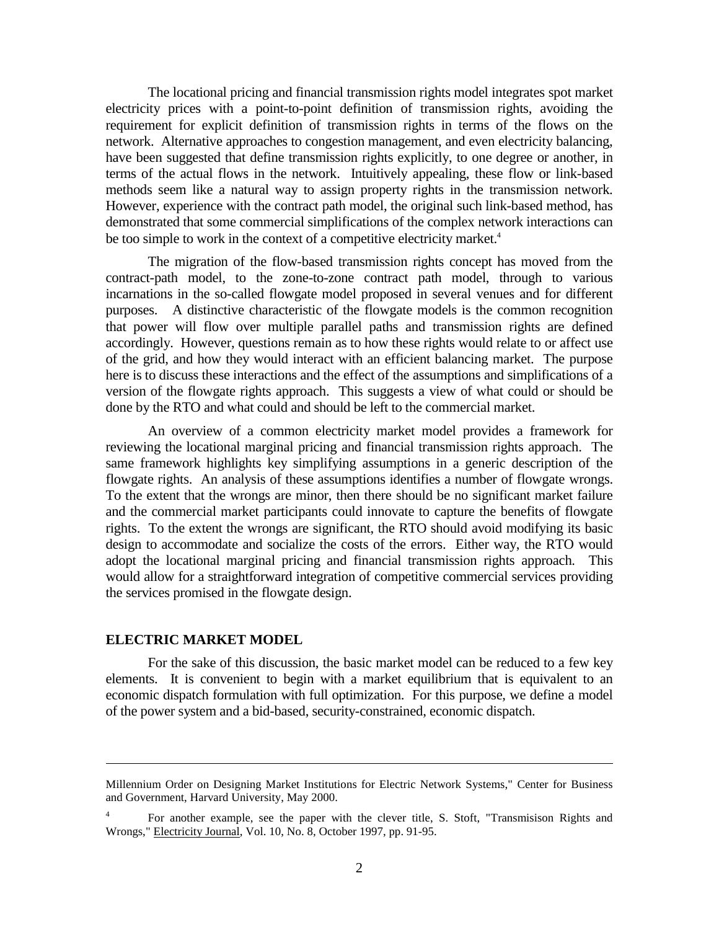The locational pricing and financial transmission rights model integrates spot market electricity prices with a point-to-point definition of transmission rights, avoiding the requirement for explicit definition of transmission rights in terms of the flows on the network. Alternative approaches to congestion management, and even electricity balancing, have been suggested that define transmission rights explicitly, to one degree or another, in terms of the actual flows in the network. Intuitively appealing, these flow or link-based methods seem like a natural way to assign property rights in the transmission network. However, experience with the contract path model, the original such link-based method, has demonstrated that some commercial simplifications of the complex network interactions can be too simple to work in the context of a competitive electricity market.<sup>4</sup>

The migration of the flow-based transmission rights concept has moved from the contract-path model, to the zone-to-zone contract path model, through to various incarnations in the so-called flowgate model proposed in several venues and for different purposes. A distinctive characteristic of the flowgate models is the common recognition that power will flow over multiple parallel paths and transmission rights are defined accordingly. However, questions remain as to how these rights would relate to or affect use of the grid, and how they would interact with an efficient balancing market. The purpose here is to discuss these interactions and the effect of the assumptions and simplifications of a version of the flowgate rights approach. This suggests a view of what could or should be done by the RTO and what could and should be left to the commercial market.

An overview of a common electricity market model provides a framework for reviewing the locational marginal pricing and financial transmission rights approach. The same framework highlights key simplifying assumptions in a generic description of the flowgate rights. An analysis of these assumptions identifies a number of flowgate wrongs. To the extent that the wrongs are minor, then there should be no significant market failure and the commercial market participants could innovate to capture the benefits of flowgate rights. To the extent the wrongs are significant, the RTO should avoid modifying its basic design to accommodate and socialize the costs of the errors. Either way, the RTO would adopt the locational marginal pricing and financial transmission rights approach. This would allow for a straightforward integration of competitive commercial services providing the services promised in the flowgate design.

#### **ELECTRIC MARKET MODEL**

 $\overline{a}$ 

For the sake of this discussion, the basic market model can be reduced to a few key elements. It is convenient to begin with a market equilibrium that is equivalent to an economic dispatch formulation with full optimization. For this purpose, we define a model of the power system and a bid-based, security-constrained, economic dispatch.

Millennium Order on Designing Market Institutions for Electric Network Systems," Center for Business and Government, Harvard University, May 2000.

<sup>4</sup> For another example, see the paper with the clever title, S. Stoft, "Transmisison Rights and Wrongs," Electricity Journal, Vol. 10, No. 8, October 1997, pp. 91-95.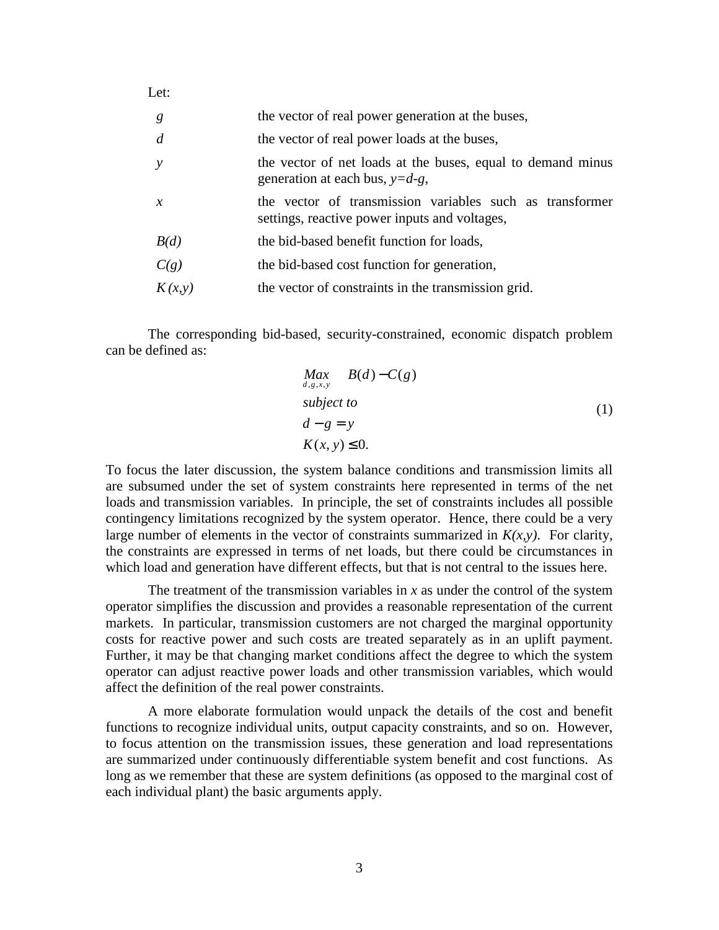| g              | the vector of real power generation at the buses,                                                         |  |  |  |  |  |  |  |
|----------------|-----------------------------------------------------------------------------------------------------------|--|--|--|--|--|--|--|
| $\overline{d}$ | the vector of real power loads at the buses,                                                              |  |  |  |  |  |  |  |
| $\mathcal{V}$  | the vector of net loads at the buses, equal to demand minus<br>generation at each bus, $y=d-g$ ,          |  |  |  |  |  |  |  |
| $\mathcal{X}$  | the vector of transmission variables such as transformer<br>settings, reactive power inputs and voltages, |  |  |  |  |  |  |  |
| B(d)           | the bid-based benefit function for loads,                                                                 |  |  |  |  |  |  |  |
| C(g)           | the bid-based cost function for generation,                                                               |  |  |  |  |  |  |  |
| K(x, y)        | the vector of constraints in the transmission grid.                                                       |  |  |  |  |  |  |  |

The corresponding bid-based, security-constrained, economic dispatch problem can be defined as:

$$
Maxd,g,x,y B(d) - C(g)
$$
  
subject to  

$$
d - g = y
$$
  

$$
K(x, y) \le 0.
$$
 (1)

To focus the later discussion, the system balance conditions and transmission limits all are subsumed under the set of system constraints here represented in terms of the net loads and transmission variables. In principle, the set of constraints includes all possible contingency limitations recognized by the system operator. Hence, there could be a very large number of elements in the vector of constraints summarized in  $K(x, y)$ . For clarity, the constraints are expressed in terms of net loads, but there could be circumstances in which load and generation have different effects, but that is not central to the issues here.

The treatment of the transmission variables in  $x$  as under the control of the system operator simplifies the discussion and provides a reasonable representation of the current markets. In particular, transmission customers are not charged the marginal opportunity costs for reactive power and such costs are treated separately as in an uplift payment. Further, it may be that changing market conditions affect the degree to which the system operator can adjust reactive power loads and other transmission variables, which would affect the definition of the real power constraints.

A more elaborate formulation would unpack the details of the cost and benefit functions to recognize individual units, output capacity constraints, and so on. However, to focus attention on the transmission issues, these generation and load representations are summarized under continuously differentiable system benefit and cost functions. As long as we remember that these are system definitions (as opposed to the marginal cost of each individual plant) the basic arguments apply.

Let: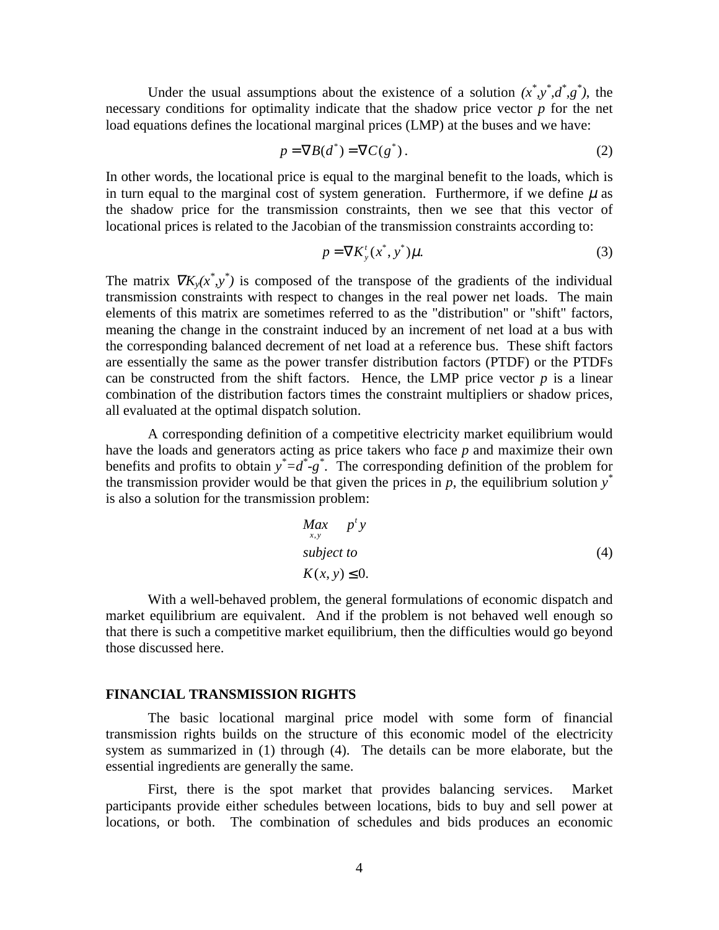Under the usual assumptions about the existence of a solution  $(x^*, y^*, d^*, g^*)$ , the necessary conditions for optimality indicate that the shadow price vector *p* for the net load equations defines the locational marginal prices (LMP) at the buses and we have:

$$
p = \nabla B(d^*) = \nabla C(g^*).
$$
 (2)

In other words, the locational price is equal to the marginal benefit to the loads, which is in turn equal to the marginal cost of system generation. Furthermore, if we define  $\mu$  as the shadow price for the transmission constraints, then we see that this vector of locational prices is related to the Jacobian of the transmission constraints according to:

$$
p = \nabla K_y^t(x^*, y^*)\mu. \tag{3}
$$

The matrix  $\nabla K_y(x^*,y^*)$  is composed of the transpose of the gradients of the individual transmission constraints with respect to changes in the real power net loads. The main elements of this matrix are sometimes referred to as the "distribution" or "shift" factors, meaning the change in the constraint induced by an increment of net load at a bus with the corresponding balanced decrement of net load at a reference bus. These shift factors are essentially the same as the power transfer distribution factors (PTDF) or the PTDFs can be constructed from the shift factors. Hence, the LMP price vector  $p$  is a linear combination of the distribution factors times the constraint multipliers or shadow prices, all evaluated at the optimal dispatch solution.

A corresponding definition of a competitive electricity market equilibrium would have the loads and generators acting as price takers who face *p* and maximize their own benefits and profits to obtain  $y^* = d^* - g^*$ . The corresponding definition of the problem for the transmission provider would be that given the prices in  $p$ , the equilibrium solution  $y^*$ is also a solution for the transmission problem:

$$
\begin{array}{ll}\nMax & p^t y \\
subject to & \\
K(x, y) \le 0.\n\end{array} \tag{4}
$$

With a well-behaved problem, the general formulations of economic dispatch and market equilibrium are equivalent. And if the problem is not behaved well enough so that there is such a competitive market equilibrium, then the difficulties would go beyond those discussed here.

#### **FINANCIAL TRANSMISSION RIGHTS**

The basic locational marginal price model with some form of financial transmission rights builds on the structure of this economic model of the electricity system as summarized in (1) through (4). The details can be more elaborate, but the essential ingredients are generally the same.

First, there is the spot market that provides balancing services. Market participants provide either schedules between locations, bids to buy and sell power at locations, or both. The combination of schedules and bids produces an economic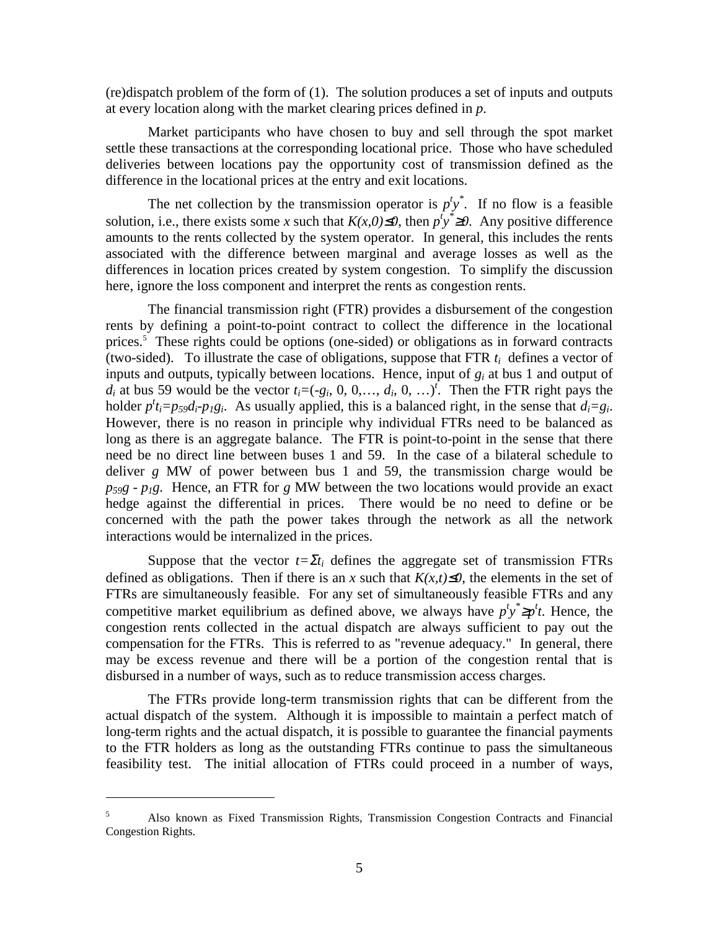(re)dispatch problem of the form of (1). The solution produces a set of inputs and outputs at every location along with the market clearing prices defined in *p*.

Market participants who have chosen to buy and sell through the spot market settle these transactions at the corresponding locational price. Those who have scheduled deliveries between locations pay the opportunity cost of transmission defined as the difference in the locational prices at the entry and exit locations.

The net collection by the transmission operator is  $p^t y^*$ . If no flow is a feasible solution, i.e., there exists some *x* such that  $K(x,0) \le 0$ , then  $p^t y^* \ge 0$ . Any positive difference amounts to the rents collected by the system operator. In general, this includes the rents associated with the difference between marginal and average losses as well as the differences in location prices created by system congestion. To simplify the discussion here, ignore the loss component and interpret the rents as congestion rents.

The financial transmission right (FTR) provides a disbursement of the congestion rents by defining a point-to-point contract to collect the difference in the locational prices.<sup>5</sup> These rights could be options (one-sided) or obligations as in forward contracts (two-sided). To illustrate the case of obligations, suppose that FTR  $t_i$  defines a vector of inputs and outputs, typically between locations. Hence, input of *gi* at bus 1 and output of  $d_i$  at bus 59 would be the vector  $t_i = (-g_i, 0, 0, \ldots, d_i, 0, \ldots)^t$ . Then the FTR right pays the holder  $p^t i_i = p_{59} d_i \cdot p_1 g_i$ . As usually applied, this is a balanced right, in the sense that  $d_i = g_i$ . However, there is no reason in principle why individual FTRs need to be balanced as long as there is an aggregate balance. The FTR is point-to-point in the sense that there need be no direct line between buses 1 and 59. In the case of a bilateral schedule to deliver *g* MW of power between bus 1 and 59, the transmission charge would be  $p_{59}g - p_1g$ . Hence, an FTR for *g* MW between the two locations would provide an exact hedge against the differential in prices. There would be no need to define or be concerned with the path the power takes through the network as all the network interactions would be internalized in the prices.

Suppose that the vector  $t = \sum t_i$  defines the aggregate set of transmission FTRs defined as obligations. Then if there is an x such that  $K(x,t) \le 0$ , the elements in the set of FTRs are simultaneously feasible. For any set of simultaneously feasible FTRs and any competitive market equilibrium as defined above, we always have  $p^t y^* \geq p^t t$ . Hence, the congestion rents collected in the actual dispatch are always sufficient to pay out the compensation for the FTRs. This is referred to as "revenue adequacy." In general, there may be excess revenue and there will be a portion of the congestion rental that is disbursed in a number of ways, such as to reduce transmission access charges.

The FTRs provide long-term transmission rights that can be different from the actual dispatch of the system. Although it is impossible to maintain a perfect match of long-term rights and the actual dispatch, it is possible to guarantee the financial payments to the FTR holders as long as the outstanding FTRs continue to pass the simultaneous feasibility test. The initial allocation of FTRs could proceed in a number of ways,

<sup>5</sup> Also known as Fixed Transmission Rights, Transmission Congestion Contracts and Financial Congestion Rights.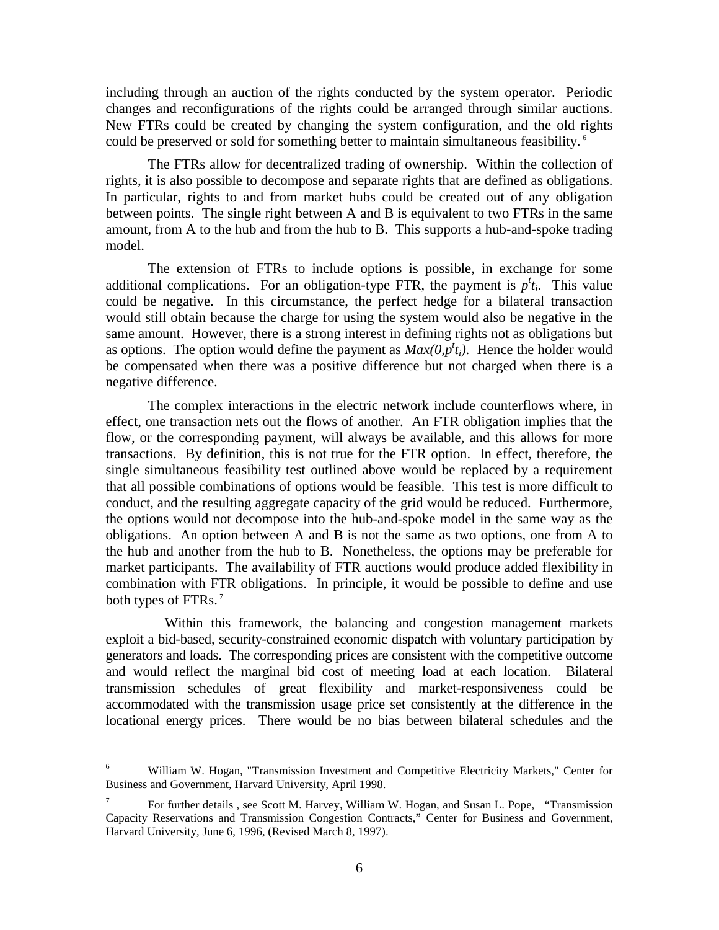including through an auction of the rights conducted by the system operator. Periodic changes and reconfigurations of the rights could be arranged through similar auctions. New FTRs could be created by changing the system configuration, and the old rights could be preserved or sold for something better to maintain simultaneous feasibility. 6

The FTRs allow for decentralized trading of ownership. Within the collection of rights, it is also possible to decompose and separate rights that are defined as obligations. In particular, rights to and from market hubs could be created out of any obligation between points. The single right between A and B is equivalent to two FTRs in the same amount, from A to the hub and from the hub to B. This supports a hub-and-spoke trading model.

The extension of FTRs to include options is possible, in exchange for some additional complications. For an obligation-type FTR, the payment is  $p^t t_i$ . This value could be negative. In this circumstance, the perfect hedge for a bilateral transaction would still obtain because the charge for using the system would also be negative in the same amount. However, there is a strong interest in defining rights not as obligations but as options. The option would define the payment as  $Max(0, p<sup>t</sup>_{i})$ . Hence the holder would be compensated when there was a positive difference but not charged when there is a negative difference.

The complex interactions in the electric network include counterflows where, in effect, one transaction nets out the flows of another. An FTR obligation implies that the flow, or the corresponding payment, will always be available, and this allows for more transactions. By definition, this is not true for the FTR option. In effect, therefore, the single simultaneous feasibility test outlined above would be replaced by a requirement that all possible combinations of options would be feasible. This test is more difficult to conduct, and the resulting aggregate capacity of the grid would be reduced. Furthermore, the options would not decompose into the hub-and-spoke model in the same way as the obligations. An option between A and B is not the same as two options, one from A to the hub and another from the hub to B. Nonetheless, the options may be preferable for market participants. The availability of FTR auctions would produce added flexibility in combination with FTR obligations. In principle, it would be possible to define and use both types of FTRs.<sup>7</sup>

Within this framework, the balancing and congestion management markets exploit a bid-based, security-constrained economic dispatch with voluntary participation by generators and loads. The corresponding prices are consistent with the competitive outcome and would reflect the marginal bid cost of meeting load at each location. Bilateral transmission schedules of great flexibility and market-responsiveness could be accommodated with the transmission usage price set consistently at the difference in the locational energy prices. There would be no bias between bilateral schedules and the

<sup>6</sup> William W. Hogan, "Transmission Investment and Competitive Electricity Markets," Center for Business and Government, Harvard University, April 1998.

<sup>7</sup> For further details , see Scott M. Harvey, William W. Hogan, and Susan L. Pope, "Transmission Capacity Reservations and Transmission Congestion Contracts," Center for Business and Government, Harvard University, June 6, 1996, (Revised March 8, 1997).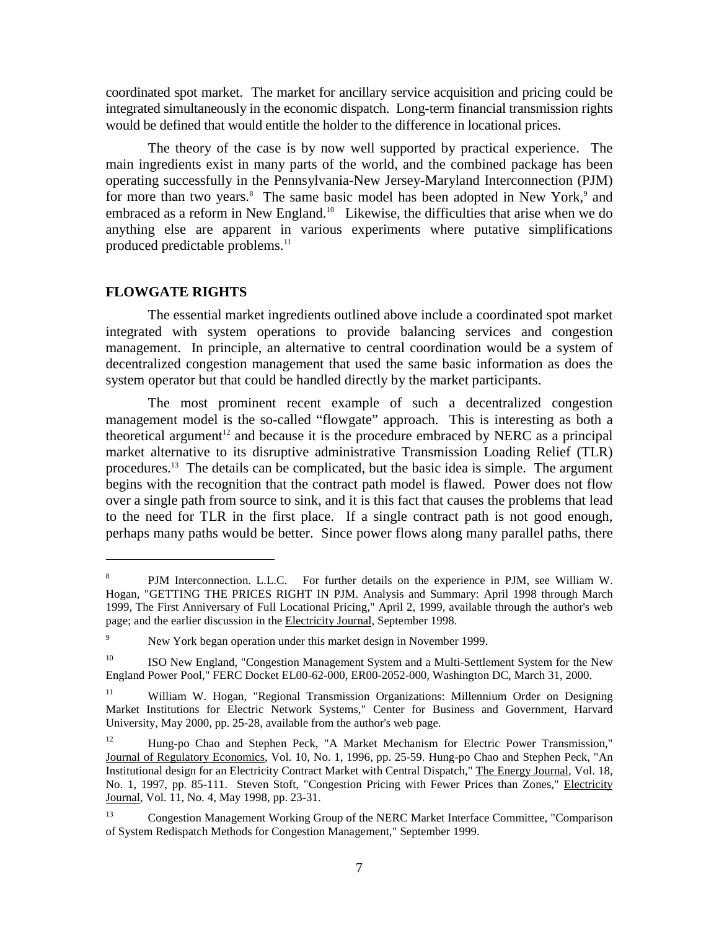coordinated spot market. The market for ancillary service acquisition and pricing could be integrated simultaneously in the economic dispatch. Long-term financial transmission rights would be defined that would entitle the holder to the difference in locational prices.

The theory of the case is by now well supported by practical experience. The main ingredients exist in many parts of the world, and the combined package has been operating successfully in the Pennsylvania-New Jersey-Maryland Interconnection (PJM) for more than two years.<sup>8</sup> The same basic model has been adopted in New York,<sup>9</sup> and embraced as a reform in New England.<sup>10</sup> Likewise, the difficulties that arise when we do anything else are apparent in various experiments where putative simplifications produced predictable problems.<sup>11</sup>

#### **FLOWGATE RIGHTS**

 $\overline{a}$ 

The essential market ingredients outlined above include a coordinated spot market integrated with system operations to provide balancing services and congestion management. In principle, an alternative to central coordination would be a system of decentralized congestion management that used the same basic information as does the system operator but that could be handled directly by the market participants.

The most prominent recent example of such a decentralized congestion management model is the so-called "flowgate" approach. This is interesting as both a theoretical argument<sup>12</sup> and because it is the procedure embraced by NERC as a principal market alternative to its disruptive administrative Transmission Loading Relief (TLR) procedures.13 The details can be complicated, but the basic idea is simple. The argument begins with the recognition that the contract path model is flawed. Power does not flow over a single path from source to sink, and it is this fact that causes the problems that lead to the need for TLR in the first place. If a single contract path is not good enough, perhaps many paths would be better. Since power flows along many parallel paths, there

<sup>8</sup> PJM Interconnection. L.L.C. For further details on the experience in PJM, see William W. Hogan, "GETTING THE PRICES RIGHT IN PJM. Analysis and Summary: April 1998 through March 1999, The First Anniversary of Full Locational Pricing," April 2, 1999, available through the author's web page; and the earlier discussion in the Electricity Journal, September 1998.

<sup>9</sup> New York began operation under this market design in November 1999.

<sup>&</sup>lt;sup>10</sup> ISO New England, "Congestion Management System and a Multi-Settlement System for the New England Power Pool," FERC Docket EL00-62-000, ER00-2052-000, Washington DC, March 31, 2000.

<sup>&</sup>lt;sup>11</sup> William W. Hogan, "Regional Transmission Organizations: Millennium Order on Designing Market Institutions for Electric Network Systems," Center for Business and Government, Harvard University, May 2000, pp. 25-28, available from the author's web page.

<sup>&</sup>lt;sup>12</sup> Hung-po Chao and Stephen Peck, "A Market Mechanism for Electric Power Transmission," Journal of Regulatory Economics, Vol. 10, No. 1, 1996, pp. 25-59. Hung-po Chao and Stephen Peck, "An Institutional design for an Electricity Contract Market with Central Dispatch," The Energy Journal, Vol. 18, No. 1, 1997, pp. 85-111. Steven Stoft, "Congestion Pricing with Fewer Prices than Zones," Electricity Journal, Vol. 11, No. 4, May 1998, pp. 23-31.

<sup>13</sup> Congestion Management Working Group of the NERC Market Interface Committee, "Comparison of System Redispatch Methods for Congestion Management," September 1999.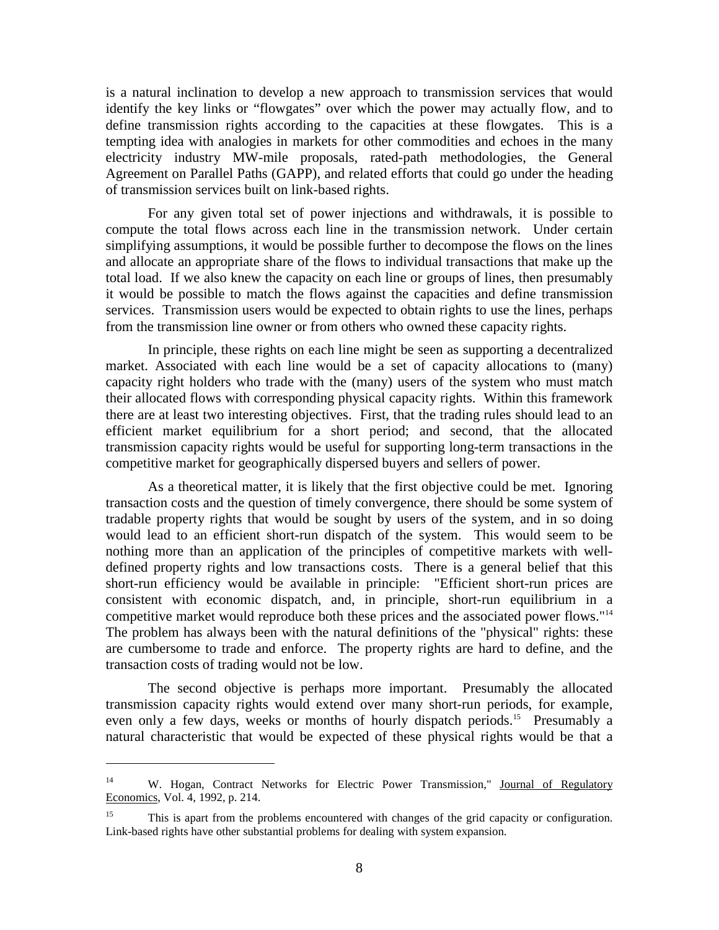is a natural inclination to develop a new approach to transmission services that would identify the key links or "flowgates" over which the power may actually flow, and to define transmission rights according to the capacities at these flowgates. This is a tempting idea with analogies in markets for other commodities and echoes in the many electricity industry MW-mile proposals, rated-path methodologies, the General Agreement on Parallel Paths (GAPP), and related efforts that could go under the heading of transmission services built on link-based rights.

For any given total set of power injections and withdrawals, it is possible to compute the total flows across each line in the transmission network. Under certain simplifying assumptions, it would be possible further to decompose the flows on the lines and allocate an appropriate share of the flows to individual transactions that make up the total load. If we also knew the capacity on each line or groups of lines, then presumably it would be possible to match the flows against the capacities and define transmission services. Transmission users would be expected to obtain rights to use the lines, perhaps from the transmission line owner or from others who owned these capacity rights.

In principle, these rights on each line might be seen as supporting a decentralized market. Associated with each line would be a set of capacity allocations to (many) capacity right holders who trade with the (many) users of the system who must match their allocated flows with corresponding physical capacity rights. Within this framework there are at least two interesting objectives. First, that the trading rules should lead to an efficient market equilibrium for a short period; and second, that the allocated transmission capacity rights would be useful for supporting long-term transactions in the competitive market for geographically dispersed buyers and sellers of power.

As a theoretical matter, it is likely that the first objective could be met. Ignoring transaction costs and the question of timely convergence, there should be some system of tradable property rights that would be sought by users of the system, and in so doing would lead to an efficient short-run dispatch of the system. This would seem to be nothing more than an application of the principles of competitive markets with welldefined property rights and low transactions costs. There is a general belief that this short-run efficiency would be available in principle: "Efficient short-run prices are consistent with economic dispatch, and, in principle, short-run equilibrium in a competitive market would reproduce both these prices and the associated power flows."14 The problem has always been with the natural definitions of the "physical" rights: these are cumbersome to trade and enforce. The property rights are hard to define, and the transaction costs of trading would not be low.

The second objective is perhaps more important. Presumably the allocated transmission capacity rights would extend over many short-run periods, for example, even only a few days, weeks or months of hourly dispatch periods.<sup>15</sup> Presumably a natural characteristic that would be expected of these physical rights would be that a

<sup>&</sup>lt;sup>14</sup> W. Hogan, Contract Networks for Electric Power Transmission," Journal of Regulatory Economics, Vol. 4, 1992, p. 214.

<sup>&</sup>lt;sup>15</sup> This is apart from the problems encountered with changes of the grid capacity or configuration. Link-based rights have other substantial problems for dealing with system expansion.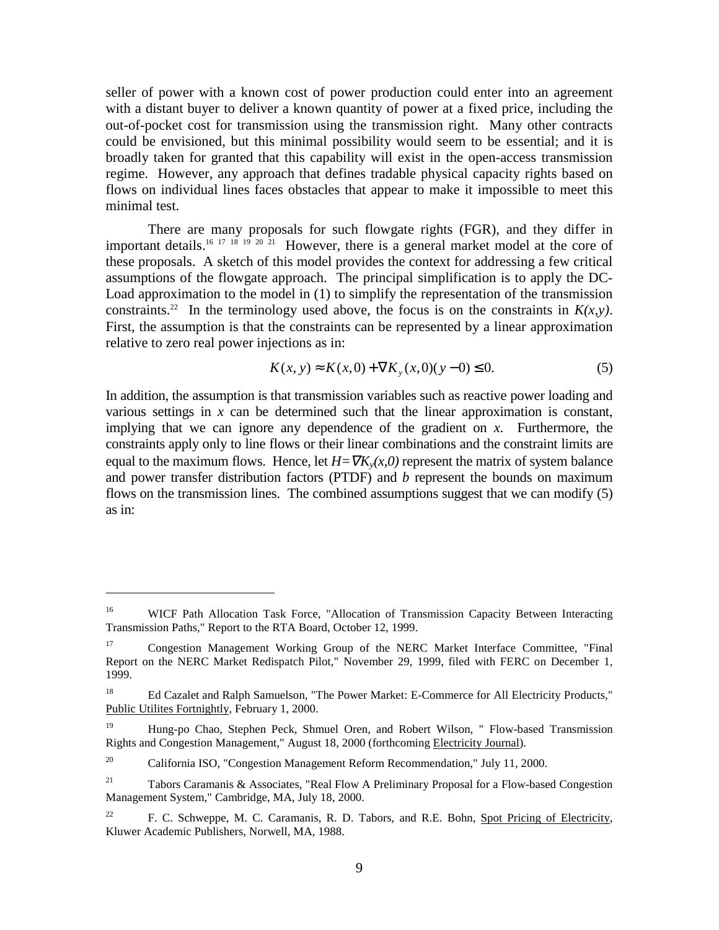seller of power with a known cost of power production could enter into an agreement with a distant buyer to deliver a known quantity of power at a fixed price, including the out-of-pocket cost for transmission using the transmission right. Many other contracts could be envisioned, but this minimal possibility would seem to be essential; and it is broadly taken for granted that this capability will exist in the open-access transmission regime. However, any approach that defines tradable physical capacity rights based on flows on individual lines faces obstacles that appear to make it impossible to meet this minimal test.

There are many proposals for such flowgate rights (FGR), and they differ in important details.<sup>16 17 18</sup> <sup>19</sup> <sup>20</sup> <sup>21</sup> However, there is a general market model at the core of these proposals. A sketch of this model provides the context for addressing a few critical assumptions of the flowgate approach. The principal simplification is to apply the DC-Load approximation to the model in (1) to simplify the representation of the transmission constraints.<sup>22</sup> In the terminology used above, the focus is on the constraints in  $K(x, y)$ . First, the assumption is that the constraints can be represented by a linear approximation relative to zero real power injections as in:

$$
K(x, y) \approx K(x, 0) + \nabla K_y(x, 0)(y - 0) \le 0.
$$
 (5)

In addition, the assumption is that transmission variables such as reactive power loading and various settings in  $x$  can be determined such that the linear approximation is constant, implying that we can ignore any dependence of the gradient on *x*. Furthermore, the constraints apply only to line flows or their linear combinations and the constraint limits are equal to the maximum flows. Hence, let  $H = \nabla K_v(x,0)$  represent the matrix of system balance and power transfer distribution factors (PTDF) and *b* represent the bounds on maximum flows on the transmission lines. The combined assumptions suggest that we can modify (5) as in:

<sup>&</sup>lt;sup>16</sup> WICF Path Allocation Task Force, "Allocation of Transmission Capacity Between Interacting Transmission Paths," Report to the RTA Board, October 12, 1999.

<sup>17</sup> Congestion Management Working Group of the NERC Market Interface Committee, "Final Report on the NERC Market Redispatch Pilot," November 29, 1999, filed with FERC on December 1, 1999.

<sup>&</sup>lt;sup>18</sup> Ed Cazalet and Ralph Samuelson, "The Power Market: E-Commerce for All Electricity Products," Public Utilites Fortnightly, February 1, 2000.

<sup>&</sup>lt;sup>19</sup> Hung-po Chao, Stephen Peck, Shmuel Oren, and Robert Wilson, " Flow-based Transmission Rights and Congestion Management," August 18, 2000 (forthcoming Electricity Journal).

<sup>&</sup>lt;sup>20</sup> California ISO, "Congestion Management Reform Recommendation," July 11, 2000.

<sup>&</sup>lt;sup>21</sup> Tabors Caramanis & Associates, "Real Flow A Preliminary Proposal for a Flow-based Congestion Management System," Cambridge, MA, July 18, 2000.

<sup>&</sup>lt;sup>22</sup> F. C. Schweppe, M. C. Caramanis, R. D. Tabors, and R.E. Bohn, Spot Pricing of Electricity, Kluwer Academic Publishers, Norwell, MA, 1988.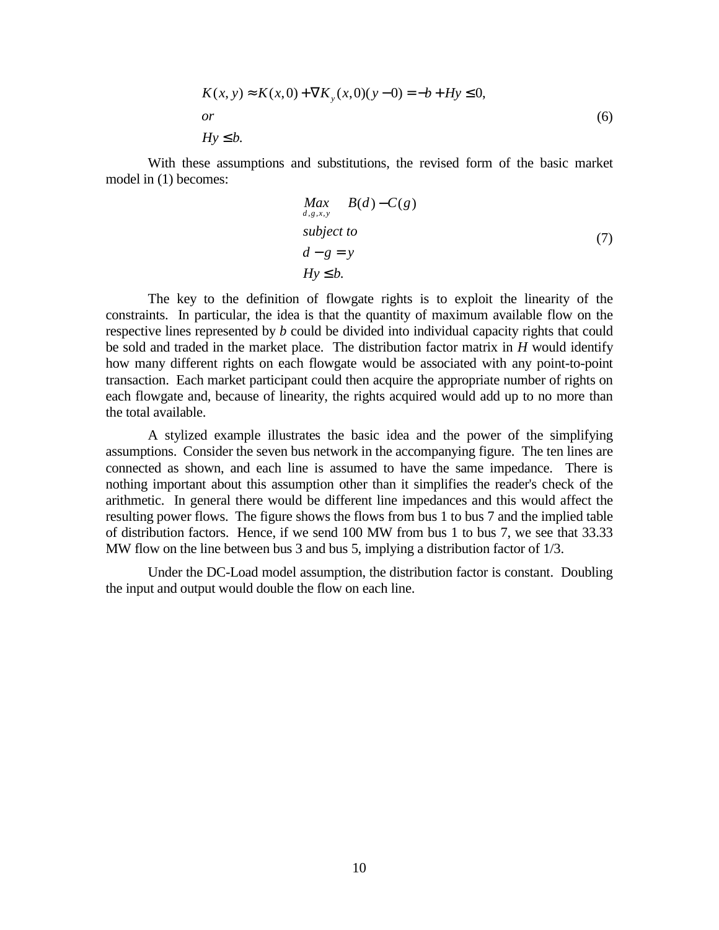$$
K(x, y) \approx K(x, 0) + \nabla K_y(x, 0)(y - 0) = -b + Hy \le 0,
$$
  
or  

$$
Hy \le b.
$$
 (6)

With these assumptions and substitutions, the revised form of the basic market model in (1) becomes:

$$
Max_{d,g,x,y} B(d) - C(g)
$$
  
subject to  

$$
d - g = y
$$
  

$$
Hy \le b.
$$
 (7)

The key to the definition of flowgate rights is to exploit the linearity of the constraints. In particular, the idea is that the quantity of maximum available flow on the respective lines represented by *b* could be divided into individual capacity rights that could be sold and traded in the market place. The distribution factor matrix in *H* would identify how many different rights on each flowgate would be associated with any point-to-point transaction. Each market participant could then acquire the appropriate number of rights on each flowgate and, because of linearity, the rights acquired would add up to no more than the total available.

A stylized example illustrates the basic idea and the power of the simplifying assumptions. Consider the seven bus network in the accompanying figure. The ten lines are connected as shown, and each line is assumed to have the same impedance. There is nothing important about this assumption other than it simplifies the reader's check of the arithmetic. In general there would be different line impedances and this would affect the resulting power flows. The figure shows the flows from bus 1 to bus 7 and the implied table of distribution factors. Hence, if we send 100 MW from bus 1 to bus 7, we see that 33.33 MW flow on the line between bus 3 and bus 5, implying a distribution factor of 1/3.

Under the DC-Load model assumption, the distribution factor is constant. Doubling the input and output would double the flow on each line.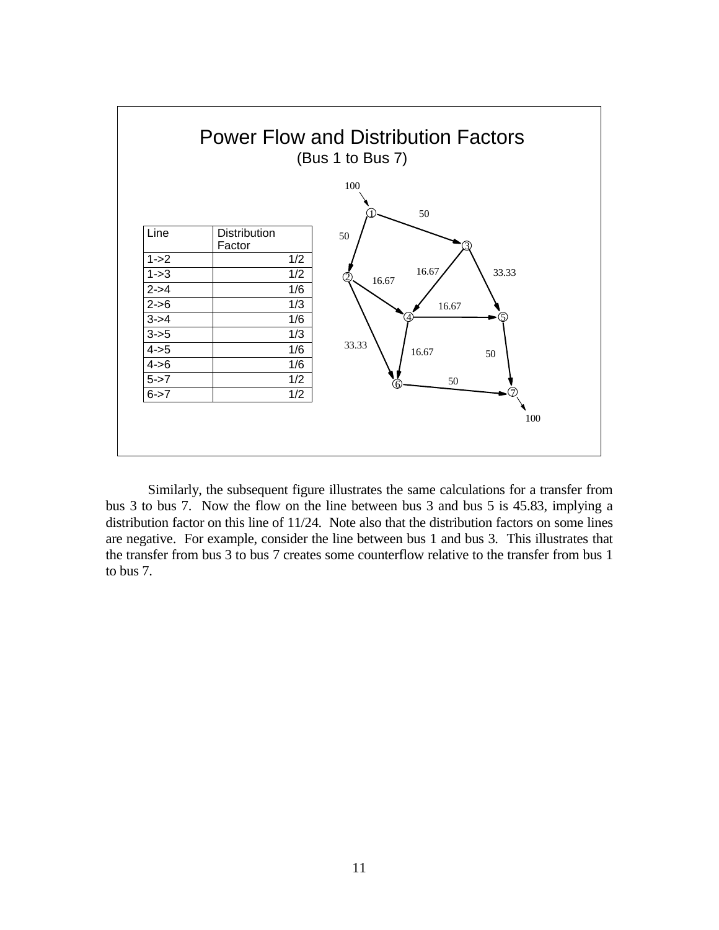

Similarly, the subsequent figure illustrates the same calculations for a transfer from bus 3 to bus 7. Now the flow on the line between bus 3 and bus 5 is 45.83, implying a distribution factor on this line of 11/24. Note also that the distribution factors on some lines are negative. For example, consider the line between bus 1 and bus 3. This illustrates that the transfer from bus 3 to bus 7 creates some counterflow relative to the transfer from bus 1 to bus 7.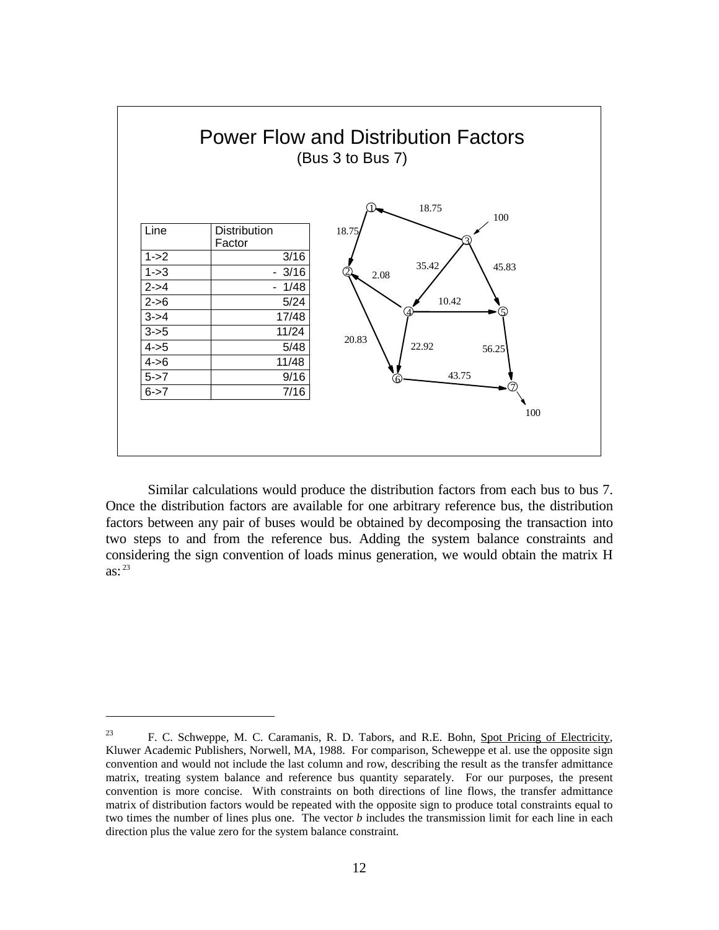

Similar calculations would produce the distribution factors from each bus to bus 7. Once the distribution factors are available for one arbitrary reference bus, the distribution factors between any pair of buses would be obtained by decomposing the transaction into two steps to and from the reference bus. Adding the system balance constraints and considering the sign convention of loads minus generation, we would obtain the matrix H as: $^{23}$ 

<sup>&</sup>lt;sup>23</sup> F. C. Schweppe, M. C. Caramanis, R. D. Tabors, and R.E. Bohn, Spot Pricing of Electricity, Kluwer Academic Publishers, Norwell, MA, 1988. For comparison, Scheweppe et al. use the opposite sign convention and would not include the last column and row, describing the result as the transfer admittance matrix, treating system balance and reference bus quantity separately. For our purposes, the present convention is more concise. With constraints on both directions of line flows, the transfer admittance matrix of distribution factors would be repeated with the opposite sign to produce total constraints equal to two times the number of lines plus one. The vector *b* includes the transmission limit for each line in each direction plus the value zero for the system balance constraint.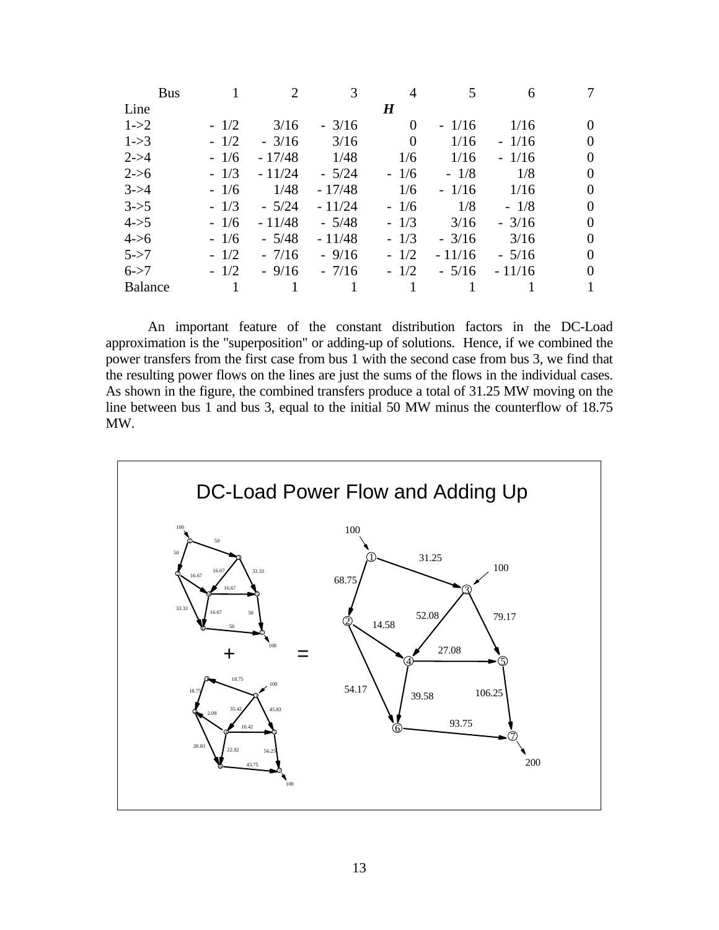|                | <b>Bus</b> |        | 2        | 3        | 4                | 5        | 6        |  |
|----------------|------------|--------|----------|----------|------------------|----------|----------|--|
| Line           |            |        |          |          | $\boldsymbol{H}$ |          |          |  |
| $1 - > 2$      |            | $-1/2$ | 3/16     | $-3/16$  | 0                | $-1/16$  | 1/16     |  |
| $1 - > 3$      |            | $-1/2$ | $-3/16$  | 3/16     | $\overline{0}$   | 1/16     | $-1/16$  |  |
| $2 - > 4$      |            | $-1/6$ | $-17/48$ | 1/48     | 1/6              | 1/16     | $-1/16$  |  |
| $2 - 56$       |            | $-1/3$ | $-11/24$ | $-5/24$  | $-1/6$           | $-1/8$   | 1/8      |  |
| $3 - > 4$      |            | $-1/6$ | 1/48     | $-17/48$ | 1/6              | $-1/16$  | 1/16     |  |
| $3 - 5$        |            | $-1/3$ | $-5/24$  | $-11/24$ | $-1/6$           | 1/8      | $-1/8$   |  |
| $4 - > 5$      |            | $-1/6$ | $-11/48$ | $-5/48$  | $-1/3$           | 3/16     | $-3/16$  |  |
| $4 - 56$       |            | $-1/6$ | $-5/48$  | $-11/48$ | $-1/3$           | $-3/16$  | 3/16     |  |
| $5 - > 7$      |            | $-1/2$ | $-7/16$  | $-9/16$  | $-1/2$           | $-11/16$ | $-5/16$  |  |
| $6 - > 7$      |            | $-1/2$ | $-9/16$  | $-7/16$  | $-1/2$           | $-5/16$  | $-11/16$ |  |
| <b>Balance</b> |            |        |          |          |                  |          |          |  |

An important feature of the constant distribution factors in the DC-Load approximation is the "superposition" or adding-up of solutions. Hence, if we combined the power transfers from the first case from bus 1 with the second case from bus 3, we find that the resulting power flows on the lines are just the sums of the flows in the individual cases. As shown in the figure, the combined transfers produce a total of 31.25 MW moving on the line between bus 1 and bus 3, equal to the initial 50 MW minus the counterflow of 18.75 MW.

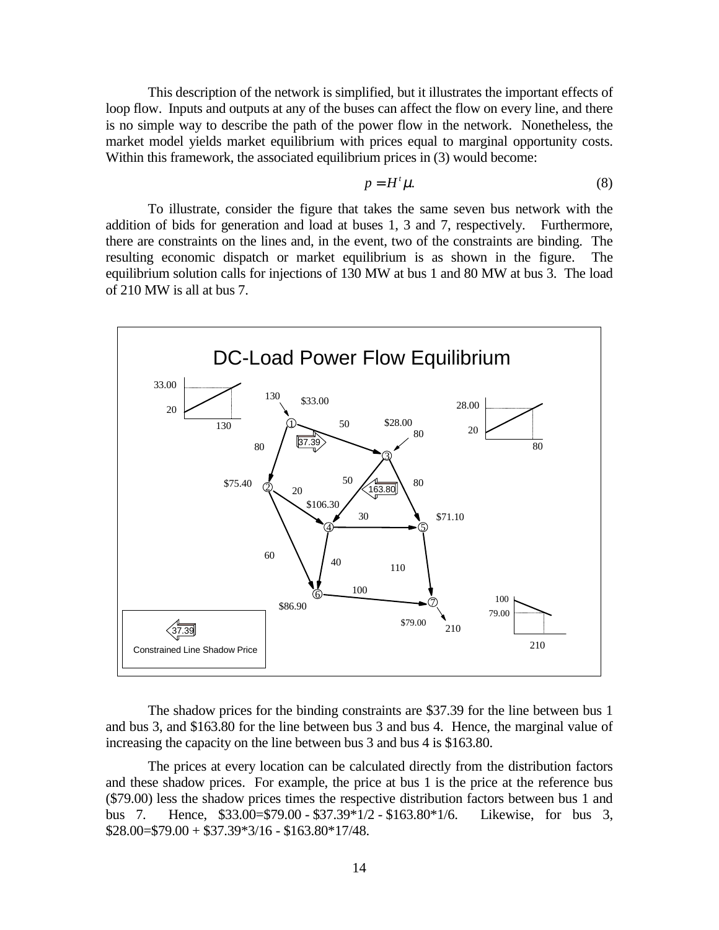This description of the network is simplified, but it illustrates the important effects of loop flow. Inputs and outputs at any of the buses can affect the flow on every line, and there is no simple way to describe the path of the power flow in the network. Nonetheless, the market model yields market equilibrium with prices equal to marginal opportunity costs. Within this framework, the associated equilibrium prices in (3) would become:

$$
p = H^t \mu. \tag{8}
$$

To illustrate, consider the figure that takes the same seven bus network with the addition of bids for generation and load at buses 1, 3 and 7, respectively. Furthermore, there are constraints on the lines and, in the event, two of the constraints are binding. The resulting economic dispatch or market equilibrium is as shown in the figure. The equilibrium solution calls for injections of 130 MW at bus 1 and 80 MW at bus 3. The load of 210 MW is all at bus 7.



The shadow prices for the binding constraints are \$37.39 for the line between bus 1 and bus 3, and \$163.80 for the line between bus 3 and bus 4. Hence, the marginal value of increasing the capacity on the line between bus 3 and bus 4 is \$163.80.

The prices at every location can be calculated directly from the distribution factors and these shadow prices. For example, the price at bus 1 is the price at the reference bus (\$79.00) less the shadow prices times the respective distribution factors between bus 1 and bus 7. Hence, \$33.00=\$79.00 - \$37.39\*1/2 - \$163.80\*1/6. Likewise, for bus 3,  $$28.00 = $79.00 + $37.39*3/16 - $163.80*17/48.$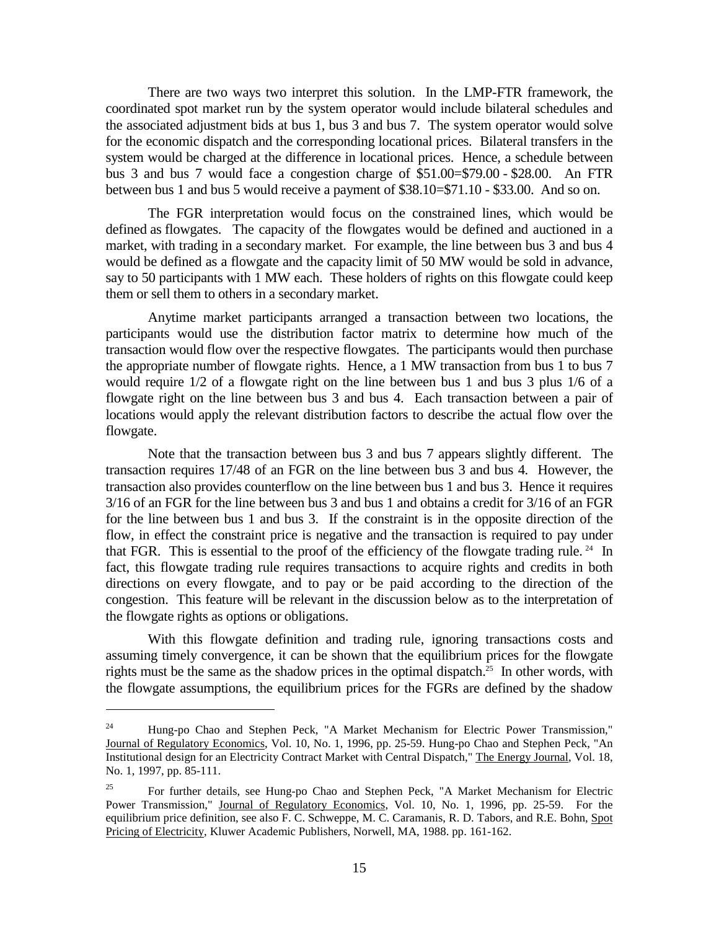There are two ways two interpret this solution. In the LMP-FTR framework, the coordinated spot market run by the system operator would include bilateral schedules and the associated adjustment bids at bus 1, bus 3 and bus 7. The system operator would solve for the economic dispatch and the corresponding locational prices. Bilateral transfers in the system would be charged at the difference in locational prices. Hence, a schedule between bus 3 and bus 7 would face a congestion charge of \$51.00=\$79.00 - \$28.00. An FTR between bus 1 and bus 5 would receive a payment of \$38.10=\$71.10 - \$33.00. And so on.

The FGR interpretation would focus on the constrained lines, which would be defined as flowgates. The capacity of the flowgates would be defined and auctioned in a market, with trading in a secondary market. For example, the line between bus 3 and bus 4 would be defined as a flowgate and the capacity limit of 50 MW would be sold in advance, say to 50 participants with 1 MW each. These holders of rights on this flowgate could keep them or sell them to others in a secondary market.

Anytime market participants arranged a transaction between two locations, the participants would use the distribution factor matrix to determine how much of the transaction would flow over the respective flowgates. The participants would then purchase the appropriate number of flowgate rights. Hence, a 1 MW transaction from bus 1 to bus 7 would require 1/2 of a flowgate right on the line between bus 1 and bus 3 plus 1/6 of a flowgate right on the line between bus 3 and bus 4. Each transaction between a pair of locations would apply the relevant distribution factors to describe the actual flow over the flowgate.

Note that the transaction between bus 3 and bus 7 appears slightly different. The transaction requires 17/48 of an FGR on the line between bus 3 and bus 4. However, the transaction also provides counterflow on the line between bus 1 and bus 3. Hence it requires 3/16 of an FGR for the line between bus 3 and bus 1 and obtains a credit for 3/16 of an FGR for the line between bus 1 and bus 3. If the constraint is in the opposite direction of the flow, in effect the constraint price is negative and the transaction is required to pay under that FGR. This is essential to the proof of the efficiency of the flowgate trading rule.<sup>24</sup> In fact, this flowgate trading rule requires transactions to acquire rights and credits in both directions on every flowgate, and to pay or be paid according to the direction of the congestion. This feature will be relevant in the discussion below as to the interpretation of the flowgate rights as options or obligations.

With this flowgate definition and trading rule, ignoring transactions costs and assuming timely convergence, it can be shown that the equilibrium prices for the flowgate rights must be the same as the shadow prices in the optimal dispatch.<sup>25</sup> In other words, with the flowgate assumptions, the equilibrium prices for the FGRs are defined by the shadow

<sup>&</sup>lt;sup>24</sup> Hung-po Chao and Stephen Peck, "A Market Mechanism for Electric Power Transmission," Journal of Regulatory Economics, Vol. 10, No. 1, 1996, pp. 25-59. Hung-po Chao and Stephen Peck, "An Institutional design for an Electricity Contract Market with Central Dispatch," The Energy Journal, Vol. 18, No. 1, 1997, pp. 85-111.

<sup>&</sup>lt;sup>25</sup> For further details, see Hung-po Chao and Stephen Peck, "A Market Mechanism for Electric Power Transmission," Journal of Regulatory Economics, Vol. 10, No. 1, 1996, pp. 25-59. For the equilibrium price definition, see also F. C. Schweppe, M. C. Caramanis, R. D. Tabors, and R.E. Bohn, Spot Pricing of Electricity, Kluwer Academic Publishers, Norwell, MA, 1988. pp. 161-162.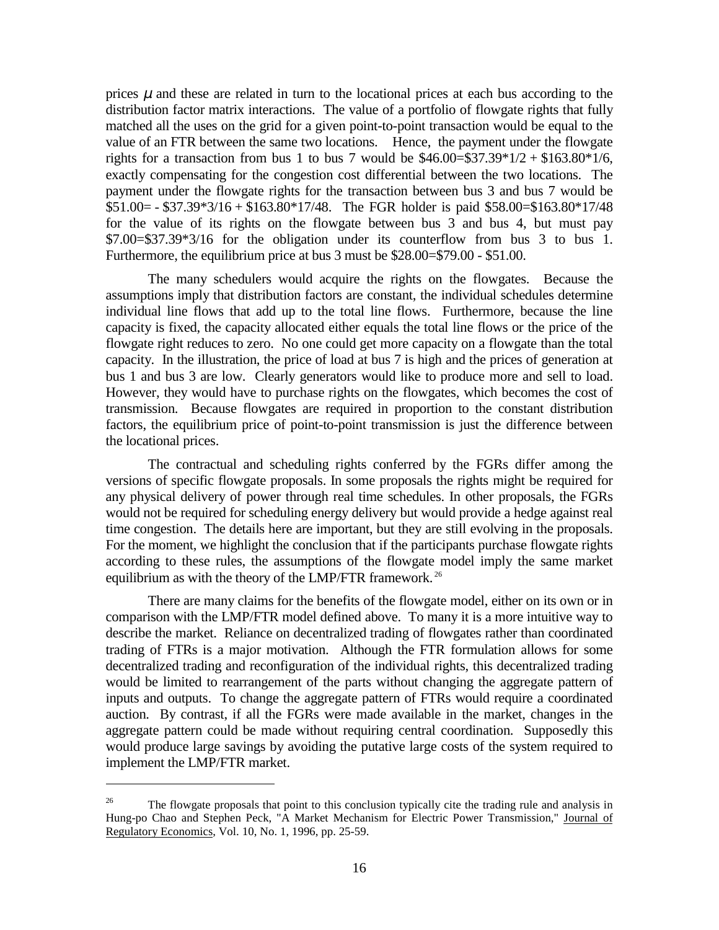prices  $\mu$  and these are related in turn to the locational prices at each bus according to the distribution factor matrix interactions. The value of a portfolio of flowgate rights that fully matched all the uses on the grid for a given point-to-point transaction would be equal to the value of an FTR between the same two locations. Hence, the payment under the flowgate rights for a transaction from bus 1 to bus 7 would be  $$46.00 = $37.39 * 1/2 + $163.80 * 1/6$ , exactly compensating for the congestion cost differential between the two locations. The payment under the flowgate rights for the transaction between bus 3 and bus 7 would be  $$51.00 = - $37.39*3/16 + $163.80*17/48$ . The FGR holder is paid \$58.00=\$163.80\*17/48 for the value of its rights on the flowgate between bus 3 and bus 4, but must pay \$7.00=\$37.39\*3/16 for the obligation under its counterflow from bus 3 to bus 1. Furthermore, the equilibrium price at bus 3 must be \$28.00=\$79.00 - \$51.00.

The many schedulers would acquire the rights on the flowgates. Because the assumptions imply that distribution factors are constant, the individual schedules determine individual line flows that add up to the total line flows. Furthermore, because the line capacity is fixed, the capacity allocated either equals the total line flows or the price of the flowgate right reduces to zero. No one could get more capacity on a flowgate than the total capacity. In the illustration, the price of load at bus 7 is high and the prices of generation at bus 1 and bus 3 are low. Clearly generators would like to produce more and sell to load. However, they would have to purchase rights on the flowgates, which becomes the cost of transmission. Because flowgates are required in proportion to the constant distribution factors, the equilibrium price of point-to-point transmission is just the difference between the locational prices.

The contractual and scheduling rights conferred by the FGRs differ among the versions of specific flowgate proposals. In some proposals the rights might be required for any physical delivery of power through real time schedules. In other proposals, the FGRs would not be required for scheduling energy delivery but would provide a hedge against real time congestion. The details here are important, but they are still evolving in the proposals. For the moment, we highlight the conclusion that if the participants purchase flowgate rights according to these rules, the assumptions of the flowgate model imply the same market equilibrium as with the theory of the LMP/FTR framework.<sup>26</sup>

There are many claims for the benefits of the flowgate model, either on its own or in comparison with the LMP/FTR model defined above. To many it is a more intuitive way to describe the market. Reliance on decentralized trading of flowgates rather than coordinated trading of FTRs is a major motivation. Although the FTR formulation allows for some decentralized trading and reconfiguration of the individual rights, this decentralized trading would be limited to rearrangement of the parts without changing the aggregate pattern of inputs and outputs. To change the aggregate pattern of FTRs would require a coordinated auction. By contrast, if all the FGRs were made available in the market, changes in the aggregate pattern could be made without requiring central coordination. Supposedly this would produce large savings by avoiding the putative large costs of the system required to implement the LMP/FTR market.

<sup>&</sup>lt;sup>26</sup> The flowgate proposals that point to this conclusion typically cite the trading rule and analysis in Hung-po Chao and Stephen Peck, "A Market Mechanism for Electric Power Transmission," Journal of Regulatory Economics, Vol. 10, No. 1, 1996, pp. 25-59.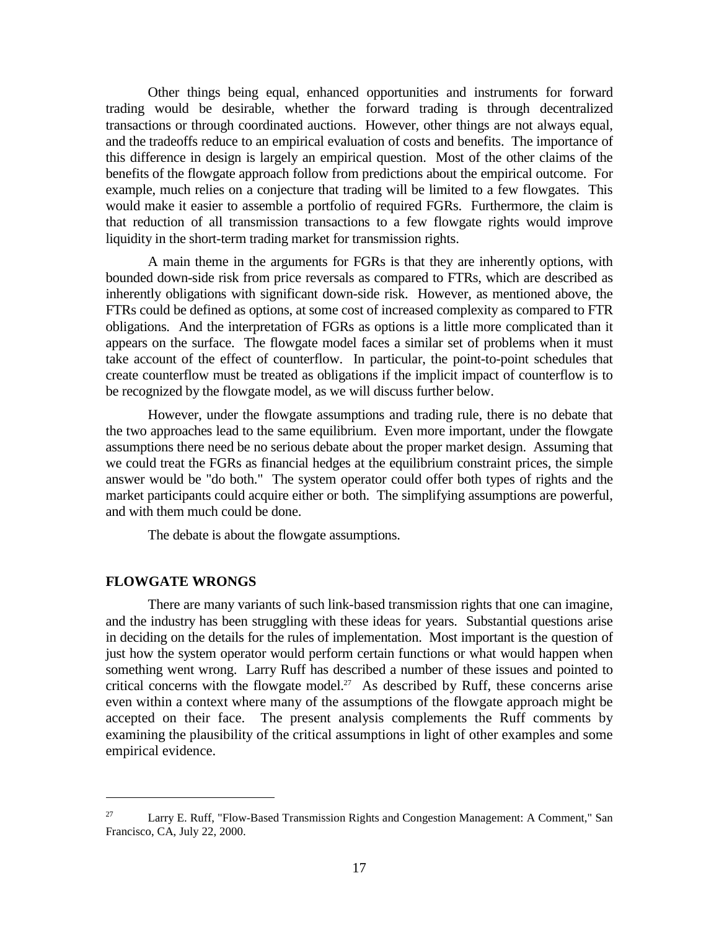Other things being equal, enhanced opportunities and instruments for forward trading would be desirable, whether the forward trading is through decentralized transactions or through coordinated auctions. However, other things are not always equal, and the tradeoffs reduce to an empirical evaluation of costs and benefits. The importance of this difference in design is largely an empirical question. Most of the other claims of the benefits of the flowgate approach follow from predictions about the empirical outcome. For example, much relies on a conjecture that trading will be limited to a few flowgates. This would make it easier to assemble a portfolio of required FGRs. Furthermore, the claim is that reduction of all transmission transactions to a few flowgate rights would improve liquidity in the short-term trading market for transmission rights.

A main theme in the arguments for FGRs is that they are inherently options, with bounded down-side risk from price reversals as compared to FTRs, which are described as inherently obligations with significant down-side risk. However, as mentioned above, the FTRs could be defined as options, at some cost of increased complexity as compared to FTR obligations. And the interpretation of FGRs as options is a little more complicated than it appears on the surface. The flowgate model faces a similar set of problems when it must take account of the effect of counterflow. In particular, the point-to-point schedules that create counterflow must be treated as obligations if the implicit impact of counterflow is to be recognized by the flowgate model, as we will discuss further below.

However, under the flowgate assumptions and trading rule, there is no debate that the two approaches lead to the same equilibrium. Even more important, under the flowgate assumptions there need be no serious debate about the proper market design. Assuming that we could treat the FGRs as financial hedges at the equilibrium constraint prices, the simple answer would be "do both." The system operator could offer both types of rights and the market participants could acquire either or both. The simplifying assumptions are powerful, and with them much could be done.

The debate is about the flowgate assumptions.

#### **FLOWGATE WRONGS**

 $\overline{a}$ 

There are many variants of such link-based transmission rights that one can imagine, and the industry has been struggling with these ideas for years. Substantial questions arise in deciding on the details for the rules of implementation. Most important is the question of just how the system operator would perform certain functions or what would happen when something went wrong. Larry Ruff has described a number of these issues and pointed to critical concerns with the flowgate model.<sup>27</sup> As described by Ruff, these concerns arise even within a context where many of the assumptions of the flowgate approach might be accepted on their face. The present analysis complements the Ruff comments by examining the plausibility of the critical assumptions in light of other examples and some empirical evidence.

<sup>&</sup>lt;sup>27</sup> Larry E. Ruff, "Flow-Based Transmission Rights and Congestion Management: A Comment," San Francisco, CA, July 22, 2000.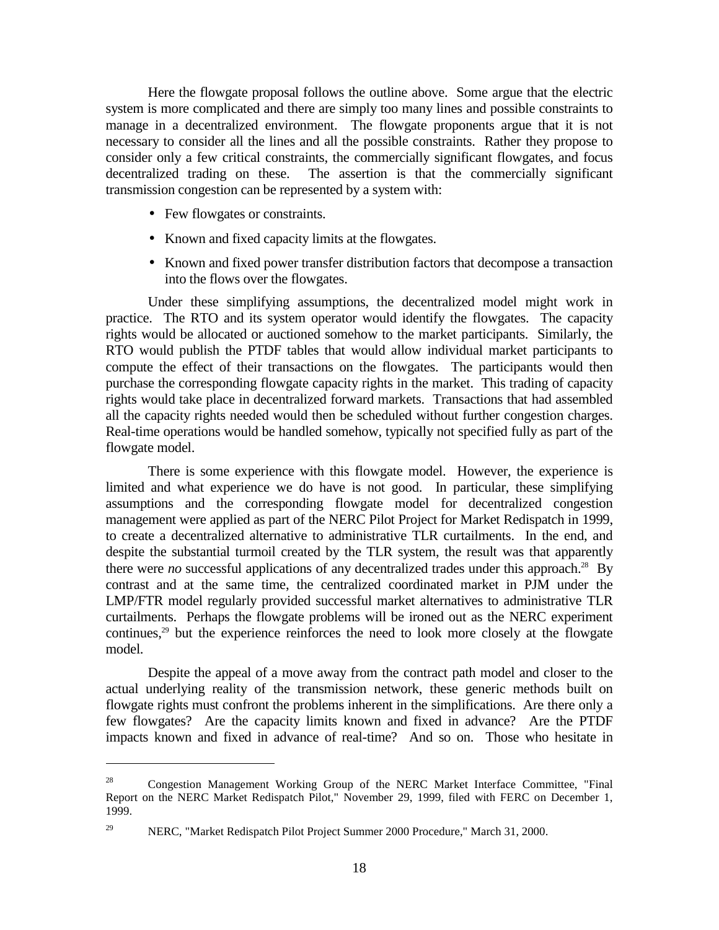Here the flowgate proposal follows the outline above. Some argue that the electric system is more complicated and there are simply too many lines and possible constraints to manage in a decentralized environment. The flowgate proponents argue that it is not necessary to consider all the lines and all the possible constraints. Rather they propose to consider only a few critical constraints, the commercially significant flowgates, and focus decentralized trading on these. The assertion is that the commercially significant transmission congestion can be represented by a system with:

• Few flowgates or constraints.

 $\overline{a}$ 

- Known and fixed capacity limits at the flowgates.
- Known and fixed power transfer distribution factors that decompose a transaction into the flows over the flowgates.

Under these simplifying assumptions, the decentralized model might work in practice. The RTO and its system operator would identify the flowgates. The capacity rights would be allocated or auctioned somehow to the market participants. Similarly, the RTO would publish the PTDF tables that would allow individual market participants to compute the effect of their transactions on the flowgates. The participants would then purchase the corresponding flowgate capacity rights in the market. This trading of capacity rights would take place in decentralized forward markets. Transactions that had assembled all the capacity rights needed would then be scheduled without further congestion charges. Real-time operations would be handled somehow, typically not specified fully as part of the flowgate model.

There is some experience with this flowgate model. However, the experience is limited and what experience we do have is not good. In particular, these simplifying assumptions and the corresponding flowgate model for decentralized congestion management were applied as part of the NERC Pilot Project for Market Redispatch in 1999, to create a decentralized alternative to administrative TLR curtailments. In the end, and despite the substantial turmoil created by the TLR system, the result was that apparently there were *no* successful applications of any decentralized trades under this approach.<sup>28</sup> By contrast and at the same time, the centralized coordinated market in PJM under the LMP/FTR model regularly provided successful market alternatives to administrative TLR curtailments. Perhaps the flowgate problems will be ironed out as the NERC experiment continues, $29$  but the experience reinforces the need to look more closely at the flowgate model.

Despite the appeal of a move away from the contract path model and closer to the actual underlying reality of the transmission network, these generic methods built on flowgate rights must confront the problems inherent in the simplifications. Are there only a few flowgates? Are the capacity limits known and fixed in advance? Are the PTDF impacts known and fixed in advance of real-time? And so on. Those who hesitate in

<sup>28</sup> Congestion Management Working Group of the NERC Market Interface Committee, "Final Report on the NERC Market Redispatch Pilot," November 29, 1999, filed with FERC on December 1, 1999.

<sup>&</sup>lt;sup>29</sup> NERC, "Market Redispatch Pilot Project Summer 2000 Procedure," March 31, 2000.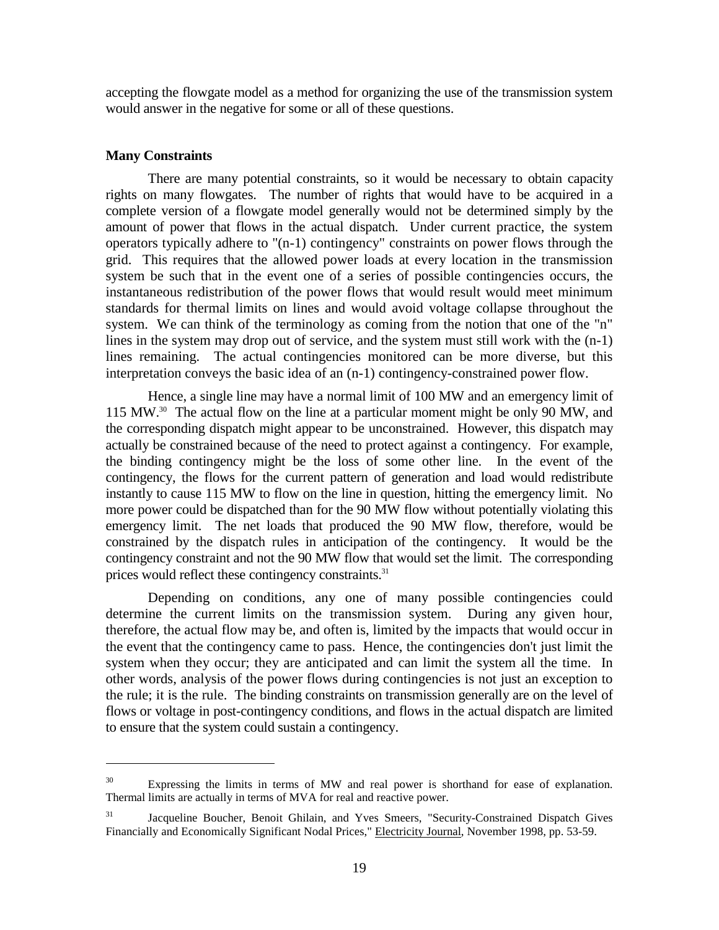accepting the flowgate model as a method for organizing the use of the transmission system would answer in the negative for some or all of these questions.

#### **Many Constraints**

 $\overline{a}$ 

There are many potential constraints, so it would be necessary to obtain capacity rights on many flowgates. The number of rights that would have to be acquired in a complete version of a flowgate model generally would not be determined simply by the amount of power that flows in the actual dispatch. Under current practice, the system operators typically adhere to "(n-1) contingency" constraints on power flows through the grid. This requires that the allowed power loads at every location in the transmission system be such that in the event one of a series of possible contingencies occurs, the instantaneous redistribution of the power flows that would result would meet minimum standards for thermal limits on lines and would avoid voltage collapse throughout the system. We can think of the terminology as coming from the notion that one of the "n" lines in the system may drop out of service, and the system must still work with the (n-1) lines remaining. The actual contingencies monitored can be more diverse, but this interpretation conveys the basic idea of an (n-1) contingency-constrained power flow.

Hence, a single line may have a normal limit of 100 MW and an emergency limit of 115 MW.30 The actual flow on the line at a particular moment might be only 90 MW, and the corresponding dispatch might appear to be unconstrained. However, this dispatch may actually be constrained because of the need to protect against a contingency. For example, the binding contingency might be the loss of some other line. In the event of the contingency, the flows for the current pattern of generation and load would redistribute instantly to cause 115 MW to flow on the line in question, hitting the emergency limit. No more power could be dispatched than for the 90 MW flow without potentially violating this emergency limit. The net loads that produced the 90 MW flow, therefore, would be constrained by the dispatch rules in anticipation of the contingency. It would be the contingency constraint and not the 90 MW flow that would set the limit. The corresponding prices would reflect these contingency constraints.<sup>31</sup>

Depending on conditions, any one of many possible contingencies could determine the current limits on the transmission system. During any given hour, therefore, the actual flow may be, and often is, limited by the impacts that would occur in the event that the contingency came to pass. Hence, the contingencies don't just limit the system when they occur; they are anticipated and can limit the system all the time. In other words, analysis of the power flows during contingencies is not just an exception to the rule; it is the rule. The binding constraints on transmission generally are on the level of flows or voltage in post-contingency conditions, and flows in the actual dispatch are limited to ensure that the system could sustain a contingency.

<sup>&</sup>lt;sup>30</sup> Expressing the limits in terms of MW and real power is shorthand for ease of explanation. Thermal limits are actually in terms of MVA for real and reactive power.

<sup>&</sup>lt;sup>31</sup> Jacqueline Boucher, Benoit Ghilain, and Yves Smeers, "Security-Constrained Dispatch Gives Financially and Economically Significant Nodal Prices," Electricity Journal, November 1998, pp. 53-59.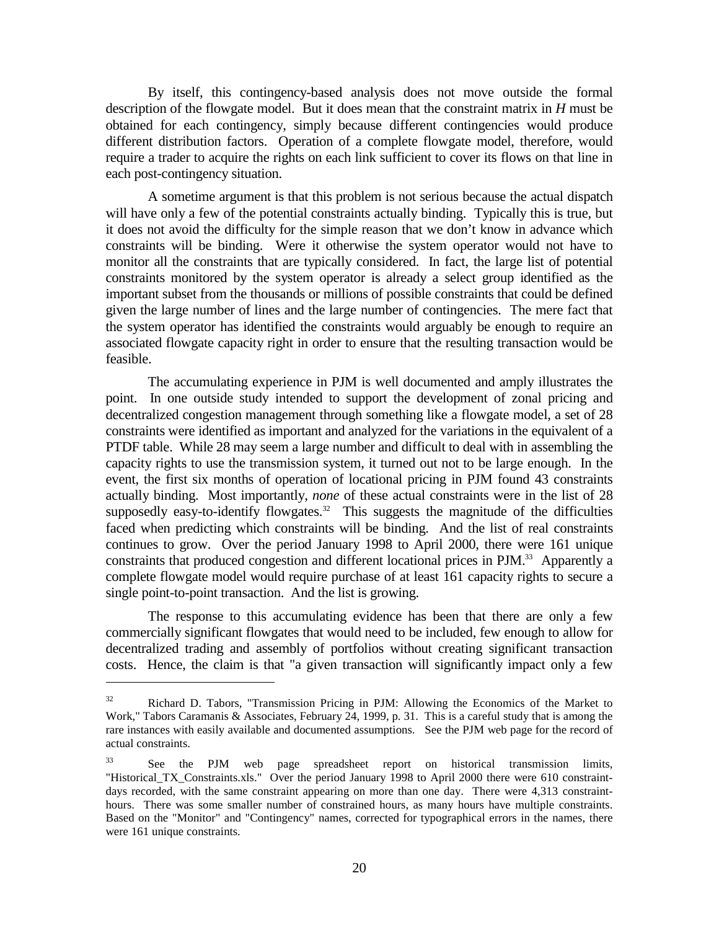By itself, this contingency-based analysis does not move outside the formal description of the flowgate model. But it does mean that the constraint matrix in *H* must be obtained for each contingency, simply because different contingencies would produce different distribution factors. Operation of a complete flowgate model, therefore, would require a trader to acquire the rights on each link sufficient to cover its flows on that line in each post-contingency situation.

A sometime argument is that this problem is not serious because the actual dispatch will have only a few of the potential constraints actually binding. Typically this is true, but it does not avoid the difficulty for the simple reason that we don't know in advance which constraints will be binding. Were it otherwise the system operator would not have to monitor all the constraints that are typically considered. In fact, the large list of potential constraints monitored by the system operator is already a select group identified as the important subset from the thousands or millions of possible constraints that could be defined given the large number of lines and the large number of contingencies. The mere fact that the system operator has identified the constraints would arguably be enough to require an associated flowgate capacity right in order to ensure that the resulting transaction would be feasible.

The accumulating experience in PJM is well documented and amply illustrates the point. In one outside study intended to support the development of zonal pricing and decentralized congestion management through something like a flowgate model, a set of 28 constraints were identified as important and analyzed for the variations in the equivalent of a PTDF table. While 28 may seem a large number and difficult to deal with in assembling the capacity rights to use the transmission system, it turned out not to be large enough. In the event, the first six months of operation of locational pricing in PJM found 43 constraints actually binding. Most importantly, *none* of these actual constraints were in the list of 28 supposedly easy-to-identify flowgates.<sup>32</sup> This suggests the magnitude of the difficulties faced when predicting which constraints will be binding. And the list of real constraints continues to grow. Over the period January 1998 to April 2000, there were 161 unique constraints that produced congestion and different locational prices in PJM.<sup>33</sup> Apparently a complete flowgate model would require purchase of at least 161 capacity rights to secure a single point-to-point transaction. And the list is growing.

The response to this accumulating evidence has been that there are only a few commercially significant flowgates that would need to be included, few enough to allow for decentralized trading and assembly of portfolios without creating significant transaction costs. Hence, the claim is that "a given transaction will significantly impact only a few

 $32$  Richard D. Tabors, "Transmission Pricing in PJM: Allowing the Economics of the Market to Work," Tabors Caramanis & Associates, February 24, 1999, p. 31. This is a careful study that is among the rare instances with easily available and documented assumptions. See the PJM web page for the record of actual constraints.

<sup>&</sup>lt;sup>33</sup> See the PJM web page spreadsheet report on historical transmission limits, "Historical TX Constraints.xls." Over the period January 1998 to April 2000 there were 610 constraintdays recorded, with the same constraint appearing on more than one day. There were 4,313 constrainthours. There was some smaller number of constrained hours, as many hours have multiple constraints. Based on the "Monitor" and "Contingency" names, corrected for typographical errors in the names, there were 161 unique constraints.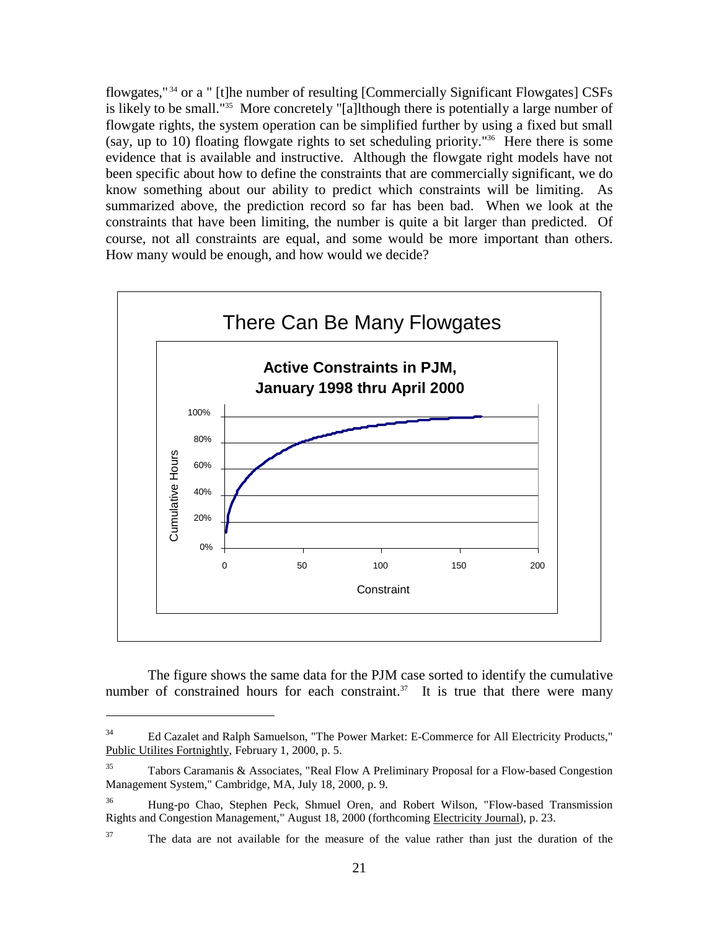flowgates," 34 or a " [t]he number of resulting [Commercially Significant Flowgates] CSFs is likely to be small."35 More concretely "[a]lthough there is potentially a large number of flowgate rights, the system operation can be simplified further by using a fixed but small (say, up to 10) floating flowgate rights to set scheduling priority."<sup>36</sup> Here there is some evidence that is available and instructive. Although the flowgate right models have not been specific about how to define the constraints that are commercially significant, we do know something about our ability to predict which constraints will be limiting. As summarized above, the prediction record so far has been bad. When we look at the constraints that have been limiting, the number is quite a bit larger than predicted. Of course, not all constraints are equal, and some would be more important than others. How many would be enough, and how would we decide?



The figure shows the same data for the PJM case sorted to identify the cumulative number of constrained hours for each constraint.<sup>37</sup> It is true that there were many

<sup>&</sup>lt;sup>34</sup> Ed Cazalet and Ralph Samuelson, "The Power Market: E-Commerce for All Electricity Products," Public Utilites Fortnightly, February 1, 2000, p. 5.

 $35$  Tabors Caramanis & Associates, "Real Flow A Preliminary Proposal for a Flow-based Congestion Management System," Cambridge, MA, July 18, 2000, p. 9.

<sup>36</sup> Hung-po Chao, Stephen Peck, Shmuel Oren, and Robert Wilson, "Flow-based Transmission Rights and Congestion Management," August 18, 2000 (forthcoming Electricity Journal), p. 23.

<sup>&</sup>lt;sup>37</sup> The data are not available for the measure of the value rather than just the duration of the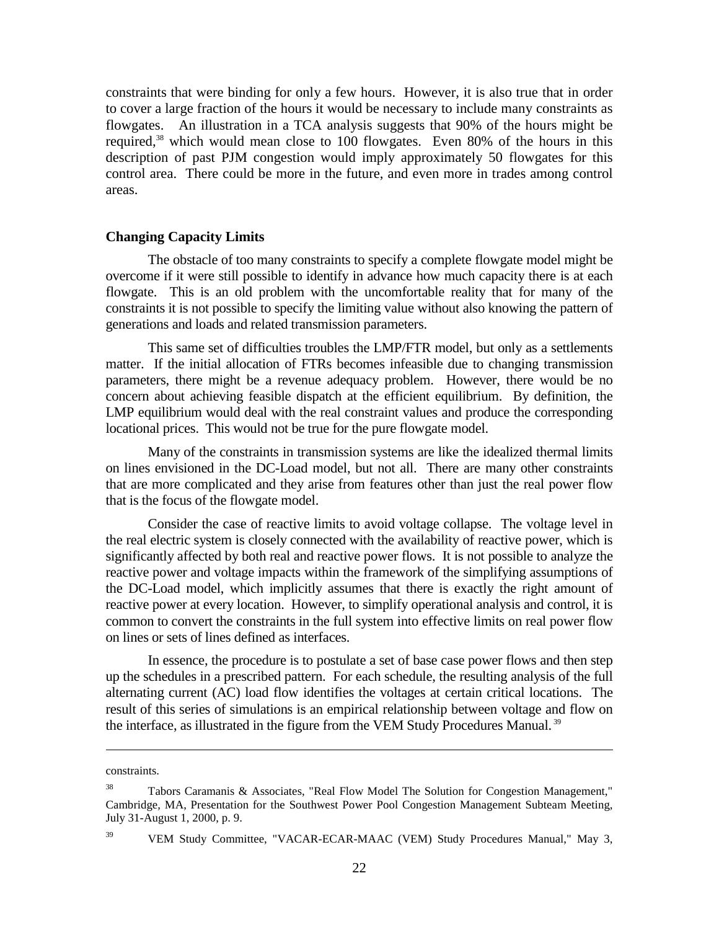constraints that were binding for only a few hours. However, it is also true that in order to cover a large fraction of the hours it would be necessary to include many constraints as flowgates. An illustration in a TCA analysis suggests that 90% of the hours might be required, $38$  which would mean close to 100 flowgates. Even 80% of the hours in this description of past PJM congestion would imply approximately 50 flowgates for this control area. There could be more in the future, and even more in trades among control areas.

#### **Changing Capacity Limits**

The obstacle of too many constraints to specify a complete flowgate model might be overcome if it were still possible to identify in advance how much capacity there is at each flowgate. This is an old problem with the uncomfortable reality that for many of the constraints it is not possible to specify the limiting value without also knowing the pattern of generations and loads and related transmission parameters.

This same set of difficulties troubles the LMP/FTR model, but only as a settlements matter. If the initial allocation of FTRs becomes infeasible due to changing transmission parameters, there might be a revenue adequacy problem. However, there would be no concern about achieving feasible dispatch at the efficient equilibrium. By definition, the LMP equilibrium would deal with the real constraint values and produce the corresponding locational prices. This would not be true for the pure flowgate model.

Many of the constraints in transmission systems are like the idealized thermal limits on lines envisioned in the DC-Load model, but not all. There are many other constraints that are more complicated and they arise from features other than just the real power flow that is the focus of the flowgate model.

Consider the case of reactive limits to avoid voltage collapse. The voltage level in the real electric system is closely connected with the availability of reactive power, which is significantly affected by both real and reactive power flows. It is not possible to analyze the reactive power and voltage impacts within the framework of the simplifying assumptions of the DC-Load model, which implicitly assumes that there is exactly the right amount of reactive power at every location. However, to simplify operational analysis and control, it is common to convert the constraints in the full system into effective limits on real power flow on lines or sets of lines defined as interfaces.

In essence, the procedure is to postulate a set of base case power flows and then step up the schedules in a prescribed pattern. For each schedule, the resulting analysis of the full alternating current (AC) load flow identifies the voltages at certain critical locations. The result of this series of simulations is an empirical relationship between voltage and flow on the interface, as illustrated in the figure from the VEM Study Procedures Manual. 39

constraints.

<sup>38</sup> Tabors Caramanis & Associates, "Real Flow Model The Solution for Congestion Management," Cambridge, MA, Presentation for the Southwest Power Pool Congestion Management Subteam Meeting, July 31-August 1, 2000, p. 9.

<sup>&</sup>lt;sup>39</sup> VEM Study Committee, "VACAR-ECAR-MAAC (VEM) Study Procedures Manual," May 3,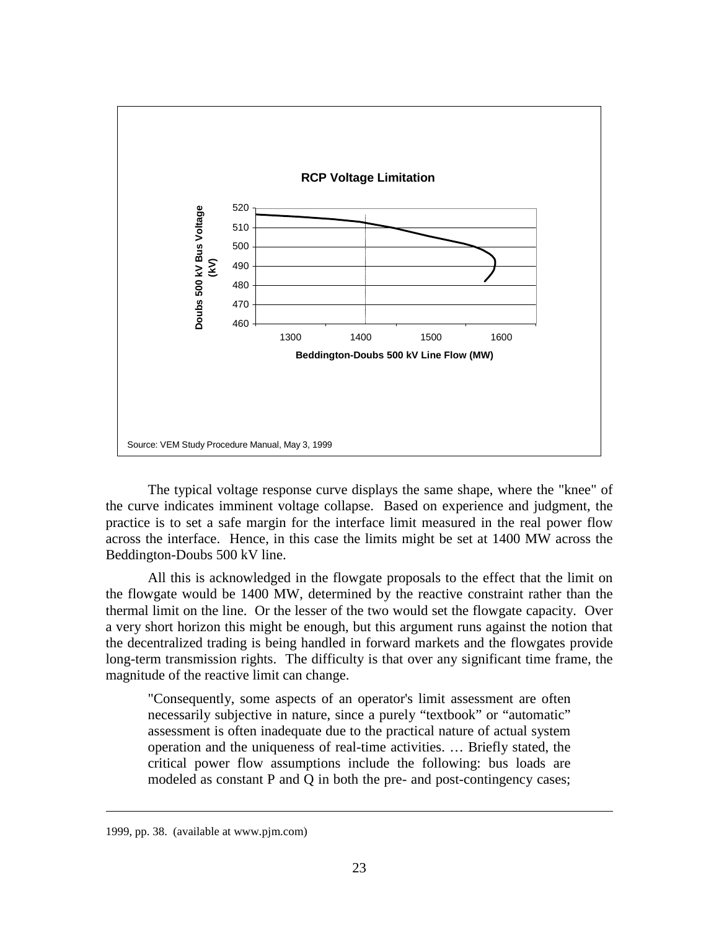

The typical voltage response curve displays the same shape, where the "knee" of the curve indicates imminent voltage collapse. Based on experience and judgment, the practice is to set a safe margin for the interface limit measured in the real power flow across the interface. Hence, in this case the limits might be set at 1400 MW across the Beddington-Doubs 500 kV line.

All this is acknowledged in the flowgate proposals to the effect that the limit on the flowgate would be 1400 MW, determined by the reactive constraint rather than the thermal limit on the line. Or the lesser of the two would set the flowgate capacity. Over a very short horizon this might be enough, but this argument runs against the notion that the decentralized trading is being handled in forward markets and the flowgates provide long-term transmission rights. The difficulty is that over any significant time frame, the magnitude of the reactive limit can change.

"Consequently, some aspects of an operator's limit assessment are often necessarily subjective in nature, since a purely "textbook" or "automatic" assessment is often inadequate due to the practical nature of actual system operation and the uniqueness of real-time activities. … Briefly stated, the critical power flow assumptions include the following: bus loads are modeled as constant P and Q in both the pre- and post-contingency cases;

<sup>1999,</sup> pp. 38. (available at www.pjm.com)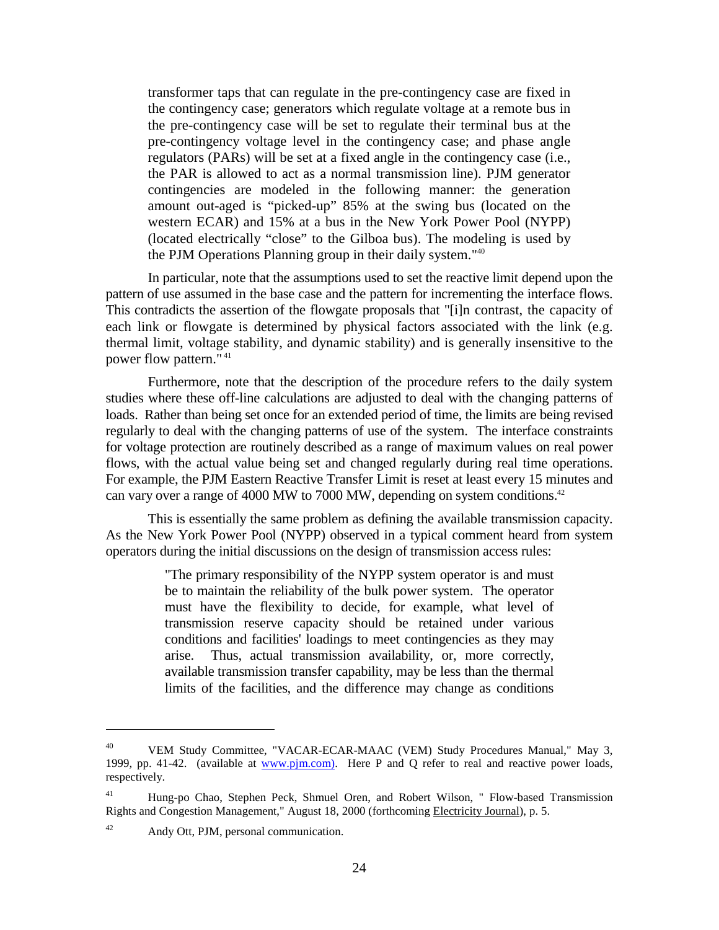transformer taps that can regulate in the pre-contingency case are fixed in the contingency case; generators which regulate voltage at a remote bus in the pre-contingency case will be set to regulate their terminal bus at the pre-contingency voltage level in the contingency case; and phase angle regulators (PARs) will be set at a fixed angle in the contingency case (i.e., the PAR is allowed to act as a normal transmission line). PJM generator contingencies are modeled in the following manner: the generation amount out-aged is "picked-up" 85% at the swing bus (located on the western ECAR) and 15% at a bus in the New York Power Pool (NYPP) (located electrically "close" to the Gilboa bus). The modeling is used by the PJM Operations Planning group in their daily system."40

In particular, note that the assumptions used to set the reactive limit depend upon the pattern of use assumed in the base case and the pattern for incrementing the interface flows. This contradicts the assertion of the flowgate proposals that "[i]n contrast, the capacity of each link or flowgate is determined by physical factors associated with the link (e.g. thermal limit, voltage stability, and dynamic stability) and is generally insensitive to the power flow pattern." 41

Furthermore, note that the description of the procedure refers to the daily system studies where these off-line calculations are adjusted to deal with the changing patterns of loads. Rather than being set once for an extended period of time, the limits are being revised regularly to deal with the changing patterns of use of the system. The interface constraints for voltage protection are routinely described as a range of maximum values on real power flows, with the actual value being set and changed regularly during real time operations. For example, the PJM Eastern Reactive Transfer Limit is reset at least every 15 minutes and can vary over a range of 4000 MW to 7000 MW, depending on system conditions.<sup>42</sup>

This is essentially the same problem as defining the available transmission capacity. As the New York Power Pool (NYPP) observed in a typical comment heard from system operators during the initial discussions on the design of transmission access rules:

> "The primary responsibility of the NYPP system operator is and must be to maintain the reliability of the bulk power system. The operator must have the flexibility to decide, for example, what level of transmission reserve capacity should be retained under various conditions and facilities' loadings to meet contingencies as they may arise. Thus, actual transmission availability, or, more correctly, available transmission transfer capability, may be less than the thermal limits of the facilities, and the difference may change as conditions

<sup>40</sup> VEM Study Committee, "VACAR-ECAR-MAAC (VEM) Study Procedures Manual," May 3, 1999, pp. 41-42. (available at www.pjm.com). Here P and Q refer to real and reactive power loads, respectively.

<sup>41</sup> Hung-po Chao, Stephen Peck, Shmuel Oren, and Robert Wilson, " Flow-based Transmission Rights and Congestion Management," August 18, 2000 (forthcoming Electricity Journal), p. 5.

<sup>42</sup> Andy Ott, PJM, personal communication.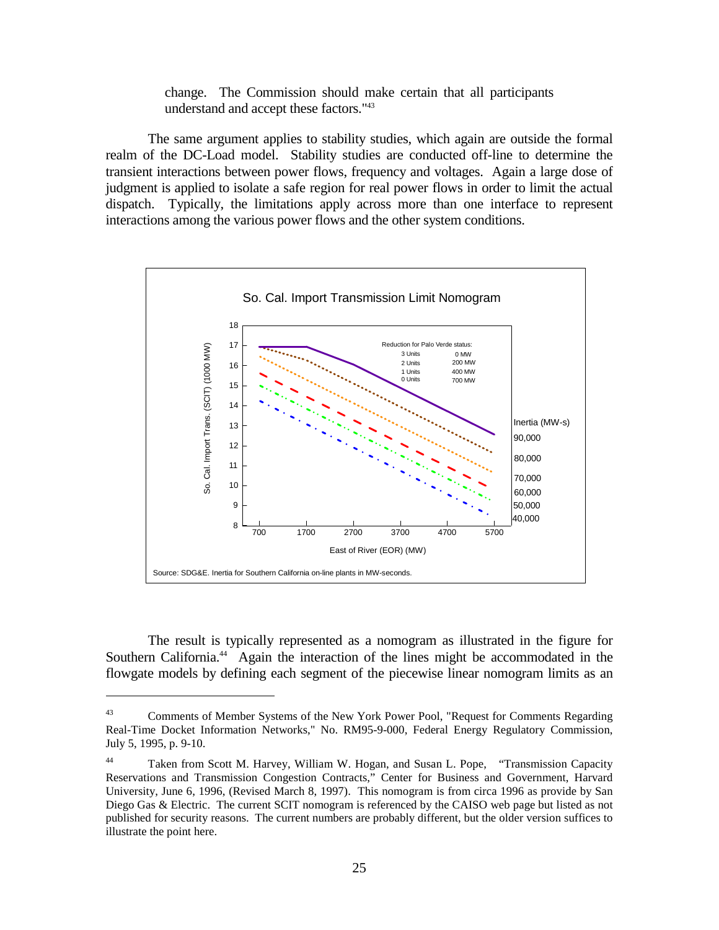change. The Commission should make certain that all participants understand and accept these factors."43

The same argument applies to stability studies, which again are outside the formal realm of the DC-Load model. Stability studies are conducted off-line to determine the transient interactions between power flows, frequency and voltages. Again a large dose of judgment is applied to isolate a safe region for real power flows in order to limit the actual dispatch. Typically, the limitations apply across more than one interface to represent interactions among the various power flows and the other system conditions.



The result is typically represented as a nomogram as illustrated in the figure for Southern California.<sup>44</sup> Again the interaction of the lines might be accommodated in the flowgate models by defining each segment of the piecewise linear nomogram limits as an

<sup>43</sup> Comments of Member Systems of the New York Power Pool, "Request for Comments Regarding Real-Time Docket Information Networks," No. RM95-9-000, Federal Energy Regulatory Commission, July 5, 1995, p. 9-10.

<sup>44</sup> Taken from Scott M. Harvey, William W. Hogan, and Susan L. Pope, "Transmission Capacity Reservations and Transmission Congestion Contracts," Center for Business and Government, Harvard University, June 6, 1996, (Revised March 8, 1997). This nomogram is from circa 1996 as provide by San Diego Gas & Electric. The current SCIT nomogram is referenced by the CAISO web page but listed as not published for security reasons. The current numbers are probably different, but the older version suffices to illustrate the point here.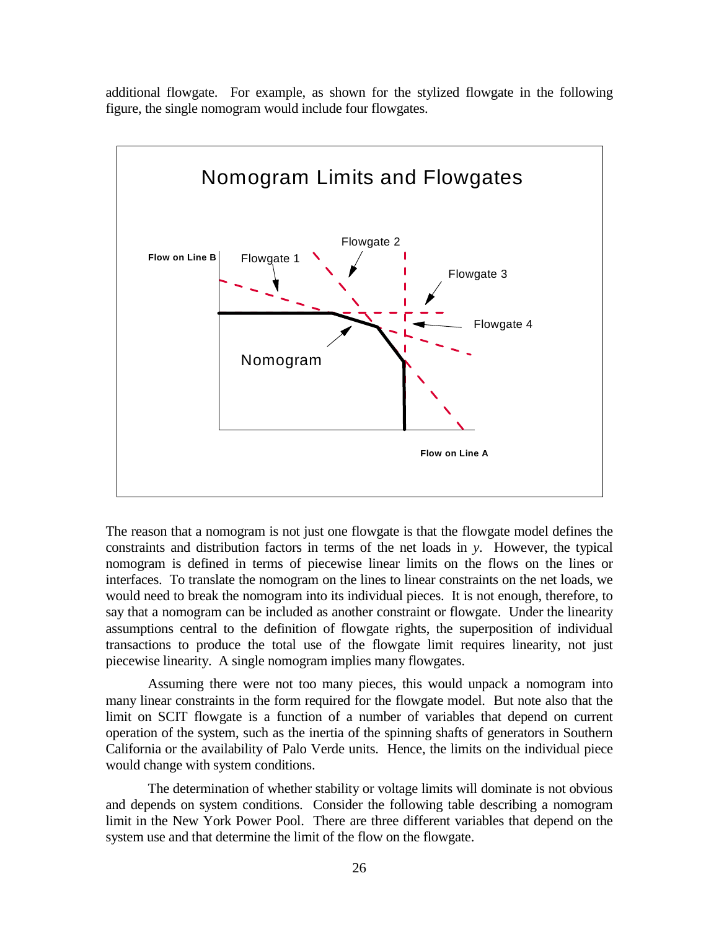additional flowgate. For example, as shown for the stylized flowgate in the following figure, the single nomogram would include four flowgates.



The reason that a nomogram is not just one flowgate is that the flowgate model defines the constraints and distribution factors in terms of the net loads in *y*. However, the typical nomogram is defined in terms of piecewise linear limits on the flows on the lines or interfaces. To translate the nomogram on the lines to linear constraints on the net loads, we would need to break the nomogram into its individual pieces. It is not enough, therefore, to say that a nomogram can be included as another constraint or flowgate. Under the linearity assumptions central to the definition of flowgate rights, the superposition of individual transactions to produce the total use of the flowgate limit requires linearity, not just piecewise linearity. A single nomogram implies many flowgates.

Assuming there were not too many pieces, this would unpack a nomogram into many linear constraints in the form required for the flowgate model. But note also that the limit on SCIT flowgate is a function of a number of variables that depend on current operation of the system, such as the inertia of the spinning shafts of generators in Southern California or the availability of Palo Verde units. Hence, the limits on the individual piece would change with system conditions.

The determination of whether stability or voltage limits will dominate is not obvious and depends on system conditions. Consider the following table describing a nomogram limit in the New York Power Pool. There are three different variables that depend on the system use and that determine the limit of the flow on the flowgate.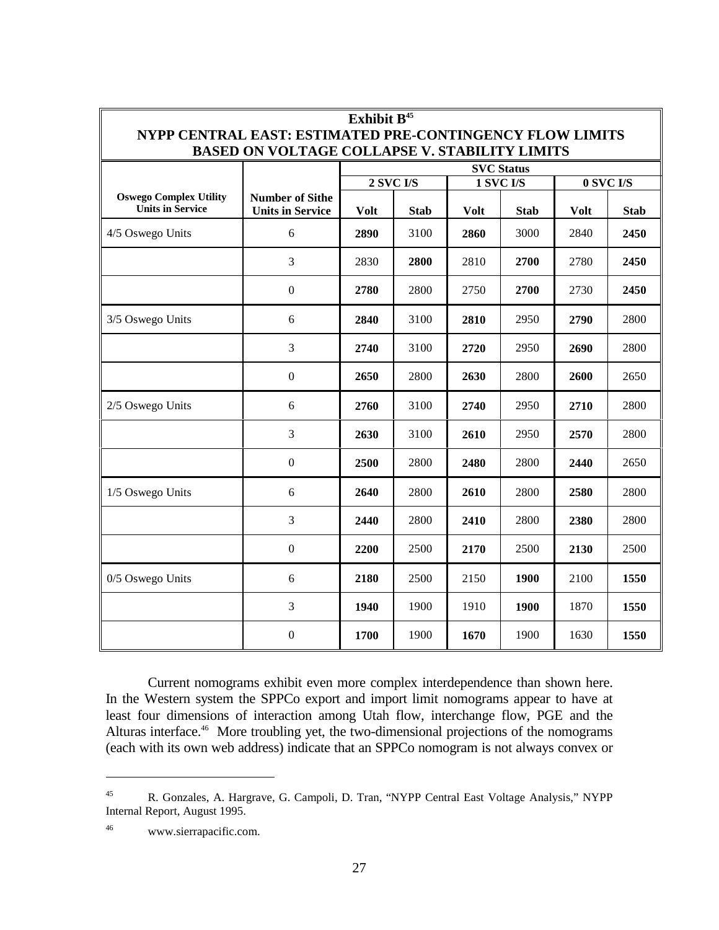| Exhibit B <sup>45</sup><br>NYPP CENTRAL EAST: ESTIMATED PRE-CONTINGENCY FLOW LIMITS<br><b>BASED ON VOLTAGE COLLAPSE V. STABILITY LIMITS</b> |                                                   |                                      |             |             |             |             |             |                   |
|---------------------------------------------------------------------------------------------------------------------------------------------|---------------------------------------------------|--------------------------------------|-------------|-------------|-------------|-------------|-------------|-------------------|
|                                                                                                                                             |                                                   |                                      |             |             |             |             |             | <b>SVC Status</b> |
|                                                                                                                                             |                                                   | <b>1 SVC I/S</b><br><b>2 SVC I/S</b> |             |             |             |             | 0 SVC I/S   |                   |
| <b>Oswego Complex Utility</b><br><b>Units in Service</b>                                                                                    | <b>Number of Sithe</b><br><b>Units in Service</b> | <b>Volt</b>                          | <b>Stab</b> | <b>Volt</b> | <b>Stab</b> | <b>Volt</b> | <b>Stab</b> |                   |
| 4/5 Oswego Units                                                                                                                            | 6                                                 | 2890                                 | 3100        | 2860        | 3000        | 2840        | 2450        |                   |
|                                                                                                                                             | 3                                                 | 2830                                 | 2800        | 2810        | 2700        | 2780        | 2450        |                   |
|                                                                                                                                             | $\mathbf{0}$                                      | 2780                                 | 2800        | 2750        | 2700        | 2730        | 2450        |                   |
| 3/5 Oswego Units                                                                                                                            | 6                                                 | 2840                                 | 3100        | 2810        | 2950        | 2790        | 2800        |                   |
|                                                                                                                                             | 3                                                 | 2740                                 | 3100        | 2720        | 2950        | 2690        | 2800        |                   |
|                                                                                                                                             | $\mathbf{0}$                                      | 2650                                 | 2800        | 2630        | 2800        | 2600        | 2650        |                   |
| 2/5 Oswego Units                                                                                                                            | 6                                                 | 2760                                 | 3100        | 2740        | 2950        | 2710        | 2800        |                   |
|                                                                                                                                             | 3                                                 | 2630                                 | 3100        | 2610        | 2950        | 2570        | 2800        |                   |
|                                                                                                                                             | $\boldsymbol{0}$                                  | 2500                                 | 2800        | 2480        | 2800        | 2440        | 2650        |                   |
| 1/5 Oswego Units                                                                                                                            | 6                                                 | 2640                                 | 2800        | 2610        | 2800        | 2580        | 2800        |                   |
|                                                                                                                                             | 3                                                 | 2440                                 | 2800        | 2410        | 2800        | 2380        | 2800        |                   |
|                                                                                                                                             | $\mathbf{0}$                                      | 2200                                 | 2500        | 2170        | 2500        | 2130        | 2500        |                   |
| 0/5 Oswego Units                                                                                                                            | 6                                                 | 2180                                 | 2500        | 2150        | 1900        | 2100        | 1550        |                   |
|                                                                                                                                             | 3                                                 | 1940                                 | 1900        | 1910        | 1900        | 1870        | 1550        |                   |
|                                                                                                                                             | $\mathbf{0}$                                      | 1700                                 | 1900        | 1670        | 1900        | 1630        | 1550        |                   |

Current nomograms exhibit even more complex interdependence than shown here. In the Western system the SPPCo export and import limit nomograms appear to have at least four dimensions of interaction among Utah flow, interchange flow, PGE and the Alturas interface.46 More troubling yet, the two-dimensional projections of the nomograms (each with its own web address) indicate that an SPPCo nomogram is not always convex or

<sup>45</sup> R. Gonzales, A. Hargrave, G. Campoli, D. Tran, "NYPP Central East Voltage Analysis," NYPP Internal Report, August 1995.

<sup>46</sup> www.sierrapacific.com.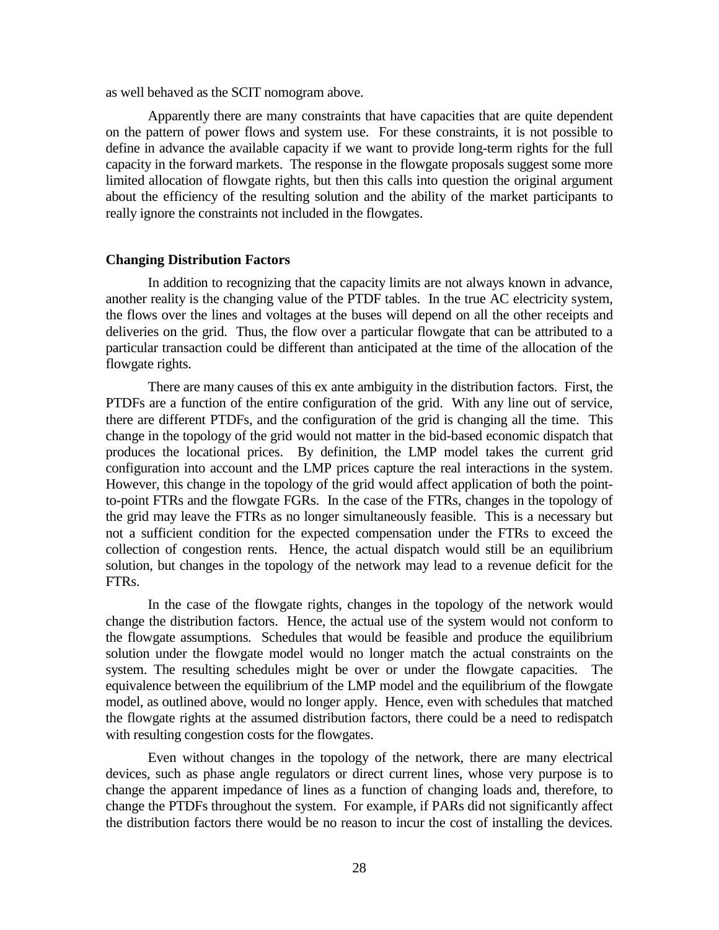as well behaved as the SCIT nomogram above.

Apparently there are many constraints that have capacities that are quite dependent on the pattern of power flows and system use. For these constraints, it is not possible to define in advance the available capacity if we want to provide long-term rights for the full capacity in the forward markets. The response in the flowgate proposals suggest some more limited allocation of flowgate rights, but then this calls into question the original argument about the efficiency of the resulting solution and the ability of the market participants to really ignore the constraints not included in the flowgates.

#### **Changing Distribution Factors**

In addition to recognizing that the capacity limits are not always known in advance, another reality is the changing value of the PTDF tables. In the true AC electricity system, the flows over the lines and voltages at the buses will depend on all the other receipts and deliveries on the grid. Thus, the flow over a particular flowgate that can be attributed to a particular transaction could be different than anticipated at the time of the allocation of the flowgate rights.

There are many causes of this ex ante ambiguity in the distribution factors. First, the PTDFs are a function of the entire configuration of the grid. With any line out of service, there are different PTDFs, and the configuration of the grid is changing all the time. This change in the topology of the grid would not matter in the bid-based economic dispatch that produces the locational prices. By definition, the LMP model takes the current grid configuration into account and the LMP prices capture the real interactions in the system. However, this change in the topology of the grid would affect application of both the pointto-point FTRs and the flowgate FGRs. In the case of the FTRs, changes in the topology of the grid may leave the FTRs as no longer simultaneously feasible. This is a necessary but not a sufficient condition for the expected compensation under the FTRs to exceed the collection of congestion rents. Hence, the actual dispatch would still be an equilibrium solution, but changes in the topology of the network may lead to a revenue deficit for the FTRs.

In the case of the flowgate rights, changes in the topology of the network would change the distribution factors. Hence, the actual use of the system would not conform to the flowgate assumptions. Schedules that would be feasible and produce the equilibrium solution under the flowgate model would no longer match the actual constraints on the system. The resulting schedules might be over or under the flowgate capacities. The equivalence between the equilibrium of the LMP model and the equilibrium of the flowgate model, as outlined above, would no longer apply. Hence, even with schedules that matched the flowgate rights at the assumed distribution factors, there could be a need to redispatch with resulting congestion costs for the flowgates.

Even without changes in the topology of the network, there are many electrical devices, such as phase angle regulators or direct current lines, whose very purpose is to change the apparent impedance of lines as a function of changing loads and, therefore, to change the PTDFs throughout the system. For example, if PARs did not significantly affect the distribution factors there would be no reason to incur the cost of installing the devices.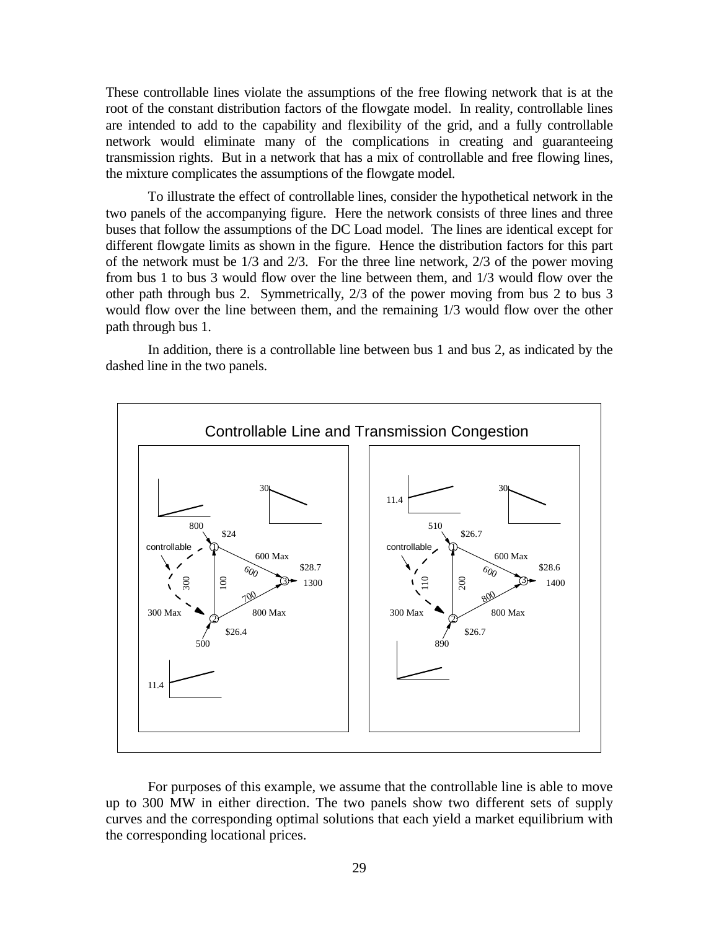These controllable lines violate the assumptions of the free flowing network that is at the root of the constant distribution factors of the flowgate model. In reality, controllable lines are intended to add to the capability and flexibility of the grid, and a fully controllable network would eliminate many of the complications in creating and guaranteeing transmission rights. But in a network that has a mix of controllable and free flowing lines, the mixture complicates the assumptions of the flowgate model.

To illustrate the effect of controllable lines, consider the hypothetical network in the two panels of the accompanying figure. Here the network consists of three lines and three buses that follow the assumptions of the DC Load model. The lines are identical except for different flowgate limits as shown in the figure. Hence the distribution factors for this part of the network must be  $1/3$  and  $2/3$ . For the three line network,  $2/3$  of the power moving from bus 1 to bus 3 would flow over the line between them, and 1/3 would flow over the other path through bus 2. Symmetrically, 2/3 of the power moving from bus 2 to bus 3 would flow over the line between them, and the remaining 1/3 would flow over the other path through bus 1.

In addition, there is a controllable line between bus 1 and bus 2, as indicated by the dashed line in the two panels.



For purposes of this example, we assume that the controllable line is able to move up to 300 MW in either direction. The two panels show two different sets of supply curves and the corresponding optimal solutions that each yield a market equilibrium with the corresponding locational prices.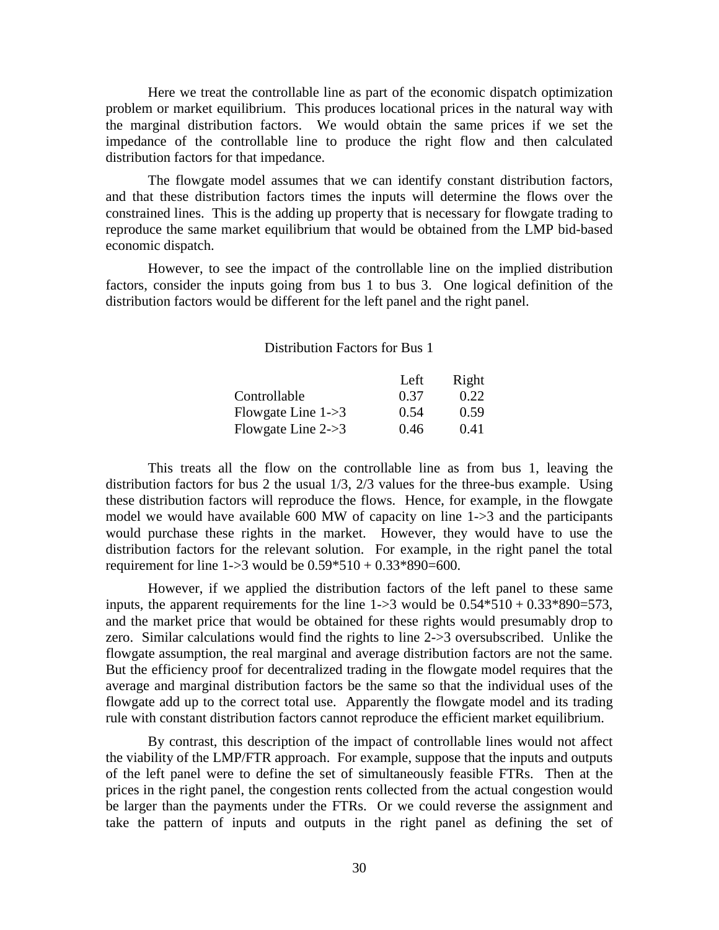Here we treat the controllable line as part of the economic dispatch optimization problem or market equilibrium. This produces locational prices in the natural way with the marginal distribution factors. We would obtain the same prices if we set the impedance of the controllable line to produce the right flow and then calculated distribution factors for that impedance.

The flowgate model assumes that we can identify constant distribution factors, and that these distribution factors times the inputs will determine the flows over the constrained lines. This is the adding up property that is necessary for flowgate trading to reproduce the same market equilibrium that would be obtained from the LMP bid-based economic dispatch.

However, to see the impact of the controllable line on the implied distribution factors, consider the inputs going from bus 1 to bus 3. One logical definition of the distribution factors would be different for the left panel and the right panel.

Distribution Factors for Bus 1

|                                | Left | Right |
|--------------------------------|------|-------|
| Controllable                   | 0.37 | 0.22  |
| Flowgate Line $1\rightarrow 3$ | 0.54 | 0.59  |
| Flowgate Line $2\rightarrow 3$ | 0.46 | 0.41  |

This treats all the flow on the controllable line as from bus 1, leaving the distribution factors for bus 2 the usual 1/3, 2/3 values for the three-bus example. Using these distribution factors will reproduce the flows. Hence, for example, in the flowgate model we would have available  $600$  MW of capacity on line  $1\rightarrow 3$  and the participants would purchase these rights in the market. However, they would have to use the distribution factors for the relevant solution. For example, in the right panel the total requirement for line  $1\rightarrow 3$  would be  $0.59*510 + 0.33*890=600$ .

However, if we applied the distribution factors of the left panel to these same inputs, the apparent requirements for the line  $1\rightarrow 3$  would be  $0.54*510 + 0.33*890=573$ , and the market price that would be obtained for these rights would presumably drop to zero. Similar calculations would find the rights to line 2->3 oversubscribed. Unlike the flowgate assumption, the real marginal and average distribution factors are not the same. But the efficiency proof for decentralized trading in the flowgate model requires that the average and marginal distribution factors be the same so that the individual uses of the flowgate add up to the correct total use. Apparently the flowgate model and its trading rule with constant distribution factors cannot reproduce the efficient market equilibrium.

By contrast, this description of the impact of controllable lines would not affect the viability of the LMP/FTR approach. For example, suppose that the inputs and outputs of the left panel were to define the set of simultaneously feasible FTRs. Then at the prices in the right panel, the congestion rents collected from the actual congestion would be larger than the payments under the FTRs. Or we could reverse the assignment and take the pattern of inputs and outputs in the right panel as defining the set of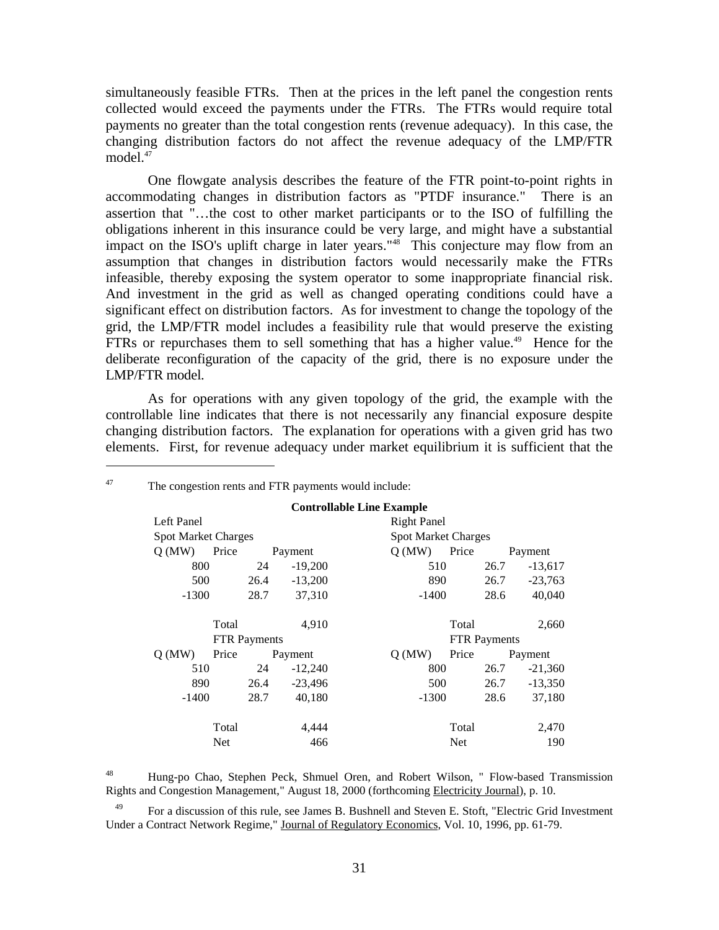simultaneously feasible FTRs. Then at the prices in the left panel the congestion rents collected would exceed the payments under the FTRs. The FTRs would require total payments no greater than the total congestion rents (revenue adequacy). In this case, the changing distribution factors do not affect the revenue adequacy of the LMP/FTR model.<sup>47</sup>

One flowgate analysis describes the feature of the FTR point-to-point rights in accommodating changes in distribution factors as "PTDF insurance." There is an assertion that "…the cost to other market participants or to the ISO of fulfilling the obligations inherent in this insurance could be very large, and might have a substantial impact on the ISO's uplift charge in later years."48 This conjecture may flow from an assumption that changes in distribution factors would necessarily make the FTRs infeasible, thereby exposing the system operator to some inappropriate financial risk. And investment in the grid as well as changed operating conditions could have a significant effect on distribution factors. As for investment to change the topology of the grid, the LMP/FTR model includes a feasibility rule that would preserve the existing FTRs or repurchases them to sell something that has a higher value.<sup>49</sup> Hence for the deliberate reconfiguration of the capacity of the grid, there is no exposure under the LMP/FTR model.

As for operations with any given topology of the grid, the example with the controllable line indicates that there is not necessarily any financial exposure despite changing distribution factors. The explanation for operations with a given grid has two elements. First, for revenue adequacy under market equilibrium it is sufficient that the

| <b>Controllable Line Example</b> |                |       |           |                     |                            |                    |           |  |  |  |
|----------------------------------|----------------|-------|-----------|---------------------|----------------------------|--------------------|-----------|--|--|--|
| Left Panel                       |                |       |           |                     |                            | <b>Right Panel</b> |           |  |  |  |
| <b>Spot Market Charges</b>       |                |       |           |                     | <b>Spot Market Charges</b> |                    |           |  |  |  |
| O(MW)                            | Price          |       | Payment   | O(MW)               | Price<br>Payment           |                    |           |  |  |  |
| 800                              |                | 24    | $-19,200$ | 510                 |                            | 26.7               | $-13,617$ |  |  |  |
| 500                              |                | 26.4  | $-13,200$ | 890                 |                            | 26.7               | $-23,763$ |  |  |  |
| $-1300$                          |                | 28.7  | 37,310    | $-1400$             |                            | 28.6               | 40,040    |  |  |  |
|                                  |                |       |           |                     |                            |                    |           |  |  |  |
|                                  | Total<br>4.910 |       |           |                     | Total<br>2,660             |                    |           |  |  |  |
| <b>FTR</b> Payments              |                |       |           | <b>FTR Payments</b> |                            |                    |           |  |  |  |
| O(MW)                            | Price          |       | Payment   | O(MW)               | Price                      |                    | Payment   |  |  |  |
| 510                              |                | 24    | $-12,240$ | 800                 |                            | 26.7               | $-21,360$ |  |  |  |
| 890                              |                | 26.4  | $-23,496$ | 500                 |                            | 26.7               | $-13,350$ |  |  |  |
| $-1400$                          |                | 28.7  | 40,180    | $-1300$             |                            | 28.6               | 37,180    |  |  |  |
|                                  |                |       |           |                     |                            |                    |           |  |  |  |
| Total                            |                | 4.444 |           | Total               |                            |                    |           |  |  |  |
| Net                              |                | 466   |           | <b>Net</b>          |                            |                    |           |  |  |  |

<sup>47</sup> The congestion rents and FTR payments would include:

 $\overline{a}$ 

48 Hung-po Chao, Stephen Peck, Shmuel Oren, and Robert Wilson, " Flow-based Transmission Rights and Congestion Management," August 18, 2000 (forthcoming Electricity Journal), p. 10.

<sup>49</sup> For a discussion of this rule, see James B. Bushnell and Steven E. Stoft, "Electric Grid Investment Under a Contract Network Regime," Journal of Regulatory Economics, Vol. 10, 1996, pp. 61-79.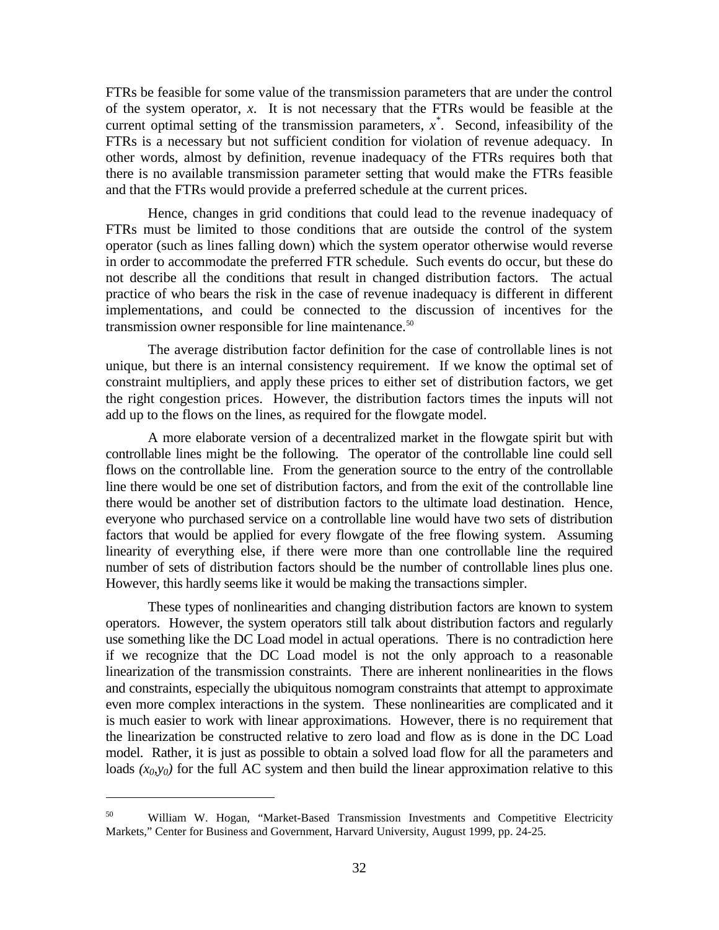FTRs be feasible for some value of the transmission parameters that are under the control of the system operator, *x*. It is not necessary that the FTRs would be feasible at the current optimal setting of the transmission parameters, *x \** . Second, infeasibility of the FTRs is a necessary but not sufficient condition for violation of revenue adequacy. In other words, almost by definition, revenue inadequacy of the FTRs requires both that there is no available transmission parameter setting that would make the FTRs feasible and that the FTRs would provide a preferred schedule at the current prices.

Hence, changes in grid conditions that could lead to the revenue inadequacy of FTRs must be limited to those conditions that are outside the control of the system operator (such as lines falling down) which the system operator otherwise would reverse in order to accommodate the preferred FTR schedule. Such events do occur, but these do not describe all the conditions that result in changed distribution factors. The actual practice of who bears the risk in the case of revenue inadequacy is different in different implementations, and could be connected to the discussion of incentives for the transmission owner responsible for line maintenance.<sup>50</sup>

The average distribution factor definition for the case of controllable lines is not unique, but there is an internal consistency requirement. If we know the optimal set of constraint multipliers, and apply these prices to either set of distribution factors, we get the right congestion prices. However, the distribution factors times the inputs will not add up to the flows on the lines, as required for the flowgate model.

A more elaborate version of a decentralized market in the flowgate spirit but with controllable lines might be the following. The operator of the controllable line could sell flows on the controllable line. From the generation source to the entry of the controllable line there would be one set of distribution factors, and from the exit of the controllable line there would be another set of distribution factors to the ultimate load destination. Hence, everyone who purchased service on a controllable line would have two sets of distribution factors that would be applied for every flowgate of the free flowing system. Assuming linearity of everything else, if there were more than one controllable line the required number of sets of distribution factors should be the number of controllable lines plus one. However, this hardly seems like it would be making the transactions simpler.

These types of nonlinearities and changing distribution factors are known to system operators. However, the system operators still talk about distribution factors and regularly use something like the DC Load model in actual operations. There is no contradiction here if we recognize that the DC Load model is not the only approach to a reasonable linearization of the transmission constraints. There are inherent nonlinearities in the flows and constraints, especially the ubiquitous nomogram constraints that attempt to approximate even more complex interactions in the system. These nonlinearities are complicated and it is much easier to work with linear approximations. However, there is no requirement that the linearization be constructed relative to zero load and flow as is done in the DC Load model. Rather, it is just as possible to obtain a solved load flow for all the parameters and loads  $(x_0, y_0)$  for the full AC system and then build the linear approximation relative to this

<sup>50</sup> William W. Hogan, "Market-Based Transmission Investments and Competitive Electricity Markets," Center for Business and Government, Harvard University, August 1999, pp. 24-25.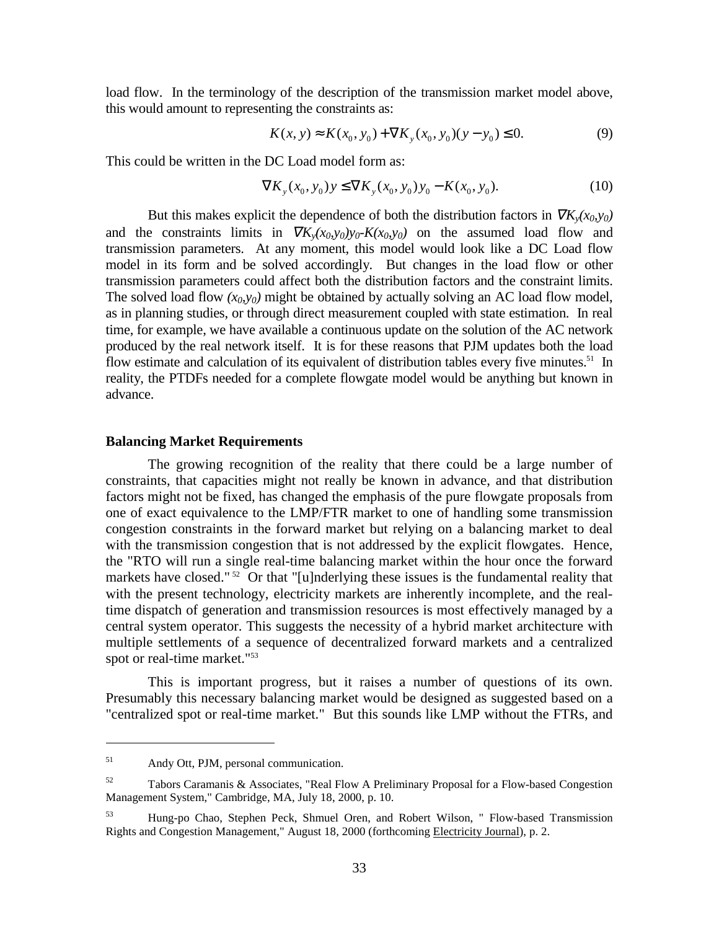load flow. In the terminology of the description of the transmission market model above, this would amount to representing the constraints as:

$$
K(x, y) \approx K(x_0, y_0) + \nabla K_y(x_0, y_0)(y - y_0) \le 0.
$$
 (9)

This could be written in the DC Load model form as:

$$
\nabla K_y(x_0, y_0) y \le \nabla K_y(x_0, y_0) y_0 - K(x_0, y_0). \tag{10}
$$

But this makes explicit the dependence of both the distribution factors in  $\nabla K_{\nu}(x_0, y_0)$ and the constraints limits in  $\nabla K_{\nu}(x_0, y_0)y_0 - K(x_0, y_0)$  on the assumed load flow and transmission parameters. At any moment, this model would look like a DC Load flow model in its form and be solved accordingly. But changes in the load flow or other transmission parameters could affect both the distribution factors and the constraint limits. The solved load flow  $(x_0, y_0)$  might be obtained by actually solving an AC load flow model, as in planning studies, or through direct measurement coupled with state estimation. In real time, for example, we have available a continuous update on the solution of the AC network produced by the real network itself. It is for these reasons that PJM updates both the load flow estimate and calculation of its equivalent of distribution tables every five minutes.<sup>51</sup> In reality, the PTDFs needed for a complete flowgate model would be anything but known in advance.

#### **Balancing Market Requirements**

The growing recognition of the reality that there could be a large number of constraints, that capacities might not really be known in advance, and that distribution factors might not be fixed, has changed the emphasis of the pure flowgate proposals from one of exact equivalence to the LMP/FTR market to one of handling some transmission congestion constraints in the forward market but relying on a balancing market to deal with the transmission congestion that is not addressed by the explicit flowgates. Hence, the "RTO will run a single real-time balancing market within the hour once the forward markets have closed."<sup>52</sup> Or that "[u]nderlying these issues is the fundamental reality that with the present technology, electricity markets are inherently incomplete, and the realtime dispatch of generation and transmission resources is most effectively managed by a central system operator. This suggests the necessity of a hybrid market architecture with multiple settlements of a sequence of decentralized forward markets and a centralized spot or real-time market."53

This is important progress, but it raises a number of questions of its own. Presumably this necessary balancing market would be designed as suggested based on a "centralized spot or real-time market." But this sounds like LMP without the FTRs, and

<sup>51</sup> Andy Ott, PJM, personal communication.

 $52$  Tabors Caramanis & Associates, "Real Flow A Preliminary Proposal for a Flow-based Congestion Management System," Cambridge, MA, July 18, 2000, p. 10.

<sup>53</sup> Hung-po Chao, Stephen Peck, Shmuel Oren, and Robert Wilson, " Flow-based Transmission Rights and Congestion Management," August 18, 2000 (forthcoming Electricity Journal), p. 2.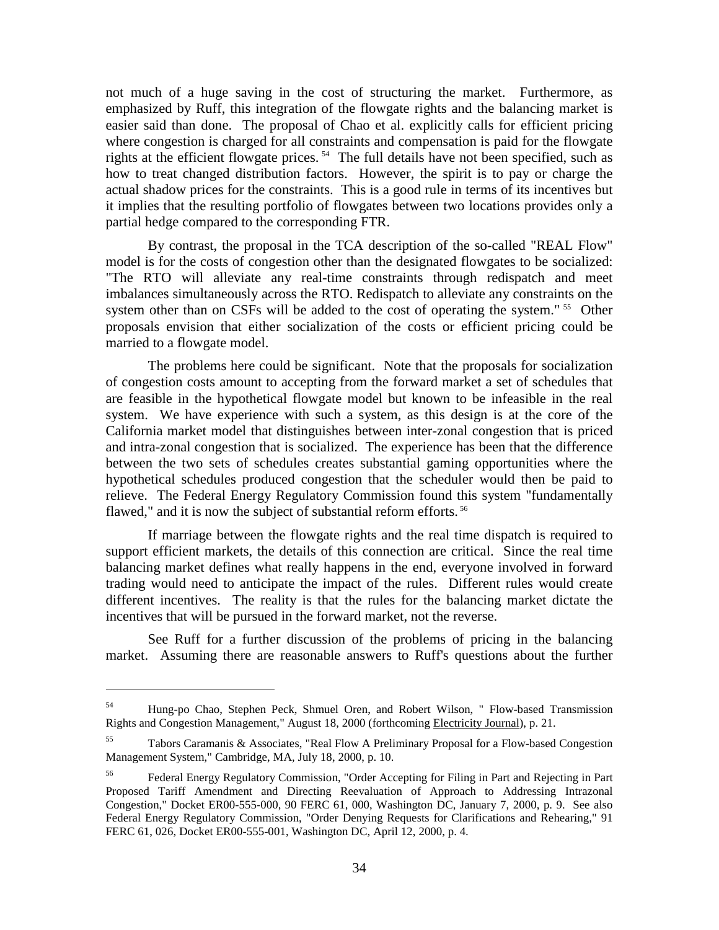not much of a huge saving in the cost of structuring the market. Furthermore, as emphasized by Ruff, this integration of the flowgate rights and the balancing market is easier said than done. The proposal of Chao et al. explicitly calls for efficient pricing where congestion is charged for all constraints and compensation is paid for the flowgate rights at the efficient flowgate prices. 54 The full details have not been specified, such as how to treat changed distribution factors. However, the spirit is to pay or charge the actual shadow prices for the constraints. This is a good rule in terms of its incentives but it implies that the resulting portfolio of flowgates between two locations provides only a partial hedge compared to the corresponding FTR.

By contrast, the proposal in the TCA description of the so-called "REAL Flow" model is for the costs of congestion other than the designated flowgates to be socialized: "The RTO will alleviate any real-time constraints through redispatch and meet imbalances simultaneously across the RTO. Redispatch to alleviate any constraints on the system other than on CSFs will be added to the cost of operating the system." <sup>55</sup> Other proposals envision that either socialization of the costs or efficient pricing could be married to a flowgate model.

The problems here could be significant. Note that the proposals for socialization of congestion costs amount to accepting from the forward market a set of schedules that are feasible in the hypothetical flowgate model but known to be infeasible in the real system. We have experience with such a system, as this design is at the core of the California market model that distinguishes between inter-zonal congestion that is priced and intra-zonal congestion that is socialized. The experience has been that the difference between the two sets of schedules creates substantial gaming opportunities where the hypothetical schedules produced congestion that the scheduler would then be paid to relieve. The Federal Energy Regulatory Commission found this system "fundamentally flawed," and it is now the subject of substantial reform efforts.<sup>56</sup>

If marriage between the flowgate rights and the real time dispatch is required to support efficient markets, the details of this connection are critical. Since the real time balancing market defines what really happens in the end, everyone involved in forward trading would need to anticipate the impact of the rules. Different rules would create different incentives. The reality is that the rules for the balancing market dictate the incentives that will be pursued in the forward market, not the reverse.

See Ruff for a further discussion of the problems of pricing in the balancing market. Assuming there are reasonable answers to Ruff's questions about the further

<sup>54</sup> Hung-po Chao, Stephen Peck, Shmuel Oren, and Robert Wilson, " Flow-based Transmission Rights and Congestion Management," August 18, 2000 (forthcoming Electricity Journal), p. 21.

<sup>55</sup> Tabors Caramanis & Associates, "Real Flow A Preliminary Proposal for a Flow-based Congestion Management System," Cambridge, MA, July 18, 2000, p. 10.

<sup>56</sup> Federal Energy Regulatory Commission, "Order Accepting for Filing in Part and Rejecting in Part Proposed Tariff Amendment and Directing Reevaluation of Approach to Addressing Intrazonal Congestion," Docket ER00-555-000, 90 FERC 61, 000, Washington DC, January 7, 2000, p. 9. See also Federal Energy Regulatory Commission, "Order Denying Requests for Clarifications and Rehearing," 91 FERC 61, 026, Docket ER00-555-001, Washington DC, April 12, 2000, p. 4.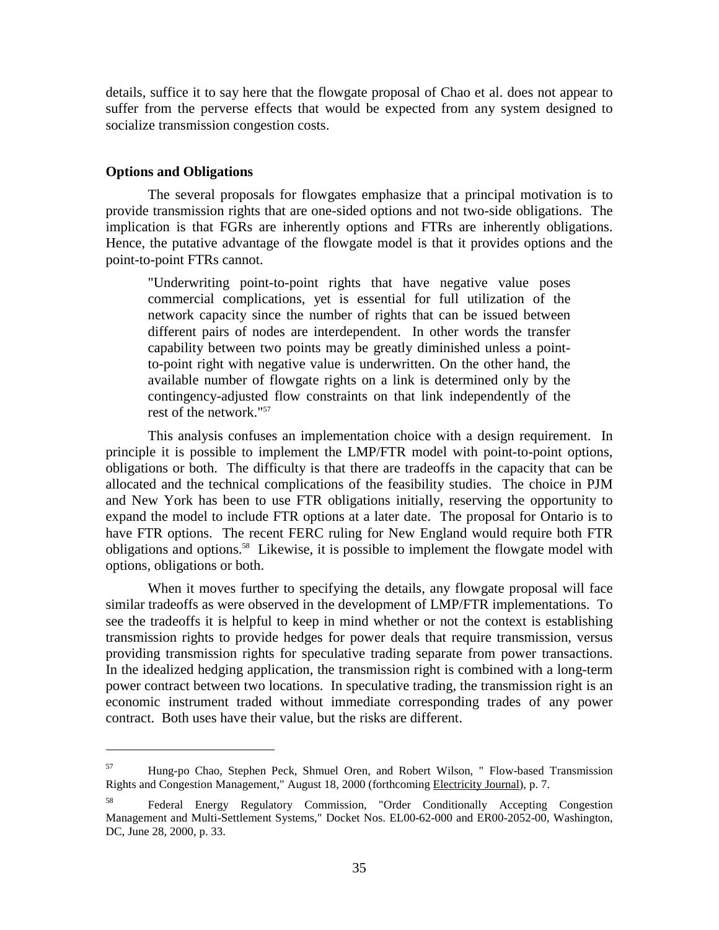details, suffice it to say here that the flowgate proposal of Chao et al. does not appear to suffer from the perverse effects that would be expected from any system designed to socialize transmission congestion costs.

#### **Options and Obligations**

 $\overline{a}$ 

The several proposals for flowgates emphasize that a principal motivation is to provide transmission rights that are one-sided options and not two-side obligations. The implication is that FGRs are inherently options and FTRs are inherently obligations. Hence, the putative advantage of the flowgate model is that it provides options and the point-to-point FTRs cannot.

"Underwriting point-to-point rights that have negative value poses commercial complications, yet is essential for full utilization of the network capacity since the number of rights that can be issued between different pairs of nodes are interdependent. In other words the transfer capability between two points may be greatly diminished unless a pointto-point right with negative value is underwritten. On the other hand, the available number of flowgate rights on a link is determined only by the contingency-adjusted flow constraints on that link independently of the rest of the network."57

This analysis confuses an implementation choice with a design requirement. In principle it is possible to implement the LMP/FTR model with point-to-point options, obligations or both. The difficulty is that there are tradeoffs in the capacity that can be allocated and the technical complications of the feasibility studies. The choice in PJM and New York has been to use FTR obligations initially, reserving the opportunity to expand the model to include FTR options at a later date. The proposal for Ontario is to have FTR options. The recent FERC ruling for New England would require both FTR obligations and options.58 Likewise, it is possible to implement the flowgate model with options, obligations or both.

When it moves further to specifying the details, any flowgate proposal will face similar tradeoffs as were observed in the development of LMP/FTR implementations. To see the tradeoffs it is helpful to keep in mind whether or not the context is establishing transmission rights to provide hedges for power deals that require transmission, versus providing transmission rights for speculative trading separate from power transactions. In the idealized hedging application, the transmission right is combined with a long-term power contract between two locations. In speculative trading, the transmission right is an economic instrument traded without immediate corresponding trades of any power contract. Both uses have their value, but the risks are different.

<sup>57</sup> Hung-po Chao, Stephen Peck, Shmuel Oren, and Robert Wilson, " Flow-based Transmission Rights and Congestion Management," August 18, 2000 (forthcoming Electricity Journal), p. 7.

<sup>58</sup> Federal Energy Regulatory Commission, "Order Conditionally Accepting Congestion Management and Multi-Settlement Systems," Docket Nos. EL00-62-000 and ER00-2052-00, Washington, DC, June 28, 2000, p. 33.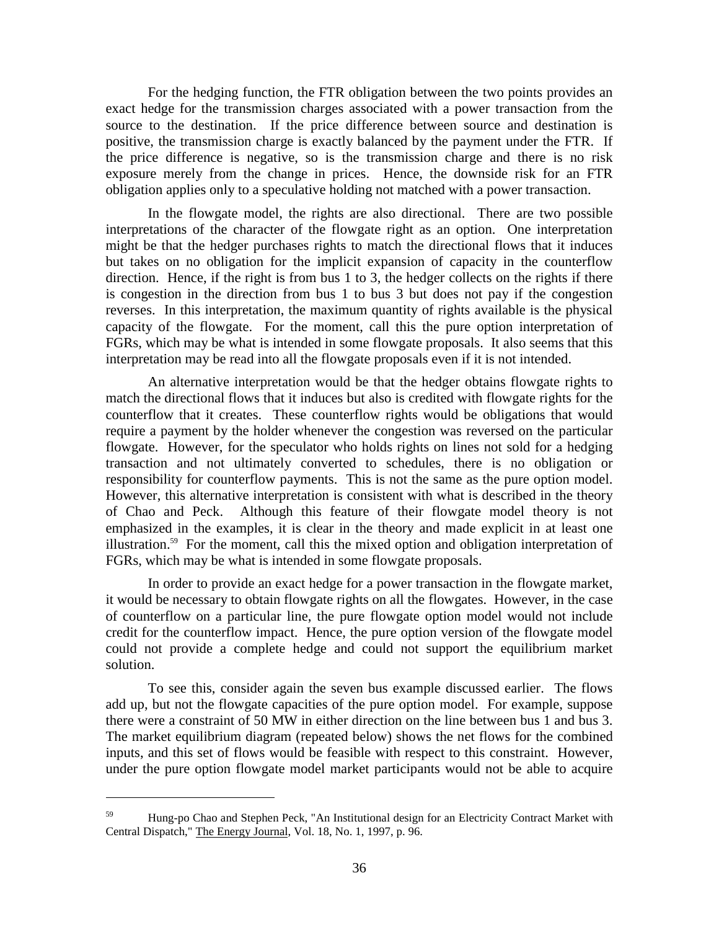For the hedging function, the FTR obligation between the two points provides an exact hedge for the transmission charges associated with a power transaction from the source to the destination. If the price difference between source and destination is positive, the transmission charge is exactly balanced by the payment under the FTR. If the price difference is negative, so is the transmission charge and there is no risk exposure merely from the change in prices. Hence, the downside risk for an FTR obligation applies only to a speculative holding not matched with a power transaction.

In the flowgate model, the rights are also directional. There are two possible interpretations of the character of the flowgate right as an option. One interpretation might be that the hedger purchases rights to match the directional flows that it induces but takes on no obligation for the implicit expansion of capacity in the counterflow direction. Hence, if the right is from bus 1 to 3, the hedger collects on the rights if there is congestion in the direction from bus 1 to bus 3 but does not pay if the congestion reverses. In this interpretation, the maximum quantity of rights available is the physical capacity of the flowgate. For the moment, call this the pure option interpretation of FGRs, which may be what is intended in some flowgate proposals. It also seems that this interpretation may be read into all the flowgate proposals even if it is not intended.

An alternative interpretation would be that the hedger obtains flowgate rights to match the directional flows that it induces but also is credited with flowgate rights for the counterflow that it creates. These counterflow rights would be obligations that would require a payment by the holder whenever the congestion was reversed on the particular flowgate. However, for the speculator who holds rights on lines not sold for a hedging transaction and not ultimately converted to schedules, there is no obligation or responsibility for counterflow payments. This is not the same as the pure option model. However, this alternative interpretation is consistent with what is described in the theory of Chao and Peck. Although this feature of their flowgate model theory is not emphasized in the examples, it is clear in the theory and made explicit in at least one illustration.59 For the moment, call this the mixed option and obligation interpretation of FGRs, which may be what is intended in some flowgate proposals.

In order to provide an exact hedge for a power transaction in the flowgate market, it would be necessary to obtain flowgate rights on all the flowgates. However, in the case of counterflow on a particular line, the pure flowgate option model would not include credit for the counterflow impact. Hence, the pure option version of the flowgate model could not provide a complete hedge and could not support the equilibrium market solution.

To see this, consider again the seven bus example discussed earlier. The flows add up, but not the flowgate capacities of the pure option model. For example, suppose there were a constraint of 50 MW in either direction on the line between bus 1 and bus 3. The market equilibrium diagram (repeated below) shows the net flows for the combined inputs, and this set of flows would be feasible with respect to this constraint. However, under the pure option flowgate model market participants would not be able to acquire

<sup>59</sup> Hung-po Chao and Stephen Peck, "An Institutional design for an Electricity Contract Market with Central Dispatch," The Energy Journal, Vol. 18, No. 1, 1997, p. 96.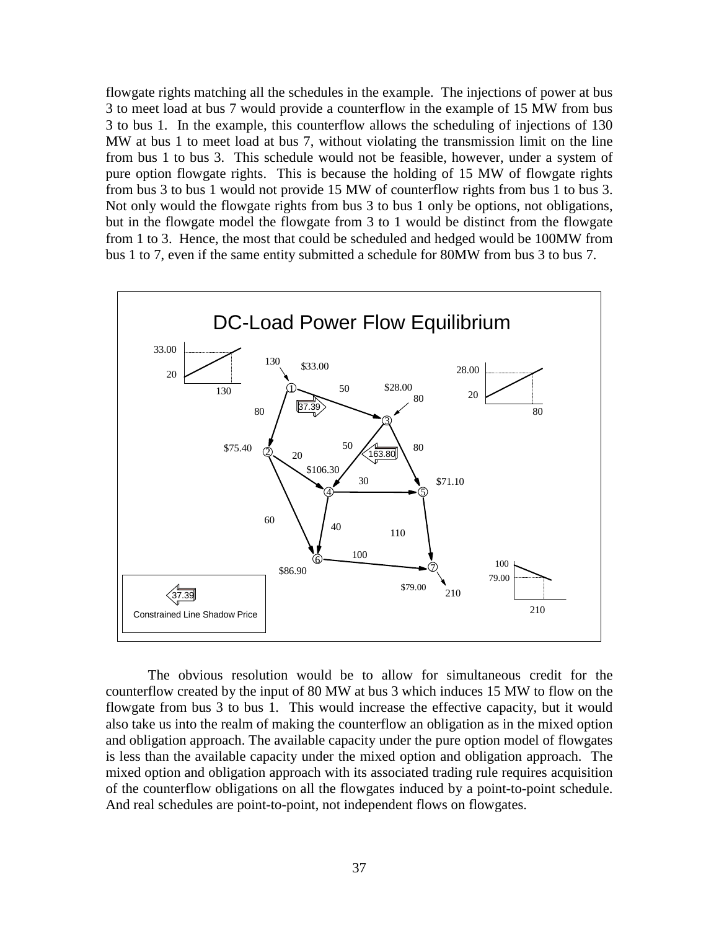flowgate rights matching all the schedules in the example. The injections of power at bus 3 to meet load at bus 7 would provide a counterflow in the example of 15 MW from bus 3 to bus 1. In the example, this counterflow allows the scheduling of injections of 130 MW at bus 1 to meet load at bus 7, without violating the transmission limit on the line from bus 1 to bus 3. This schedule would not be feasible, however, under a system of pure option flowgate rights. This is because the holding of 15 MW of flowgate rights from bus 3 to bus 1 would not provide 15 MW of counterflow rights from bus 1 to bus 3. Not only would the flowgate rights from bus 3 to bus 1 only be options, not obligations, but in the flowgate model the flowgate from 3 to 1 would be distinct from the flowgate from 1 to 3. Hence, the most that could be scheduled and hedged would be 100MW from bus 1 to 7, even if the same entity submitted a schedule for 80MW from bus 3 to bus 7.



The obvious resolution would be to allow for simultaneous credit for the counterflow created by the input of 80 MW at bus 3 which induces 15 MW to flow on the flowgate from bus 3 to bus 1. This would increase the effective capacity, but it would also take us into the realm of making the counterflow an obligation as in the mixed option and obligation approach. The available capacity under the pure option model of flowgates is less than the available capacity under the mixed option and obligation approach. The mixed option and obligation approach with its associated trading rule requires acquisition of the counterflow obligations on all the flowgates induced by a point-to-point schedule. And real schedules are point-to-point, not independent flows on flowgates.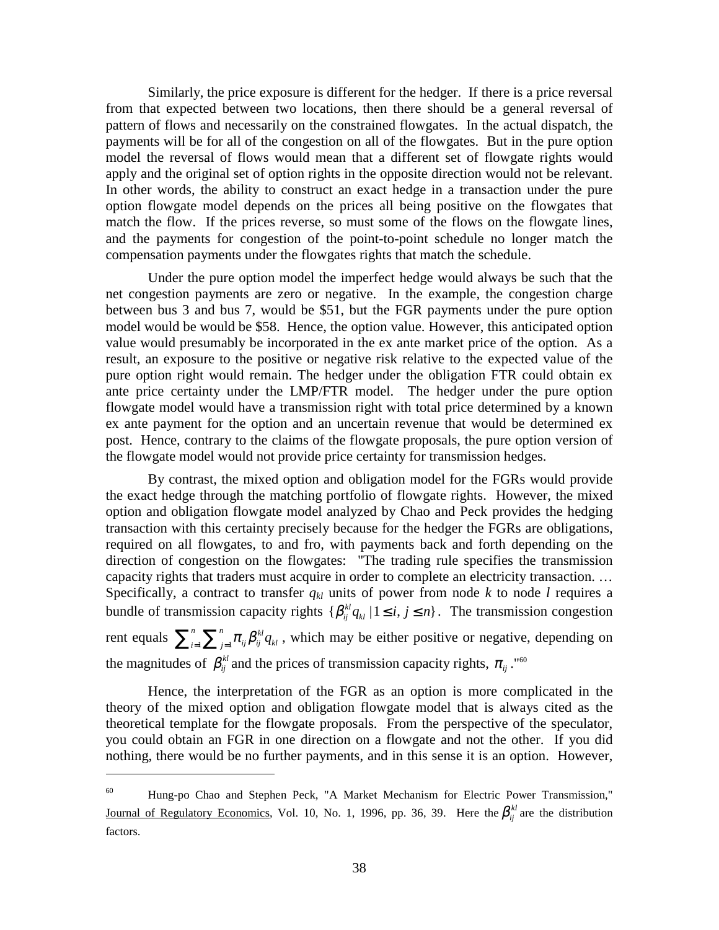Similarly, the price exposure is different for the hedger. If there is a price reversal from that expected between two locations, then there should be a general reversal of pattern of flows and necessarily on the constrained flowgates. In the actual dispatch, the payments will be for all of the congestion on all of the flowgates. But in the pure option model the reversal of flows would mean that a different set of flowgate rights would apply and the original set of option rights in the opposite direction would not be relevant. In other words, the ability to construct an exact hedge in a transaction under the pure option flowgate model depends on the prices all being positive on the flowgates that match the flow. If the prices reverse, so must some of the flows on the flowgate lines, and the payments for congestion of the point-to-point schedule no longer match the compensation payments under the flowgates rights that match the schedule.

Under the pure option model the imperfect hedge would always be such that the net congestion payments are zero or negative. In the example, the congestion charge between bus 3 and bus 7, would be \$51, but the FGR payments under the pure option model would be would be \$58. Hence, the option value. However, this anticipated option value would presumably be incorporated in the ex ante market price of the option. As a result, an exposure to the positive or negative risk relative to the expected value of the pure option right would remain. The hedger under the obligation FTR could obtain ex ante price certainty under the LMP/FTR model. The hedger under the pure option flowgate model would have a transmission right with total price determined by a known ex ante payment for the option and an uncertain revenue that would be determined ex post. Hence, contrary to the claims of the flowgate proposals, the pure option version of the flowgate model would not provide price certainty for transmission hedges.

By contrast, the mixed option and obligation model for the FGRs would provide the exact hedge through the matching portfolio of flowgate rights. However, the mixed option and obligation flowgate model analyzed by Chao and Peck provides the hedging transaction with this certainty precisely because for the hedger the FGRs are obligations, required on all flowgates, to and fro, with payments back and forth depending on the direction of congestion on the flowgates: "The trading rule specifies the transmission capacity rights that traders must acquire in order to complete an electricity transaction. … Specifically, a contract to transfer  $q_{kl}$  units of power from node  $k$  to node  $l$  requires a bundle of transmission capacity rights  $\{\beta_{ij}^{kl}q_{kl}\,|\, 1 \leq i, j \leq n\}$ . The transmission congestion rent equals  $\sum_{i=1}^n \sum_{j=1}^n \pi_{ij} \beta_{ij}^{kl}$  $\sum_{i=1}^{n} \sum_{j=1}^{n} \pi_{ij} \beta_{ij}^{kl} q_{kl}$ , which may be either positive or negative, depending on

the magnitudes of  $\beta_{ij}^{kl}$  and the prices of transmission capacity rights,  $\pi_{ij}$ ."<sup>60</sup>

 $\overline{a}$ 

Hence, the interpretation of the FGR as an option is more complicated in the theory of the mixed option and obligation flowgate model that is always cited as the theoretical template for the flowgate proposals. From the perspective of the speculator, you could obtain an FGR in one direction on a flowgate and not the other. If you did nothing, there would be no further payments, and in this sense it is an option. However,

<sup>60</sup> Hung-po Chao and Stephen Peck, "A Market Mechanism for Electric Power Transmission," Journal of Regulatory Economics, Vol. 10, No. 1, 1996, pp. 36, 39. Here the  $\beta_{ii}^{kl}$  are the distribution factors.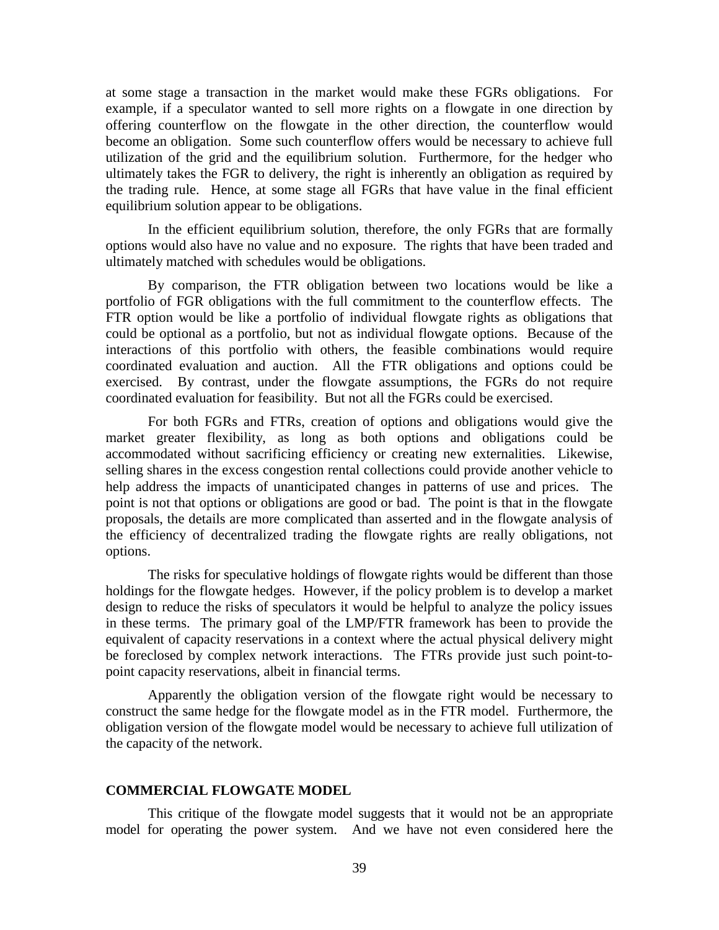at some stage a transaction in the market would make these FGRs obligations. For example, if a speculator wanted to sell more rights on a flowgate in one direction by offering counterflow on the flowgate in the other direction, the counterflow would become an obligation. Some such counterflow offers would be necessary to achieve full utilization of the grid and the equilibrium solution. Furthermore, for the hedger who ultimately takes the FGR to delivery, the right is inherently an obligation as required by the trading rule. Hence, at some stage all FGRs that have value in the final efficient equilibrium solution appear to be obligations.

In the efficient equilibrium solution, therefore, the only FGRs that are formally options would also have no value and no exposure. The rights that have been traded and ultimately matched with schedules would be obligations.

By comparison, the FTR obligation between two locations would be like a portfolio of FGR obligations with the full commitment to the counterflow effects. The FTR option would be like a portfolio of individual flowgate rights as obligations that could be optional as a portfolio, but not as individual flowgate options. Because of the interactions of this portfolio with others, the feasible combinations would require coordinated evaluation and auction. All the FTR obligations and options could be exercised. By contrast, under the flowgate assumptions, the FGRs do not require coordinated evaluation for feasibility. But not all the FGRs could be exercised.

For both FGRs and FTRs, creation of options and obligations would give the market greater flexibility, as long as both options and obligations could be accommodated without sacrificing efficiency or creating new externalities. Likewise, selling shares in the excess congestion rental collections could provide another vehicle to help address the impacts of unanticipated changes in patterns of use and prices. The point is not that options or obligations are good or bad. The point is that in the flowgate proposals, the details are more complicated than asserted and in the flowgate analysis of the efficiency of decentralized trading the flowgate rights are really obligations, not options.

The risks for speculative holdings of flowgate rights would be different than those holdings for the flowgate hedges. However, if the policy problem is to develop a market design to reduce the risks of speculators it would be helpful to analyze the policy issues in these terms. The primary goal of the LMP/FTR framework has been to provide the equivalent of capacity reservations in a context where the actual physical delivery might be foreclosed by complex network interactions. The FTRs provide just such point-topoint capacity reservations, albeit in financial terms.

Apparently the obligation version of the flowgate right would be necessary to construct the same hedge for the flowgate model as in the FTR model. Furthermore, the obligation version of the flowgate model would be necessary to achieve full utilization of the capacity of the network.

#### **COMMERCIAL FLOWGATE MODEL**

This critique of the flowgate model suggests that it would not be an appropriate model for operating the power system. And we have not even considered here the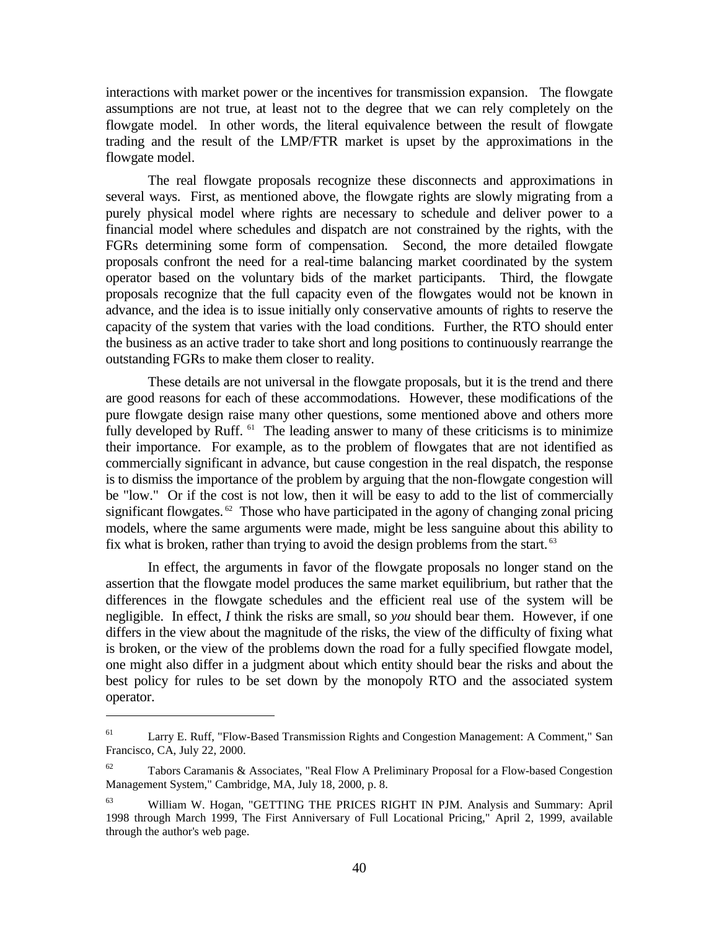interactions with market power or the incentives for transmission expansion. The flowgate assumptions are not true, at least not to the degree that we can rely completely on the flowgate model. In other words, the literal equivalence between the result of flowgate trading and the result of the LMP/FTR market is upset by the approximations in the flowgate model.

The real flowgate proposals recognize these disconnects and approximations in several ways. First, as mentioned above, the flowgate rights are slowly migrating from a purely physical model where rights are necessary to schedule and deliver power to a financial model where schedules and dispatch are not constrained by the rights, with the FGRs determining some form of compensation. Second, the more detailed flowgate proposals confront the need for a real-time balancing market coordinated by the system operator based on the voluntary bids of the market participants. Third, the flowgate proposals recognize that the full capacity even of the flowgates would not be known in advance, and the idea is to issue initially only conservative amounts of rights to reserve the capacity of the system that varies with the load conditions. Further, the RTO should enter the business as an active trader to take short and long positions to continuously rearrange the outstanding FGRs to make them closer to reality.

These details are not universal in the flowgate proposals, but it is the trend and there are good reasons for each of these accommodations. However, these modifications of the pure flowgate design raise many other questions, some mentioned above and others more fully developed by Ruff. <sup>61</sup> The leading answer to many of these criticisms is to minimize their importance. For example, as to the problem of flowgates that are not identified as commercially significant in advance, but cause congestion in the real dispatch, the response is to dismiss the importance of the problem by arguing that the non-flowgate congestion will be "low." Or if the cost is not low, then it will be easy to add to the list of commercially significant flowgates.  $62$  Those who have participated in the agony of changing zonal pricing models, where the same arguments were made, might be less sanguine about this ability to fix what is broken, rather than trying to avoid the design problems from the start.<sup>63</sup>

In effect, the arguments in favor of the flowgate proposals no longer stand on the assertion that the flowgate model produces the same market equilibrium, but rather that the differences in the flowgate schedules and the efficient real use of the system will be negligible. In effect, *I* think the risks are small, so *you* should bear them. However, if one differs in the view about the magnitude of the risks, the view of the difficulty of fixing what is broken, or the view of the problems down the road for a fully specified flowgate model, one might also differ in a judgment about which entity should bear the risks and about the best policy for rules to be set down by the monopoly RTO and the associated system operator.

<sup>&</sup>lt;sup>61</sup> Larry E. Ruff, "Flow-Based Transmission Rights and Congestion Management: A Comment," San Francisco, CA, July 22, 2000.

 $62$  Tabors Caramanis & Associates, "Real Flow A Preliminary Proposal for a Flow-based Congestion Management System," Cambridge, MA, July 18, 2000, p. 8.

<sup>63</sup> William W. Hogan, "GETTING THE PRICES RIGHT IN PJM. Analysis and Summary: April 1998 through March 1999, The First Anniversary of Full Locational Pricing," April 2, 1999, available through the author's web page.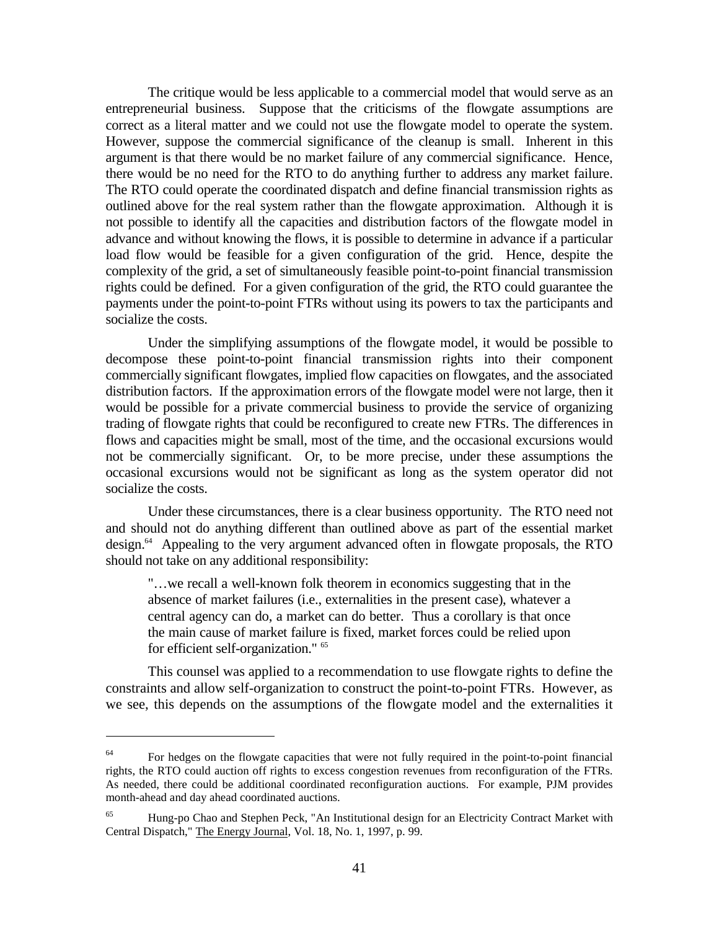The critique would be less applicable to a commercial model that would serve as an entrepreneurial business. Suppose that the criticisms of the flowgate assumptions are correct as a literal matter and we could not use the flowgate model to operate the system. However, suppose the commercial significance of the cleanup is small. Inherent in this argument is that there would be no market failure of any commercial significance. Hence, there would be no need for the RTO to do anything further to address any market failure. The RTO could operate the coordinated dispatch and define financial transmission rights as outlined above for the real system rather than the flowgate approximation. Although it is not possible to identify all the capacities and distribution factors of the flowgate model in advance and without knowing the flows, it is possible to determine in advance if a particular load flow would be feasible for a given configuration of the grid. Hence, despite the complexity of the grid, a set of simultaneously feasible point-to-point financial transmission rights could be defined. For a given configuration of the grid, the RTO could guarantee the payments under the point-to-point FTRs without using its powers to tax the participants and socialize the costs.

Under the simplifying assumptions of the flowgate model, it would be possible to decompose these point-to-point financial transmission rights into their component commercially significant flowgates, implied flow capacities on flowgates, and the associated distribution factors. If the approximation errors of the flowgate model were not large, then it would be possible for a private commercial business to provide the service of organizing trading of flowgate rights that could be reconfigured to create new FTRs. The differences in flows and capacities might be small, most of the time, and the occasional excursions would not be commercially significant. Or, to be more precise, under these assumptions the occasional excursions would not be significant as long as the system operator did not socialize the costs.

Under these circumstances, there is a clear business opportunity. The RTO need not and should not do anything different than outlined above as part of the essential market design.64 Appealing to the very argument advanced often in flowgate proposals, the RTO should not take on any additional responsibility:

"…we recall a well-known folk theorem in economics suggesting that in the absence of market failures (i.e., externalities in the present case), whatever a central agency can do, a market can do better. Thus a corollary is that once the main cause of market failure is fixed, market forces could be relied upon for efficient self-organization." 65

This counsel was applied to a recommendation to use flowgate rights to define the constraints and allow self-organization to construct the point-to-point FTRs. However, as we see, this depends on the assumptions of the flowgate model and the externalities it

<sup>&</sup>lt;sup>64</sup> For hedges on the flowgate capacities that were not fully required in the point-to-point financial rights, the RTO could auction off rights to excess congestion revenues from reconfiguration of the FTRs. As needed, there could be additional coordinated reconfiguration auctions. For example, PJM provides month-ahead and day ahead coordinated auctions.

<sup>&</sup>lt;sup>65</sup> Hung-po Chao and Stephen Peck, "An Institutional design for an Electricity Contract Market with Central Dispatch," The Energy Journal, Vol. 18, No. 1, 1997, p. 99.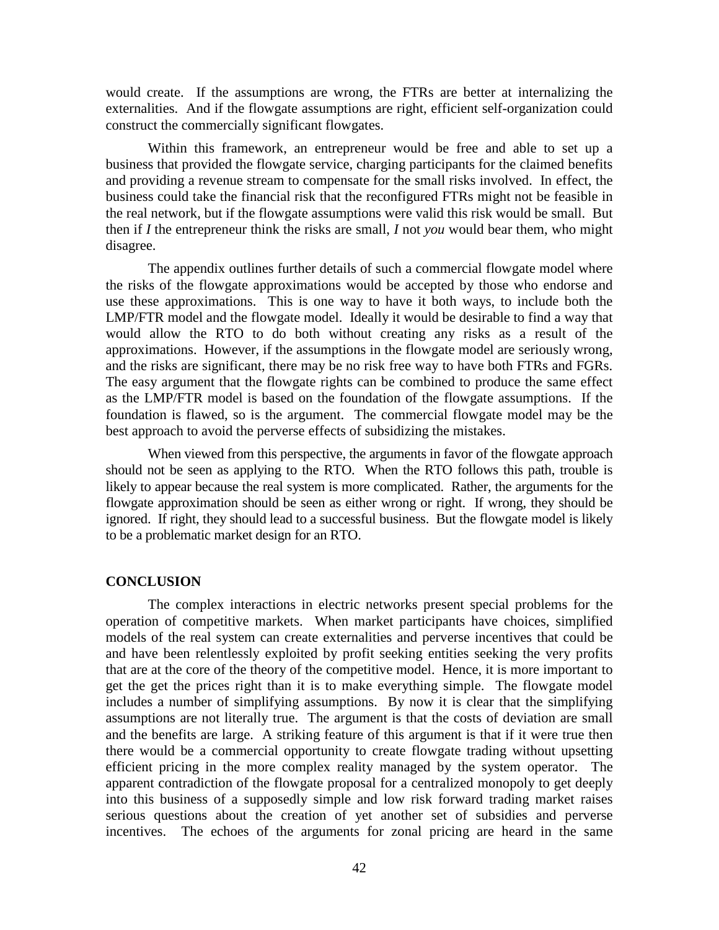would create. If the assumptions are wrong, the FTRs are better at internalizing the externalities. And if the flowgate assumptions are right, efficient self-organization could construct the commercially significant flowgates.

Within this framework, an entrepreneur would be free and able to set up a business that provided the flowgate service, charging participants for the claimed benefits and providing a revenue stream to compensate for the small risks involved. In effect, the business could take the financial risk that the reconfigured FTRs might not be feasible in the real network, but if the flowgate assumptions were valid this risk would be small. But then if *I* the entrepreneur think the risks are small, *I* not *you* would bear them, who might disagree.

The appendix outlines further details of such a commercial flowgate model where the risks of the flowgate approximations would be accepted by those who endorse and use these approximations. This is one way to have it both ways, to include both the LMP/FTR model and the flowgate model. Ideally it would be desirable to find a way that would allow the RTO to do both without creating any risks as a result of the approximations. However, if the assumptions in the flowgate model are seriously wrong, and the risks are significant, there may be no risk free way to have both FTRs and FGRs. The easy argument that the flowgate rights can be combined to produce the same effect as the LMP/FTR model is based on the foundation of the flowgate assumptions. If the foundation is flawed, so is the argument. The commercial flowgate model may be the best approach to avoid the perverse effects of subsidizing the mistakes.

When viewed from this perspective, the arguments in favor of the flowgate approach should not be seen as applying to the RTO. When the RTO follows this path, trouble is likely to appear because the real system is more complicated. Rather, the arguments for the flowgate approximation should be seen as either wrong or right. If wrong, they should be ignored. If right, they should lead to a successful business. But the flowgate model is likely to be a problematic market design for an RTO.

#### **CONCLUSION**

The complex interactions in electric networks present special problems for the operation of competitive markets. When market participants have choices, simplified models of the real system can create externalities and perverse incentives that could be and have been relentlessly exploited by profit seeking entities seeking the very profits that are at the core of the theory of the competitive model. Hence, it is more important to get the get the prices right than it is to make everything simple. The flowgate model includes a number of simplifying assumptions. By now it is clear that the simplifying assumptions are not literally true. The argument is that the costs of deviation are small and the benefits are large. A striking feature of this argument is that if it were true then there would be a commercial opportunity to create flowgate trading without upsetting efficient pricing in the more complex reality managed by the system operator. The apparent contradiction of the flowgate proposal for a centralized monopoly to get deeply into this business of a supposedly simple and low risk forward trading market raises serious questions about the creation of yet another set of subsidies and perverse incentives. The echoes of the arguments for zonal pricing are heard in the same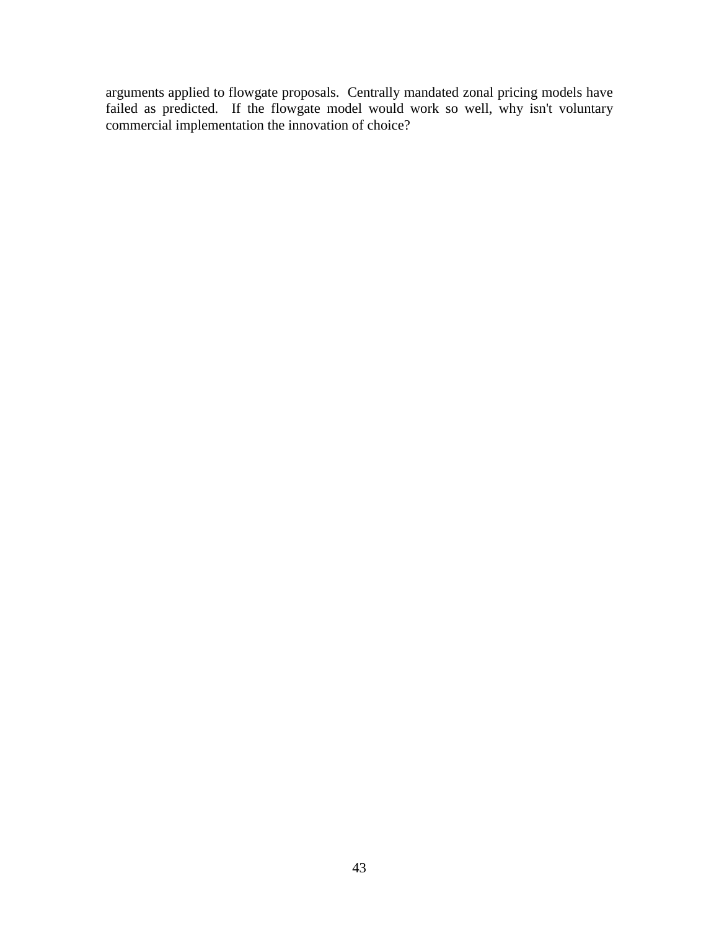arguments applied to flowgate proposals. Centrally mandated zonal pricing models have failed as predicted. If the flowgate model would work so well, why isn't voluntary commercial implementation the innovation of choice?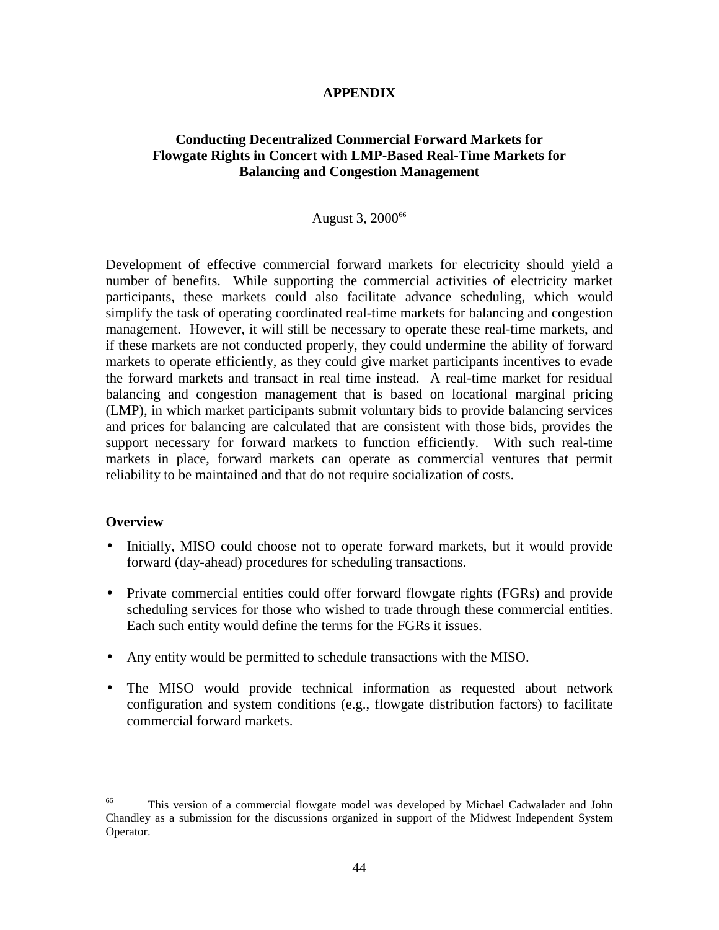## **APPENDIX**

# **Conducting Decentralized Commercial Forward Markets for Flowgate Rights in Concert with LMP-Based Real-Time Markets for Balancing and Congestion Management**

## August 3, 2000<sup>66</sup>

Development of effective commercial forward markets for electricity should yield a number of benefits. While supporting the commercial activities of electricity market participants, these markets could also facilitate advance scheduling, which would simplify the task of operating coordinated real-time markets for balancing and congestion management. However, it will still be necessary to operate these real-time markets, and if these markets are not conducted properly, they could undermine the ability of forward markets to operate efficiently, as they could give market participants incentives to evade the forward markets and transact in real time instead. A real-time market for residual balancing and congestion management that is based on locational marginal pricing (LMP), in which market participants submit voluntary bids to provide balancing services and prices for balancing are calculated that are consistent with those bids, provides the support necessary for forward markets to function efficiently. With such real-time markets in place, forward markets can operate as commercial ventures that permit reliability to be maintained and that do not require socialization of costs.

## **Overview**

- Initially, MISO could choose not to operate forward markets, but it would provide forward (day-ahead) procedures for scheduling transactions.
- Private commercial entities could offer forward flowgate rights (FGRs) and provide scheduling services for those who wished to trade through these commercial entities. Each such entity would define the terms for the FGRs it issues.
- Any entity would be permitted to schedule transactions with the MISO.
- The MISO would provide technical information as requested about network configuration and system conditions (e.g., flowgate distribution factors) to facilitate commercial forward markets.

<sup>66</sup> This version of a commercial flowgate model was developed by Michael Cadwalader and John Chandley as a submission for the discussions organized in support of the Midwest Independent System Operator.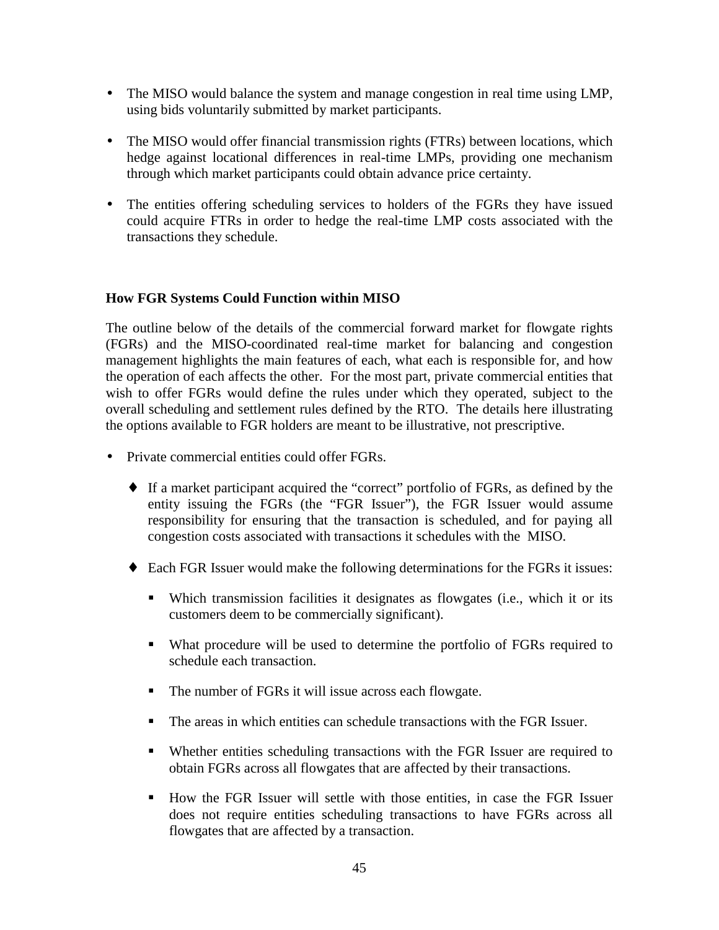- The MISO would balance the system and manage congestion in real time using LMP, using bids voluntarily submitted by market participants.
- The MISO would offer financial transmission rights (FTRs) between locations, which hedge against locational differences in real-time LMPs, providing one mechanism through which market participants could obtain advance price certainty.
- The entities offering scheduling services to holders of the FGRs they have issued could acquire FTRs in order to hedge the real-time LMP costs associated with the transactions they schedule.

## **How FGR Systems Could Function within MISO**

The outline below of the details of the commercial forward market for flowgate rights (FGRs) and the MISO-coordinated real-time market for balancing and congestion management highlights the main features of each, what each is responsible for, and how the operation of each affects the other. For the most part, private commercial entities that wish to offer FGRs would define the rules under which they operated, subject to the overall scheduling and settlement rules defined by the RTO. The details here illustrating the options available to FGR holders are meant to be illustrative, not prescriptive.

- Private commercial entities could offer FGRs.
	- ♦ If a market participant acquired the "correct" portfolio of FGRs, as defined by the entity issuing the FGRs (the "FGR Issuer"), the FGR Issuer would assume responsibility for ensuring that the transaction is scheduled, and for paying all congestion costs associated with transactions it schedules with the MISO.
	- ♦ Each FGR Issuer would make the following determinations for the FGRs it issues:
		- Which transmission facilities it designates as flowgates (i.e., which it or its customers deem to be commercially significant).
		- What procedure will be used to determine the portfolio of FGRs required to schedule each transaction.
		- The number of FGRs it will issue across each flowgate.
		- The areas in which entities can schedule transactions with the FGR Issuer.
		- Whether entities scheduling transactions with the FGR Issuer are required to obtain FGRs across all flowgates that are affected by their transactions.
		- How the FGR Issuer will settle with those entities, in case the FGR Issuer does not require entities scheduling transactions to have FGRs across all flowgates that are affected by a transaction.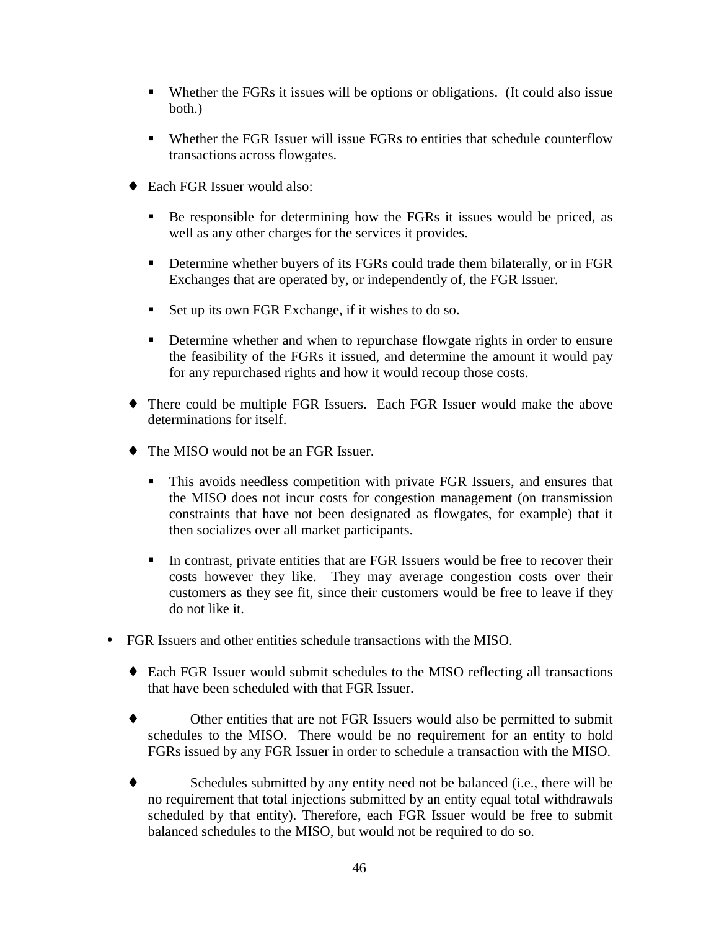- Whether the FGRs it issues will be options or obligations. (It could also issue both.)
- Whether the FGR Issuer will issue FGRs to entities that schedule counterflow transactions across flowgates.
- ◆ Each FGR Issuer would also:
	- Be responsible for determining how the FGRs it issues would be priced, as well as any other charges for the services it provides.
	- Determine whether buyers of its FGRs could trade them bilaterally, or in FGR Exchanges that are operated by, or independently of, the FGR Issuer.
	- Set up its own FGR Exchange, if it wishes to do so.
	- **Determine whether and when to repurchase flowgate rights in order to ensure** the feasibility of the FGRs it issued, and determine the amount it would pay for any repurchased rights and how it would recoup those costs.
- ♦ There could be multiple FGR Issuers. Each FGR Issuer would make the above determinations for itself.
- The MISO would not be an FGR Issuer.
	- This avoids needless competition with private FGR Issuers, and ensures that the MISO does not incur costs for congestion management (on transmission constraints that have not been designated as flowgates, for example) that it then socializes over all market participants.
	- In contrast, private entities that are FGR Issuers would be free to recover their costs however they like. They may average congestion costs over their customers as they see fit, since their customers would be free to leave if they do not like it.
- FGR Issuers and other entities schedule transactions with the MISO.
	- ♦ Each FGR Issuer would submit schedules to the MISO reflecting all transactions that have been scheduled with that FGR Issuer.
	- ♦ Other entities that are not FGR Issuers would also be permitted to submit schedules to the MISO. There would be no requirement for an entity to hold FGRs issued by any FGR Issuer in order to schedule a transaction with the MISO.
	- ♦ Schedules submitted by any entity need not be balanced (i.e., there will be no requirement that total injections submitted by an entity equal total withdrawals scheduled by that entity). Therefore, each FGR Issuer would be free to submit balanced schedules to the MISO, but would not be required to do so.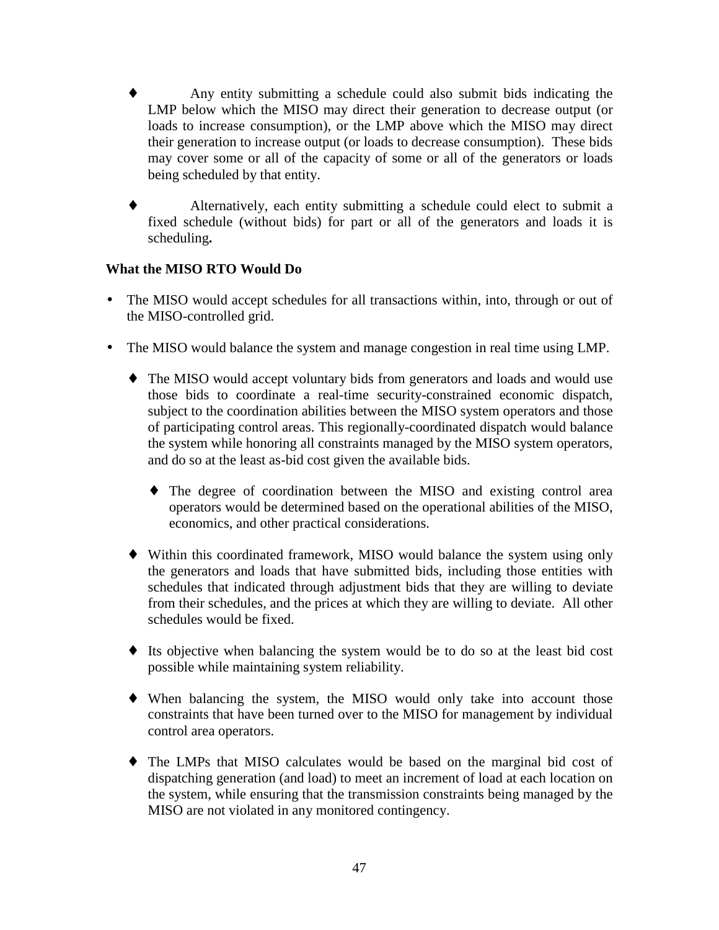- Any entity submitting a schedule could also submit bids indicating the LMP below which the MISO may direct their generation to decrease output (or loads to increase consumption), or the LMP above which the MISO may direct their generation to increase output (or loads to decrease consumption). These bids may cover some or all of the capacity of some or all of the generators or loads being scheduled by that entity.
- ♦ Alternatively, each entity submitting a schedule could elect to submit a fixed schedule (without bids) for part or all of the generators and loads it is scheduling**.**

# **What the MISO RTO Would Do**

- The MISO would accept schedules for all transactions within, into, through or out of the MISO-controlled grid.
- The MISO would balance the system and manage congestion in real time using LMP.
	- ♦ The MISO would accept voluntary bids from generators and loads and would use those bids to coordinate a real-time security-constrained economic dispatch, subject to the coordination abilities between the MISO system operators and those of participating control areas. This regionally-coordinated dispatch would balance the system while honoring all constraints managed by the MISO system operators, and do so at the least as-bid cost given the available bids.
		- ♦ The degree of coordination between the MISO and existing control area operators would be determined based on the operational abilities of the MISO, economics, and other practical considerations.
	- ♦ Within this coordinated framework, MISO would balance the system using only the generators and loads that have submitted bids, including those entities with schedules that indicated through adjustment bids that they are willing to deviate from their schedules, and the prices at which they are willing to deviate. All other schedules would be fixed.
	- ♦ Its objective when balancing the system would be to do so at the least bid cost possible while maintaining system reliability.
	- ♦ When balancing the system, the MISO would only take into account those constraints that have been turned over to the MISO for management by individual control area operators.
	- ♦ The LMPs that MISO calculates would be based on the marginal bid cost of dispatching generation (and load) to meet an increment of load at each location on the system, while ensuring that the transmission constraints being managed by the MISO are not violated in any monitored contingency.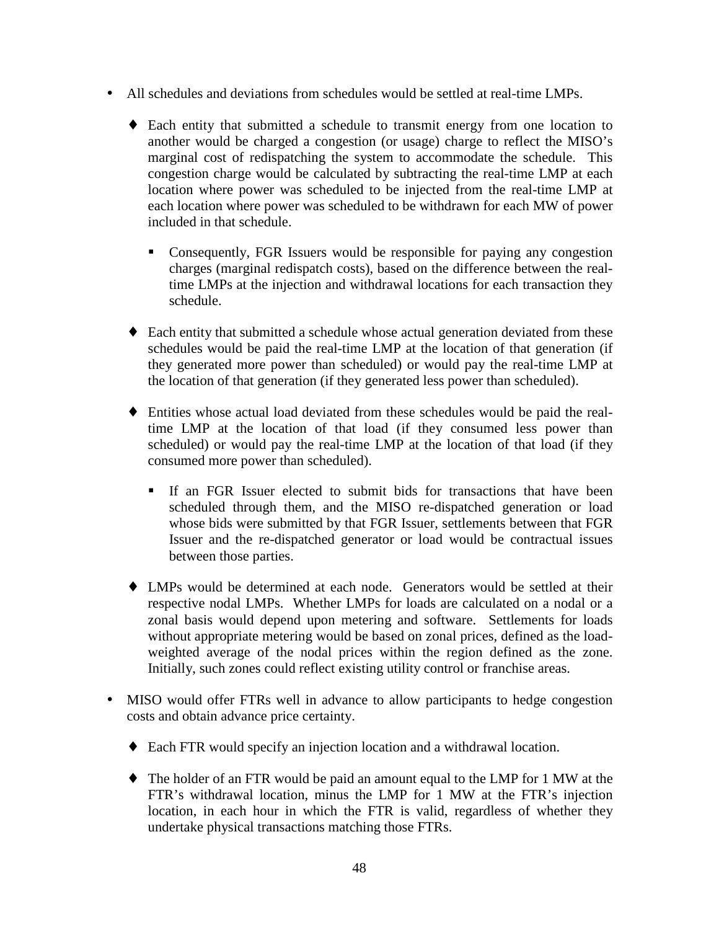- All schedules and deviations from schedules would be settled at real-time LMPs.
	- ♦ Each entity that submitted a schedule to transmit energy from one location to another would be charged a congestion (or usage) charge to reflect the MISO's marginal cost of redispatching the system to accommodate the schedule. This congestion charge would be calculated by subtracting the real-time LMP at each location where power was scheduled to be injected from the real-time LMP at each location where power was scheduled to be withdrawn for each MW of power included in that schedule.
		- Consequently, FGR Issuers would be responsible for paying any congestion charges (marginal redispatch costs), based on the difference between the realtime LMPs at the injection and withdrawal locations for each transaction they schedule.
	- ♦ Each entity that submitted a schedule whose actual generation deviated from these schedules would be paid the real-time LMP at the location of that generation (if they generated more power than scheduled) or would pay the real-time LMP at the location of that generation (if they generated less power than scheduled).
	- ♦ Entities whose actual load deviated from these schedules would be paid the realtime LMP at the location of that load (if they consumed less power than scheduled) or would pay the real-time LMP at the location of that load (if they consumed more power than scheduled).
		- If an FGR Issuer elected to submit bids for transactions that have been scheduled through them, and the MISO re-dispatched generation or load whose bids were submitted by that FGR Issuer, settlements between that FGR Issuer and the re-dispatched generator or load would be contractual issues between those parties.
	- ♦ LMPs would be determined at each node. Generators would be settled at their respective nodal LMPs. Whether LMPs for loads are calculated on a nodal or a zonal basis would depend upon metering and software. Settlements for loads without appropriate metering would be based on zonal prices, defined as the loadweighted average of the nodal prices within the region defined as the zone. Initially, such zones could reflect existing utility control or franchise areas.
- MISO would offer FTRs well in advance to allow participants to hedge congestion costs and obtain advance price certainty.
	- ♦ Each FTR would specify an injection location and a withdrawal location.
	- ♦ The holder of an FTR would be paid an amount equal to the LMP for 1 MW at the FTR's withdrawal location, minus the LMP for 1 MW at the FTR's injection location, in each hour in which the FTR is valid, regardless of whether they undertake physical transactions matching those FTRs.